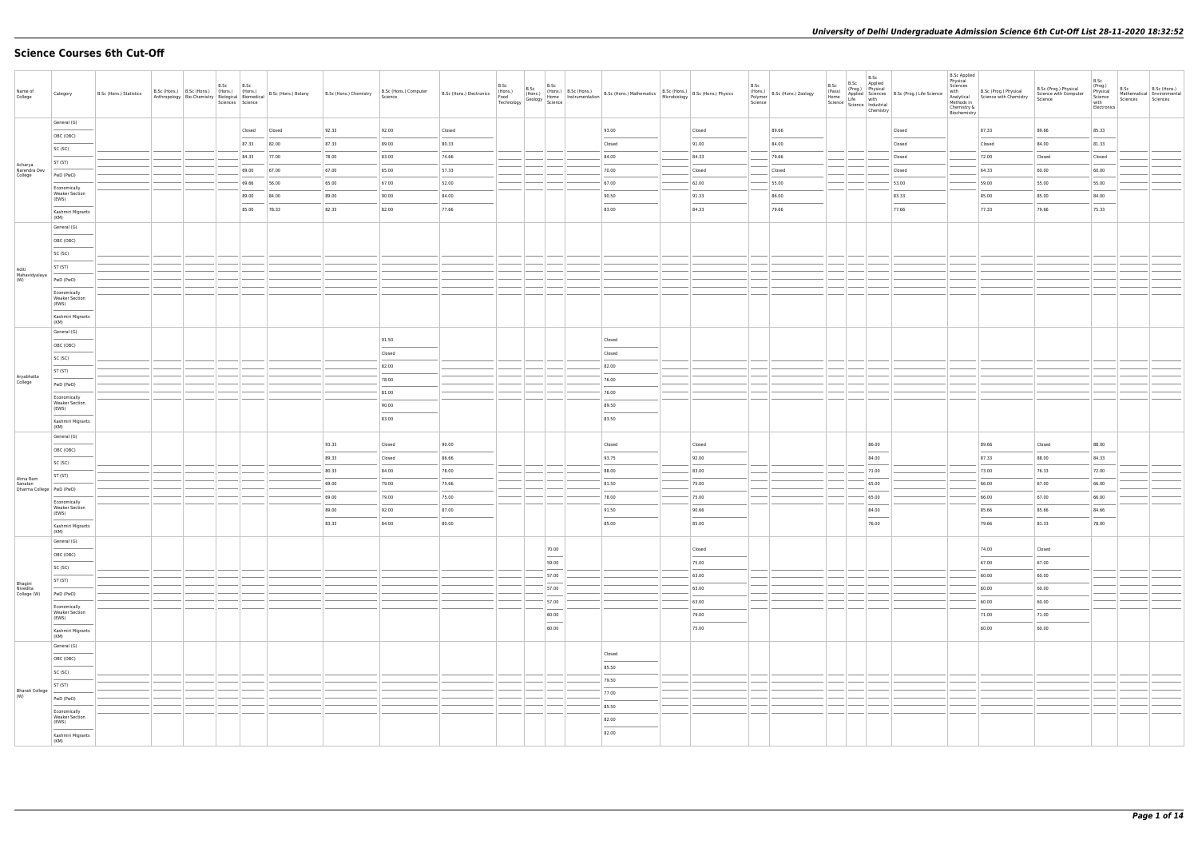# **Science Courses 6th Cut-Off**

| Name of<br>College            | Category                                | B.Sc (Hons.) Statistics |  | B.Sc<br>Sciences Science | B.Sc   | B.Sc (Hons.) B.Sc (Hons.) (Hons.) (Hons.) (Hons.) B.Sc (Hons.) Botany<br>Anthropology Bio-Chemistry Biological Biomedical B.Sc (Hons.) Botany | B.Sc (Hons.) Chemistry | B.Sc (Hons.) Computer<br>Science | B.Sc (Hons.) Electronics | B.Sc<br>(Hons.)<br>Food<br>Technology | B.Sc | B.Sc<br>(Hons.)<br>Geology Home<br>y Geology Science | Rue (Hons.) B.Sc (Hons.) B.Sc (Hons.) Mathematics B.Sc (Hons.) B.Sc (Hons.) Physics<br>Home Instrumentation B.Sc (Hons.) Mathematics Microbiology B.Sc (Hons.) Physics |        | B.Sc<br>(Hons.)<br>Polymer<br>Science | B.Sc (Hons.) Zoology | B.Sc<br>(Pass)<br>Home | B.Sc<br>B.Sc Applied<br>(Prog.) Physical<br>Chemistry | (Pass)<br>Home Applied Sciences<br>Science Life with<br>Science Industrial<br>Industrial | <b>B.Sc Applied</b><br>Physical<br>Sciences<br>with<br>Analytical<br>Methods in<br>Chemistry &<br>Biochemistry | B.Sc (Prog.) Physical<br>Science with Chemistry | B.Sc (Prog.) Physical<br>Science with Computer<br>Science | B.Sc<br>(Prog.)<br>Physical<br>Science<br>with<br>Electronics | B.Sc<br>Mathematical Environmental<br>Sciences | B.Sc (Hons.)<br>Sciences |
|-------------------------------|-----------------------------------------|-------------------------|--|--------------------------|--------|-----------------------------------------------------------------------------------------------------------------------------------------------|------------------------|----------------------------------|--------------------------|---------------------------------------|------|------------------------------------------------------|------------------------------------------------------------------------------------------------------------------------------------------------------------------------|--------|---------------------------------------|----------------------|------------------------|-------------------------------------------------------|------------------------------------------------------------------------------------------|----------------------------------------------------------------------------------------------------------------|-------------------------------------------------|-----------------------------------------------------------|---------------------------------------------------------------|------------------------------------------------|--------------------------|
|                               | General (G)                             |                         |  |                          | Closed | Closed                                                                                                                                        | 92.33                  | 92.00                            | Closed                   |                                       |      |                                                      | 93.00                                                                                                                                                                  | Closed |                                       | 89.66                |                        |                                                       | Closed                                                                                   |                                                                                                                | 87.33                                           | 89.66                                                     | 85.33                                                         |                                                |                          |
|                               | OBC (OBC)                               |                         |  |                          | 87.33  | 82.00                                                                                                                                         | 87.33                  | 89.00                            | 80.33                    |                                       |      |                                                      | Closed                                                                                                                                                                 | 91.00  |                                       | 84.00                |                        |                                                       | Closed                                                                                   |                                                                                                                | Closed                                          | 84.00                                                     | 81.33                                                         |                                                |                          |
|                               | SC (SC)                                 |                         |  |                          | 84.33  | 77.00                                                                                                                                         | 78.00                  | 83.00                            | 74.66                    |                                       |      |                                                      | 84.00                                                                                                                                                                  | 84.33  |                                       | 79.66                |                        |                                                       | Closed                                                                                   |                                                                                                                | 72.00                                           | Closed                                                    | Closed                                                        |                                                |                          |
| Acharya<br>Narendra Dev       | ST (ST)                                 |                         |  |                          | 69.00  | 67.00                                                                                                                                         | 67.00                  | 65.00                            | 57.33                    |                                       |      |                                                      | 70.00                                                                                                                                                                  | Closed |                                       | Closed               |                        |                                                       | Closed                                                                                   |                                                                                                                | 64.33                                           | 60.00                                                     | 60.00                                                         |                                                |                          |
| College                       | PwD (PwD)                               |                         |  |                          | 69.66  | 56.00                                                                                                                                         | 65.00                  | 67.00                            | 52.00                    |                                       |      |                                                      | 67.00                                                                                                                                                                  | 62.00  |                                       | 55.00                |                        |                                                       | 53.00                                                                                    |                                                                                                                | 59.00                                           | 55.00                                                     | 55.00                                                         |                                                |                          |
|                               | Economically<br><b>Weaker Section</b>   |                         |  |                          | 89.00  | 84.00                                                                                                                                         | 89.00                  | 90.00                            | 84.00                    |                                       |      |                                                      | 90.50                                                                                                                                                                  | 91.33  |                                       | 86.00                |                        |                                                       | 83.33                                                                                    |                                                                                                                | 85.00                                           | 85.00                                                     | 84.00                                                         |                                                |                          |
|                               | (EWS)<br>Kashmiri Migrants              |                         |  |                          | 85.00  | 78.33                                                                                                                                         | 82.33                  | 82.00                            | 77.66                    |                                       |      |                                                      | 83.00                                                                                                                                                                  | 84.33  |                                       | 79.66                |                        |                                                       | 77.66                                                                                    |                                                                                                                | 77.33                                           | 79.66                                                     | 75.33                                                         |                                                |                          |
|                               | (KM)<br>General (G)                     |                         |  |                          |        |                                                                                                                                               |                        |                                  |                          |                                       |      |                                                      |                                                                                                                                                                        |        |                                       |                      |                        |                                                       |                                                                                          |                                                                                                                |                                                 |                                                           |                                                               |                                                |                          |
|                               | OBC (OBC)                               |                         |  |                          |        |                                                                                                                                               |                        |                                  |                          |                                       |      |                                                      |                                                                                                                                                                        |        |                                       |                      |                        |                                                       |                                                                                          |                                                                                                                |                                                 |                                                           |                                                               |                                                |                          |
|                               | SC (SC)                                 |                         |  |                          |        |                                                                                                                                               |                        |                                  |                          |                                       |      |                                                      |                                                                                                                                                                        |        |                                       |                      |                        |                                                       |                                                                                          |                                                                                                                |                                                 |                                                           |                                                               |                                                |                          |
|                               | ST (ST)                                 |                         |  |                          |        |                                                                                                                                               |                        |                                  |                          |                                       |      |                                                      |                                                                                                                                                                        |        |                                       |                      |                        |                                                       |                                                                                          |                                                                                                                |                                                 |                                                           |                                                               |                                                |                          |
| Aditi<br>Mahavidyalaya<br>(W) | PwD (PwD)                               |                         |  |                          |        |                                                                                                                                               |                        |                                  |                          |                                       |      |                                                      |                                                                                                                                                                        |        |                                       |                      |                        |                                                       |                                                                                          |                                                                                                                |                                                 |                                                           |                                                               |                                                |                          |
|                               | Economically                            |                         |  |                          |        |                                                                                                                                               |                        |                                  |                          |                                       |      |                                                      |                                                                                                                                                                        |        |                                       |                      |                        |                                                       |                                                                                          |                                                                                                                |                                                 |                                                           |                                                               |                                                |                          |
|                               | <b>Weaker Section</b><br>(EWS)          |                         |  |                          |        |                                                                                                                                               |                        |                                  |                          |                                       |      |                                                      |                                                                                                                                                                        |        |                                       |                      |                        |                                                       |                                                                                          |                                                                                                                |                                                 |                                                           |                                                               |                                                |                          |
|                               | Kashmiri Migrants<br>(KM)               |                         |  |                          |        |                                                                                                                                               |                        |                                  |                          |                                       |      |                                                      |                                                                                                                                                                        |        |                                       |                      |                        |                                                       |                                                                                          |                                                                                                                |                                                 |                                                           |                                                               |                                                |                          |
|                               | General (G)                             |                         |  |                          |        |                                                                                                                                               |                        |                                  |                          |                                       |      |                                                      |                                                                                                                                                                        |        |                                       |                      |                        |                                                       |                                                                                          |                                                                                                                |                                                 |                                                           |                                                               |                                                |                          |
|                               | OBC (OBC)                               |                         |  |                          |        |                                                                                                                                               |                        | 91.50                            |                          |                                       |      |                                                      | Closed                                                                                                                                                                 |        |                                       |                      |                        |                                                       |                                                                                          |                                                                                                                |                                                 |                                                           |                                                               |                                                |                          |
|                               | SC (SC)                                 |                         |  |                          |        |                                                                                                                                               |                        | Closed                           |                          |                                       |      |                                                      | Closed                                                                                                                                                                 |        |                                       |                      |                        |                                                       |                                                                                          |                                                                                                                |                                                 |                                                           |                                                               |                                                |                          |
|                               | ST (ST)                                 |                         |  |                          |        |                                                                                                                                               |                        | 82.00                            |                          |                                       |      |                                                      | 82.00                                                                                                                                                                  |        |                                       |                      |                        |                                                       |                                                                                          |                                                                                                                |                                                 |                                                           |                                                               |                                                |                          |
| Aryabhatta<br>College         | PwD (PwD)                               |                         |  |                          |        |                                                                                                                                               |                        | 78.00                            |                          |                                       |      |                                                      | 76.00                                                                                                                                                                  |        |                                       |                      |                        |                                                       |                                                                                          |                                                                                                                |                                                 |                                                           |                                                               |                                                |                          |
|                               | Economically<br><b>Weaker Section</b>   |                         |  |                          |        |                                                                                                                                               |                        | 81.00                            |                          |                                       |      |                                                      | 76.00                                                                                                                                                                  |        |                                       |                      |                        |                                                       |                                                                                          |                                                                                                                |                                                 |                                                           |                                                               |                                                |                          |
|                               | (EWS)                                   |                         |  |                          |        |                                                                                                                                               |                        | 90.00                            |                          |                                       |      |                                                      | 89.50                                                                                                                                                                  |        |                                       |                      |                        |                                                       |                                                                                          |                                                                                                                |                                                 |                                                           |                                                               |                                                |                          |
|                               | Kashmiri Migrants<br>(KM)               |                         |  |                          |        |                                                                                                                                               |                        | 83.00                            |                          |                                       |      |                                                      | 83.50                                                                                                                                                                  |        |                                       |                      |                        |                                                       |                                                                                          |                                                                                                                |                                                 |                                                           |                                                               |                                                |                          |
|                               | General (G)                             |                         |  |                          |        |                                                                                                                                               | 93.33                  | Closed                           | 90.00                    |                                       |      |                                                      | Closed                                                                                                                                                                 | Closed |                                       |                      |                        | 86.00                                                 |                                                                                          |                                                                                                                | 89.66                                           | Closed                                                    | 88.00                                                         |                                                |                          |
|                               | OBC (OBC)                               |                         |  |                          |        |                                                                                                                                               | 89.33                  | Closed                           | 86.66                    |                                       |      |                                                      | 93.75                                                                                                                                                                  | 92.00  |                                       |                      |                        | 84.00                                                 |                                                                                          |                                                                                                                | 87.33                                           | 88.00                                                     | 84.33                                                         |                                                |                          |
|                               | SC (SC)                                 |                         |  |                          |        |                                                                                                                                               | 80.33                  | 84.00                            | 78.00                    |                                       |      |                                                      | 88.00                                                                                                                                                                  | 83.00  |                                       |                      |                        | 71.00                                                 |                                                                                          |                                                                                                                | 73.00                                           | 76.33                                                     | 72.00                                                         |                                                |                          |
| Atma Ram<br>Sanatan           | ST (ST)                                 |                         |  |                          |        |                                                                                                                                               | 69.00                  | 79.00                            | 75.66                    |                                       |      |                                                      | 81.50                                                                                                                                                                  | 75.00  |                                       |                      |                        | 65.00                                                 |                                                                                          |                                                                                                                | 66.00                                           | 67.00                                                     | 66.00                                                         |                                                |                          |
| Dharma College   PwD (PwD)    |                                         |                         |  |                          |        |                                                                                                                                               | 69.00                  | 79.00                            | 75.00                    |                                       |      |                                                      | 78.00                                                                                                                                                                  | 75.00  |                                       |                      |                        | 65.00                                                 |                                                                                          |                                                                                                                | 66.00                                           | 67.00                                                     | 66.00                                                         |                                                |                          |
|                               | Economically<br><b>Weaker Section</b>   |                         |  |                          |        |                                                                                                                                               | 89.00                  | 92.00                            | 87.00                    |                                       |      |                                                      | 91.50                                                                                                                                                                  | 90.66  |                                       |                      |                        | 84.00                                                 |                                                                                          |                                                                                                                | 85.66                                           | 85.66                                                     | 84.66                                                         |                                                |                          |
|                               | (EWS)                                   |                         |  |                          |        |                                                                                                                                               | 83.33                  | 84.00                            | 80.00                    |                                       |      |                                                      | 85.00                                                                                                                                                                  | 85.00  |                                       |                      |                        | 76.00                                                 |                                                                                          |                                                                                                                | 79.66                                           | 81.33                                                     | 78.00                                                         |                                                |                          |
|                               | Kashmiri Migrants<br>(KM)               |                         |  |                          |        |                                                                                                                                               |                        |                                  |                          |                                       |      |                                                      |                                                                                                                                                                        |        |                                       |                      |                        |                                                       |                                                                                          |                                                                                                                |                                                 |                                                           |                                                               |                                                |                          |
|                               | General (G)                             |                         |  |                          |        |                                                                                                                                               |                        |                                  |                          |                                       |      | 70.00                                                |                                                                                                                                                                        | Closed |                                       |                      |                        |                                                       |                                                                                          |                                                                                                                | 74.00                                           | Closed                                                    |                                                               |                                                |                          |
|                               | OBC (OBC)                               |                         |  |                          |        |                                                                                                                                               |                        |                                  |                          |                                       |      | $\overline{\phantom{a}}$<br>59.00                    |                                                                                                                                                                        | 75.00  |                                       |                      |                        |                                                       |                                                                                          |                                                                                                                | 67.00                                           | 67.00                                                     |                                                               |                                                |                          |
|                               | SC (SC)                                 |                         |  |                          |        |                                                                                                                                               |                        |                                  |                          |                                       |      | 57.00                                                |                                                                                                                                                                        | 63.00  |                                       |                      |                        |                                                       |                                                                                          |                                                                                                                | 60.00                                           | 60.00                                                     |                                                               |                                                |                          |
| Bhagini<br>Nivedita           | ST (ST)                                 |                         |  |                          |        |                                                                                                                                               |                        |                                  |                          |                                       |      | 57.00                                                |                                                                                                                                                                        | 63.00  |                                       |                      |                        |                                                       |                                                                                          |                                                                                                                | 60.00                                           | 60.00                                                     |                                                               |                                                |                          |
| College (W)                   | PwD (PwD)                               |                         |  |                          |        |                                                                                                                                               |                        |                                  |                          |                                       |      | <b>STATE</b><br>57.00                                |                                                                                                                                                                        | 63.00  |                                       |                      |                        |                                                       |                                                                                          |                                                                                                                | 60.00                                           | 60.00                                                     |                                                               |                                                |                          |
|                               | Economically<br>Weaker Section<br>(EWS) |                         |  |                          |        |                                                                                                                                               |                        |                                  |                          |                                       |      | 60.00                                                |                                                                                                                                                                        | 79.00  |                                       |                      |                        |                                                       |                                                                                          |                                                                                                                | 71.00                                           | 71.00                                                     |                                                               |                                                |                          |
|                               | Kashmiri Migrants                       |                         |  |                          |        |                                                                                                                                               |                        |                                  |                          |                                       |      | $\overline{\phantom{a}}$<br>60.00                    |                                                                                                                                                                        | 75.00  |                                       |                      |                        |                                                       |                                                                                          |                                                                                                                | 60.00                                           | 60.00                                                     |                                                               |                                                |                          |
|                               | (KM)<br>General (G)                     |                         |  |                          |        |                                                                                                                                               |                        |                                  |                          |                                       |      |                                                      |                                                                                                                                                                        |        |                                       |                      |                        |                                                       |                                                                                          |                                                                                                                |                                                 |                                                           |                                                               |                                                |                          |
|                               | OBC (OBC)                               |                         |  |                          |        |                                                                                                                                               |                        |                                  |                          |                                       |      |                                                      | Closed                                                                                                                                                                 |        |                                       |                      |                        |                                                       |                                                                                          |                                                                                                                |                                                 |                                                           |                                                               |                                                |                          |
|                               | SC (SC)                                 |                         |  |                          |        |                                                                                                                                               |                        |                                  |                          |                                       |      |                                                      | 85.50                                                                                                                                                                  |        |                                       |                      |                        |                                                       |                                                                                          |                                                                                                                |                                                 |                                                           |                                                               |                                                |                          |
|                               | ST (ST)                                 |                         |  |                          |        |                                                                                                                                               |                        |                                  |                          |                                       |      |                                                      | 79.50                                                                                                                                                                  |        |                                       |                      |                        |                                                       |                                                                                          |                                                                                                                |                                                 |                                                           |                                                               |                                                |                          |
| Bharati College<br>(W)        | PwD (PwD)                               |                         |  |                          |        |                                                                                                                                               |                        |                                  |                          |                                       |      |                                                      | 77.00                                                                                                                                                                  |        |                                       |                      |                        |                                                       |                                                                                          |                                                                                                                |                                                 |                                                           |                                                               |                                                |                          |
|                               |                                         |                         |  |                          |        |                                                                                                                                               |                        |                                  |                          |                                       |      |                                                      | 85.50                                                                                                                                                                  |        |                                       |                      |                        |                                                       |                                                                                          |                                                                                                                |                                                 |                                                           |                                                               |                                                |                          |
|                               | Economically<br>Weaker Section<br>(EWS) |                         |  |                          |        |                                                                                                                                               |                        |                                  |                          |                                       |      |                                                      | 82.00<br>$\overline{\phantom{a}}$                                                                                                                                      |        |                                       |                      |                        |                                                       |                                                                                          |                                                                                                                |                                                 |                                                           |                                                               |                                                |                          |
|                               | Kashmiri Migrants<br>(KM)               |                         |  |                          |        |                                                                                                                                               |                        |                                  |                          |                                       |      |                                                      | 82.00                                                                                                                                                                  |        |                                       |                      |                        |                                                       |                                                                                          |                                                                                                                |                                                 |                                                           |                                                               |                                                |                          |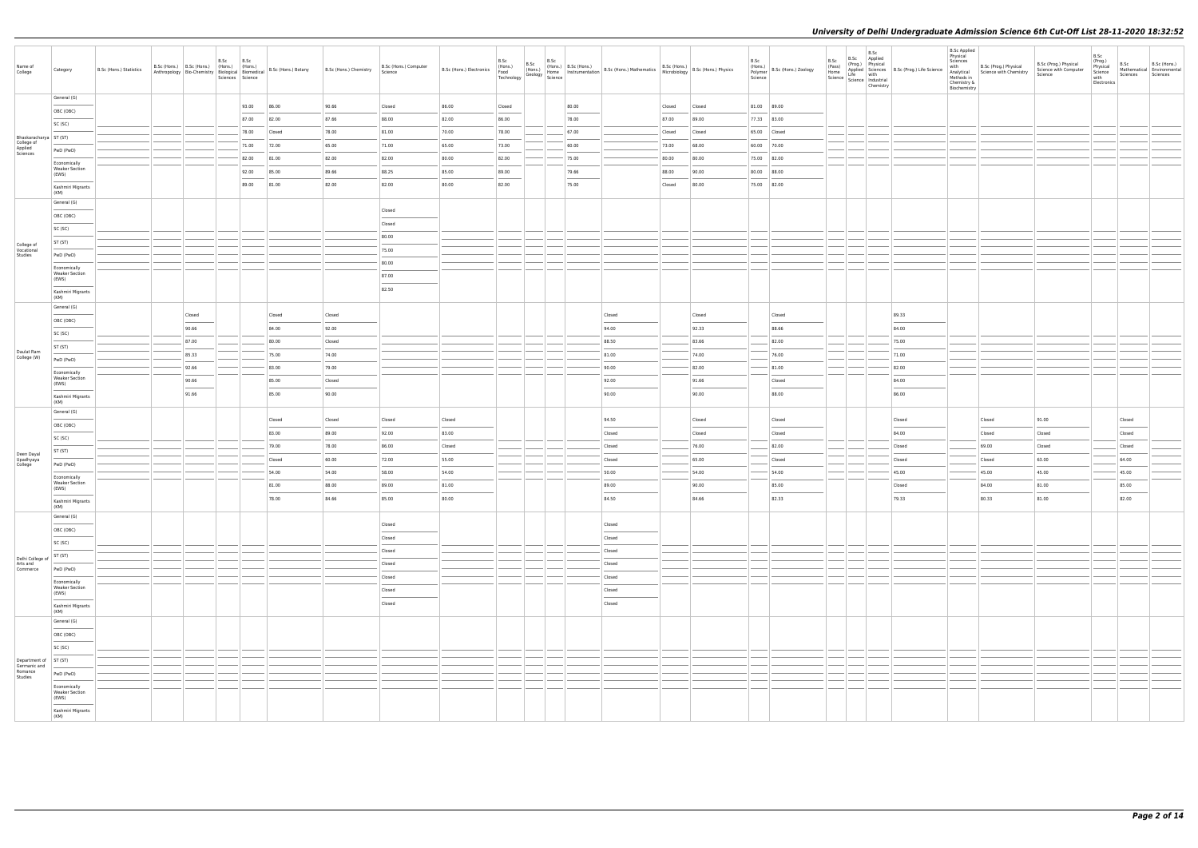| Name of<br>College                                          | Category                                                                                                                                                                                                                                                                                                                                                                                                                                                                                        | B.Sc (Hons.) Statistics | B.Sc (Hons.) B.Sc (Hons.) (Hons.) (Hons.) |                                                                                                                                                                                                                                                                                                                                                                                                                                                                                     | B.Sc B.Sc<br>Sciences Science | Anthropology Bio-Chemistry Biological Biomedical B.Sc (Hons.) Botany | B.Sc (Hons.) Chemistry | B.Sc (Hons.) Computer<br>Science | B.Sc (Hons.) Electronics | B.Sc<br>(Hons.)<br>Food<br>Technology | B.Sc | Home<br>Geology Home<br>Science Ins' | B.Sc<br>(Hons.) B.Sc (Hons.) | (Hons.) B.Sc (Hons.) B.Sc (Hons.) Mathematics B.Sc (Hons.) B.Sc (Hons.) Physics   Home   Instrumentation   B.Sc (Hons.) Mathematics   Microbiology   B.Sc (Hons.) Physics |        |                | B.Sc<br>(Hons.)<br>Polymer<br>Science | B.Sc (Hons.) Zoology | B.Sc<br>(Pass)<br>Home | B.Sc<br>B.Sc Applied<br>(Prog.) Physical<br>Life with<br>Science   Lite<br>  Science   Industrial<br>  Chamicto<br>Chemistry | Applied Sciences B.Sc (Prog.) Life Science | <b>B.Sc Applied</b><br>Physical<br>Sciences<br>with<br>Analytical<br>Methods in<br>Chemistry &<br>Biochemistry | B.Sc (Prog.) Physical<br>Science with Chemistry | B.Sc (Prog.) Physical<br>Science with Computer<br>Science | B.Sc<br>(Prog.)<br>Physical<br>Science<br>with<br>Electronics | B.Sc<br>Sciences | B.Sc (Hons.)<br>Mathematical Environmental<br>Sciences |
|-------------------------------------------------------------|-------------------------------------------------------------------------------------------------------------------------------------------------------------------------------------------------------------------------------------------------------------------------------------------------------------------------------------------------------------------------------------------------------------------------------------------------------------------------------------------------|-------------------------|-------------------------------------------|-------------------------------------------------------------------------------------------------------------------------------------------------------------------------------------------------------------------------------------------------------------------------------------------------------------------------------------------------------------------------------------------------------------------------------------------------------------------------------------|-------------------------------|----------------------------------------------------------------------|------------------------|----------------------------------|--------------------------|---------------------------------------|------|--------------------------------------|------------------------------|---------------------------------------------------------------------------------------------------------------------------------------------------------------------------|--------|----------------|---------------------------------------|----------------------|------------------------|------------------------------------------------------------------------------------------------------------------------------|--------------------------------------------|----------------------------------------------------------------------------------------------------------------|-------------------------------------------------|-----------------------------------------------------------|---------------------------------------------------------------|------------------|--------------------------------------------------------|
|                                                             | General (G)                                                                                                                                                                                                                                                                                                                                                                                                                                                                                     |                         |                                           |                                                                                                                                                                                                                                                                                                                                                                                                                                                                                     | 93.00                         | 86.00                                                                | 90.66                  | Closed                           | 86.00                    | Closed                                |      |                                      | 80.00                        |                                                                                                                                                                           | Closed | Closed         | 81.00 89.00                           |                      |                        |                                                                                                                              |                                            |                                                                                                                |                                                 |                                                           |                                                               |                  |                                                        |
|                                                             | OBC (OBC)                                                                                                                                                                                                                                                                                                                                                                                                                                                                                       |                         |                                           |                                                                                                                                                                                                                                                                                                                                                                                                                                                                                     | 87.00                         | 82.00                                                                | 87.66                  | 88.00                            | 82.00                    | 86.00                                 |      |                                      | 78.00                        |                                                                                                                                                                           | 87.00  | 89.00          | 77.33 83.00                           |                      |                        |                                                                                                                              |                                            |                                                                                                                |                                                 |                                                           |                                                               |                  |                                                        |
|                                                             | SC (SC)                                                                                                                                                                                                                                                                                                                                                                                                                                                                                         |                         |                                           |                                                                                                                                                                                                                                                                                                                                                                                                                                                                                     | 78.00                         | Closed                                                               | 78.00                  | 81.00                            | 70.00                    | 78.00                                 |      |                                      | 67.00                        |                                                                                                                                                                           | Closed | Closed         | 65.00 Closed                          |                      |                        |                                                                                                                              |                                            |                                                                                                                |                                                 |                                                           |                                                               |                  |                                                        |
| Bhaskaracharya ST (ST)<br>College of<br>Applied<br>Sciences |                                                                                                                                                                                                                                                                                                                                                                                                                                                                                                 |                         |                                           |                                                                                                                                                                                                                                                                                                                                                                                                                                                                                     | 71.00                         | 72.00                                                                | 65.00                  | 71.00                            | 65.00                    | 73.00                                 |      |                                      | 60.00                        |                                                                                                                                                                           | 73.00  | 68.00          | 60.00 70.00                           |                      |                        |                                                                                                                              |                                            |                                                                                                                |                                                 |                                                           |                                                               |                  |                                                        |
|                                                             | PwD (PwD)                                                                                                                                                                                                                                                                                                                                                                                                                                                                                       |                         |                                           |                                                                                                                                                                                                                                                                                                                                                                                                                                                                                     | 82.00                         | 81.00                                                                | 82.00                  | 82.00                            | 80.00                    | 82.00                                 |      |                                      | 75.00                        |                                                                                                                                                                           | 80.00  | 80.00          | 75.00 82.00                           |                      |                        |                                                                                                                              |                                            |                                                                                                                |                                                 |                                                           |                                                               |                  |                                                        |
|                                                             | Economically<br><b>Weaker Section</b><br>(EWS)                                                                                                                                                                                                                                                                                                                                                                                                                                                  |                         |                                           |                                                                                                                                                                                                                                                                                                                                                                                                                                                                                     | 92.00                         | 85.00                                                                | 89.66                  | 88.25                            | 85.00                    | 89.00                                 |      |                                      | 79.66                        |                                                                                                                                                                           | 88.00  | 90.00          | 80.00 88.00                           |                      |                        |                                                                                                                              |                                            |                                                                                                                |                                                 |                                                           |                                                               |                  |                                                        |
|                                                             | Kashmiri Migrants                                                                                                                                                                                                                                                                                                                                                                                                                                                                               |                         |                                           |                                                                                                                                                                                                                                                                                                                                                                                                                                                                                     | 89.00                         | 81.00                                                                | 82.00                  | 82.00                            | 80.00                    | 82.00                                 |      |                                      | 75.00                        |                                                                                                                                                                           | Closed | 80.00          | 75.00 82.00                           |                      |                        |                                                                                                                              |                                            |                                                                                                                |                                                 |                                                           |                                                               |                  |                                                        |
|                                                             | (KM)                                                                                                                                                                                                                                                                                                                                                                                                                                                                                            |                         |                                           |                                                                                                                                                                                                                                                                                                                                                                                                                                                                                     |                               |                                                                      |                        |                                  |                          |                                       |      |                                      |                              |                                                                                                                                                                           |        |                |                                       |                      |                        |                                                                                                                              |                                            |                                                                                                                |                                                 |                                                           |                                                               |                  |                                                        |
|                                                             | General (G)                                                                                                                                                                                                                                                                                                                                                                                                                                                                                     |                         |                                           |                                                                                                                                                                                                                                                                                                                                                                                                                                                                                     |                               |                                                                      |                        | Closed                           |                          |                                       |      |                                      |                              |                                                                                                                                                                           |        |                |                                       |                      |                        |                                                                                                                              |                                            |                                                                                                                |                                                 |                                                           |                                                               |                  |                                                        |
|                                                             | OBC (OBC)                                                                                                                                                                                                                                                                                                                                                                                                                                                                                       |                         |                                           |                                                                                                                                                                                                                                                                                                                                                                                                                                                                                     |                               |                                                                      |                        | Closed                           |                          |                                       |      |                                      |                              |                                                                                                                                                                           |        |                |                                       |                      |                        |                                                                                                                              |                                            |                                                                                                                |                                                 |                                                           |                                                               |                  |                                                        |
|                                                             | SC (SC)                                                                                                                                                                                                                                                                                                                                                                                                                                                                                         |                         |                                           |                                                                                                                                                                                                                                                                                                                                                                                                                                                                                     |                               |                                                                      |                        | 80.00                            |                          |                                       |      |                                      |                              |                                                                                                                                                                           |        |                |                                       |                      |                        |                                                                                                                              |                                            |                                                                                                                |                                                 |                                                           |                                                               |                  |                                                        |
| College of<br>Vocational                                    | ST (ST)                                                                                                                                                                                                                                                                                                                                                                                                                                                                                         |                         |                                           |                                                                                                                                                                                                                                                                                                                                                                                                                                                                                     |                               |                                                                      |                        | 75.00                            |                          |                                       |      |                                      |                              |                                                                                                                                                                           |        |                |                                       |                      |                        |                                                                                                                              |                                            |                                                                                                                |                                                 |                                                           |                                                               |                  |                                                        |
| Studies                                                     | PwD (PwD)                                                                                                                                                                                                                                                                                                                                                                                                                                                                                       |                         |                                           |                                                                                                                                                                                                                                                                                                                                                                                                                                                                                     |                               |                                                                      |                        | 80.00                            |                          |                                       |      |                                      |                              |                                                                                                                                                                           |        |                |                                       |                      |                        |                                                                                                                              |                                            |                                                                                                                |                                                 |                                                           |                                                               |                  |                                                        |
|                                                             | Economically<br><b>Weaker Section</b><br>(EWS)                                                                                                                                                                                                                                                                                                                                                                                                                                                  |                         |                                           |                                                                                                                                                                                                                                                                                                                                                                                                                                                                                     |                               |                                                                      |                        | 87.00                            |                          |                                       |      |                                      |                              |                                                                                                                                                                           |        |                |                                       |                      |                        |                                                                                                                              |                                            |                                                                                                                |                                                 |                                                           |                                                               |                  |                                                        |
|                                                             | Kashmiri Migrants<br>(KM)                                                                                                                                                                                                                                                                                                                                                                                                                                                                       |                         |                                           |                                                                                                                                                                                                                                                                                                                                                                                                                                                                                     |                               |                                                                      |                        | 82.50                            |                          |                                       |      |                                      |                              |                                                                                                                                                                           |        |                |                                       |                      |                        |                                                                                                                              |                                            |                                                                                                                |                                                 |                                                           |                                                               |                  |                                                        |
|                                                             | General (G)                                                                                                                                                                                                                                                                                                                                                                                                                                                                                     |                         |                                           | Closed                                                                                                                                                                                                                                                                                                                                                                                                                                                                              |                               | Closed                                                               | Closed                 |                                  |                          |                                       |      |                                      |                              | Closed                                                                                                                                                                    |        | Closed         |                                       | Closed               |                        |                                                                                                                              | 89.33                                      |                                                                                                                |                                                 |                                                           |                                                               |                  |                                                        |
|                                                             | OBC (OBC)                                                                                                                                                                                                                                                                                                                                                                                                                                                                                       |                         |                                           | 90.66                                                                                                                                                                                                                                                                                                                                                                                                                                                                               |                               | 84.00                                                                | 92.00                  |                                  |                          |                                       |      |                                      |                              | 94.00                                                                                                                                                                     |        | 92.33          |                                       | 88.66                |                        |                                                                                                                              | 84.00                                      |                                                                                                                |                                                 |                                                           |                                                               |                  |                                                        |
|                                                             | SC (SC)                                                                                                                                                                                                                                                                                                                                                                                                                                                                                         |                         |                                           |                                                                                                                                                                                                                                                                                                                                                                                                                                                                                     |                               | 80.00                                                                |                        |                                  |                          |                                       |      |                                      |                              |                                                                                                                                                                           |        | 83.66          |                                       |                      |                        |                                                                                                                              |                                            |                                                                                                                |                                                 |                                                           |                                                               |                  |                                                        |
| Daulat Ram                                                  | ST (ST)                                                                                                                                                                                                                                                                                                                                                                                                                                                                                         |                         |                                           | 87.00                                                                                                                                                                                                                                                                                                                                                                                                                                                                               |                               |                                                                      | Closed                 |                                  |                          |                                       |      |                                      |                              | 88.50                                                                                                                                                                     |        |                |                                       | 82.00                |                        |                                                                                                                              | 75.00                                      |                                                                                                                |                                                 |                                                           |                                                               |                  |                                                        |
| College (W)                                                 | PwD (PwD)                                                                                                                                                                                                                                                                                                                                                                                                                                                                                       |                         |                                           | 85.33<br>92.66                                                                                                                                                                                                                                                                                                                                                                                                                                                                      |                               | 75.00<br>83.00                                                       | 74.00<br>79.00         |                                  |                          |                                       |      |                                      |                              | 81.00<br>90.00                                                                                                                                                            |        | 74.00          |                                       | 76.00<br>81.00       |                        |                                                                                                                              | 71.00<br>82.00                             |                                                                                                                |                                                 |                                                           |                                                               |                  |                                                        |
|                                                             | Economically<br><b>Weaker Section</b>                                                                                                                                                                                                                                                                                                                                                                                                                                                           |                         |                                           | 90.66                                                                                                                                                                                                                                                                                                                                                                                                                                                                               |                               | 85.00                                                                | Closed                 |                                  |                          |                                       |      |                                      |                              | 92.00                                                                                                                                                                     |        | 82.00<br>91.66 |                                       | Closed               |                        |                                                                                                                              | 84.00                                      |                                                                                                                |                                                 |                                                           |                                                               |                  |                                                        |
|                                                             | (EWS)                                                                                                                                                                                                                                                                                                                                                                                                                                                                                           |                         |                                           | $\frac{1}{2} \left( \frac{1}{2} \right) \left( \frac{1}{2} \right) \left( \frac{1}{2} \right) \left( \frac{1}{2} \right) \left( \frac{1}{2} \right) \left( \frac{1}{2} \right) \left( \frac{1}{2} \right) \left( \frac{1}{2} \right) \left( \frac{1}{2} \right) \left( \frac{1}{2} \right) \left( \frac{1}{2} \right) \left( \frac{1}{2} \right) \left( \frac{1}{2} \right) \left( \frac{1}{2} \right) \left( \frac{1}{2} \right) \left( \frac{1}{2} \right) \left( \frac$<br>91.66 |                               | 85.00                                                                | 90.00                  |                                  |                          |                                       |      |                                      |                              | $\frac{1}{2}$<br>90.00                                                                                                                                                    |        | 90.00          |                                       | 88.00                |                        |                                                                                                                              | $\sim$<br>86.00                            |                                                                                                                |                                                 |                                                           |                                                               |                  |                                                        |
|                                                             | Kashmiri Migrants<br>(KM)                                                                                                                                                                                                                                                                                                                                                                                                                                                                       |                         |                                           |                                                                                                                                                                                                                                                                                                                                                                                                                                                                                     |                               |                                                                      |                        |                                  |                          |                                       |      |                                      |                              |                                                                                                                                                                           |        |                |                                       |                      |                        |                                                                                                                              |                                            |                                                                                                                |                                                 |                                                           |                                                               |                  |                                                        |
|                                                             | General (G)                                                                                                                                                                                                                                                                                                                                                                                                                                                                                     |                         |                                           |                                                                                                                                                                                                                                                                                                                                                                                                                                                                                     |                               | Closed                                                               | Closed                 | Closed                           | Closed                   |                                       |      |                                      |                              | 94.50                                                                                                                                                                     |        | Closed         |                                       | Closed               |                        |                                                                                                                              | Closed                                     |                                                                                                                | Closed                                          | 91.00                                                     |                                                               | Closed           |                                                        |
|                                                             | OBC (OBC)                                                                                                                                                                                                                                                                                                                                                                                                                                                                                       |                         |                                           |                                                                                                                                                                                                                                                                                                                                                                                                                                                                                     |                               | 83.00                                                                | 89.00                  | 92.00                            | 83.00                    |                                       |      |                                      |                              | Closed                                                                                                                                                                    |        | Closed         |                                       | Closed               |                        |                                                                                                                              | 84.00                                      |                                                                                                                | Closed                                          | Closed                                                    |                                                               | Closed           |                                                        |
|                                                             | SC (SC)                                                                                                                                                                                                                                                                                                                                                                                                                                                                                         |                         |                                           |                                                                                                                                                                                                                                                                                                                                                                                                                                                                                     |                               | 79.00                                                                | 78.00                  | 86.00                            | Closed                   |                                       |      |                                      |                              | Closed                                                                                                                                                                    |        | 76.00          |                                       | 82.00                |                        |                                                                                                                              | Closed                                     |                                                                                                                | 69.00                                           | Closed                                                    |                                                               | Closed           |                                                        |
| Deen Dayal                                                  | ST (ST)                                                                                                                                                                                                                                                                                                                                                                                                                                                                                         |                         |                                           |                                                                                                                                                                                                                                                                                                                                                                                                                                                                                     |                               | Closed                                                               | 60.00                  | 72.00                            | 55.00                    |                                       |      |                                      |                              | Closed                                                                                                                                                                    |        | 65.00          |                                       | Closed               |                        |                                                                                                                              | Closed                                     |                                                                                                                | Closed                                          | 63.00                                                     |                                                               | 64.00            |                                                        |
| Upadhyaya<br>College                                        | PwD (PwD)                                                                                                                                                                                                                                                                                                                                                                                                                                                                                       |                         |                                           |                                                                                                                                                                                                                                                                                                                                                                                                                                                                                     |                               | 54.00                                                                | 54.00                  | 58.00                            | 54.00                    |                                       |      |                                      |                              | 50.00                                                                                                                                                                     |        | 54.00          |                                       | 54.00                |                        |                                                                                                                              | 45.00                                      |                                                                                                                | 45.00                                           | 45.00                                                     |                                                               | 45.00            |                                                        |
|                                                             | Economically<br><b>Weaker Section</b>                                                                                                                                                                                                                                                                                                                                                                                                                                                           |                         |                                           |                                                                                                                                                                                                                                                                                                                                                                                                                                                                                     |                               | 81.00                                                                | 88.00                  | 89.00                            | 81.00                    |                                       |      |                                      |                              | 89.00                                                                                                                                                                     |        | 90.00          |                                       | 85.00                |                        |                                                                                                                              | Closed                                     |                                                                                                                | 84.00                                           | 81.00                                                     |                                                               | 85.00            |                                                        |
|                                                             | (EWS)<br>Kashmiri Migrants                                                                                                                                                                                                                                                                                                                                                                                                                                                                      |                         |                                           |                                                                                                                                                                                                                                                                                                                                                                                                                                                                                     |                               | 78.00                                                                | 84.66                  | 85.00                            | 80.00                    |                                       |      |                                      |                              | 84.50                                                                                                                                                                     |        | 84.66          |                                       | 82.33                |                        |                                                                                                                              | 79.33                                      |                                                                                                                | 80.33                                           | 81.00                                                     |                                                               | 82.00            |                                                        |
|                                                             | (KM)                                                                                                                                                                                                                                                                                                                                                                                                                                                                                            |                         |                                           |                                                                                                                                                                                                                                                                                                                                                                                                                                                                                     |                               |                                                                      |                        |                                  |                          |                                       |      |                                      |                              |                                                                                                                                                                           |        |                |                                       |                      |                        |                                                                                                                              |                                            |                                                                                                                |                                                 |                                                           |                                                               |                  |                                                        |
|                                                             | General (G)                                                                                                                                                                                                                                                                                                                                                                                                                                                                                     |                         |                                           |                                                                                                                                                                                                                                                                                                                                                                                                                                                                                     |                               |                                                                      |                        | Closed                           |                          |                                       |      |                                      |                              | Closed                                                                                                                                                                    |        |                |                                       |                      |                        |                                                                                                                              |                                            |                                                                                                                |                                                 |                                                           |                                                               |                  |                                                        |
|                                                             | OBC (OBC)                                                                                                                                                                                                                                                                                                                                                                                                                                                                                       |                         |                                           |                                                                                                                                                                                                                                                                                                                                                                                                                                                                                     |                               |                                                                      |                        | Closed                           |                          |                                       |      |                                      |                              | Closed                                                                                                                                                                    |        |                |                                       |                      |                        |                                                                                                                              |                                            |                                                                                                                |                                                 |                                                           |                                                               |                  |                                                        |
|                                                             | SC (SC)                                                                                                                                                                                                                                                                                                                                                                                                                                                                                         |                         |                                           |                                                                                                                                                                                                                                                                                                                                                                                                                                                                                     |                               |                                                                      |                        | Closed                           |                          |                                       |      |                                      |                              | Closed                                                                                                                                                                    |        |                |                                       |                      |                        |                                                                                                                              |                                            |                                                                                                                |                                                 |                                                           |                                                               |                  |                                                        |
| Delhi College of<br>Arts and                                | ST (ST)                                                                                                                                                                                                                                                                                                                                                                                                                                                                                         |                         |                                           |                                                                                                                                                                                                                                                                                                                                                                                                                                                                                     |                               |                                                                      |                        | Closed                           |                          |                                       |      |                                      |                              | Closed                                                                                                                                                                    |        |                |                                       |                      |                        |                                                                                                                              |                                            |                                                                                                                |                                                 |                                                           |                                                               |                  |                                                        |
| Commerce                                                    | PwD (PwD)                                                                                                                                                                                                                                                                                                                                                                                                                                                                                       |                         |                                           |                                                                                                                                                                                                                                                                                                                                                                                                                                                                                     |                               |                                                                      |                        | Closed                           |                          |                                       |      |                                      |                              | Closed                                                                                                                                                                    |        |                |                                       |                      |                        |                                                                                                                              |                                            |                                                                                                                |                                                 |                                                           |                                                               |                  |                                                        |
|                                                             | Economically<br><b>Weaker Section</b><br>(EWS)                                                                                                                                                                                                                                                                                                                                                                                                                                                  |                         |                                           |                                                                                                                                                                                                                                                                                                                                                                                                                                                                                     |                               |                                                                      |                        | Closed                           |                          |                                       |      |                                      |                              | Closed                                                                                                                                                                    |        |                |                                       |                      |                        |                                                                                                                              |                                            |                                                                                                                |                                                 |                                                           |                                                               |                  |                                                        |
|                                                             | $\frac{1}{2} \left( \frac{1}{2} \right) \left( \frac{1}{2} \right) \left( \frac{1}{2} \right) \left( \frac{1}{2} \right) \left( \frac{1}{2} \right) \left( \frac{1}{2} \right) \left( \frac{1}{2} \right) \left( \frac{1}{2} \right) \left( \frac{1}{2} \right) \left( \frac{1}{2} \right) \left( \frac{1}{2} \right) \left( \frac{1}{2} \right) \left( \frac{1}{2} \right) \left( \frac{1}{2} \right) \left( \frac{1}{2} \right) \left( \frac{1}{2} \right) \left( \frac$<br>Kashmiri Migrants |                         |                                           |                                                                                                                                                                                                                                                                                                                                                                                                                                                                                     |                               |                                                                      |                        | Closed                           |                          |                                       |      |                                      |                              | Closed                                                                                                                                                                    |        |                |                                       |                      |                        |                                                                                                                              |                                            |                                                                                                                |                                                 |                                                           |                                                               |                  |                                                        |
|                                                             | (KM)                                                                                                                                                                                                                                                                                                                                                                                                                                                                                            |                         |                                           |                                                                                                                                                                                                                                                                                                                                                                                                                                                                                     |                               |                                                                      |                        |                                  |                          |                                       |      |                                      |                              |                                                                                                                                                                           |        |                |                                       |                      |                        |                                                                                                                              |                                            |                                                                                                                |                                                 |                                                           |                                                               |                  |                                                        |
|                                                             | General (G)                                                                                                                                                                                                                                                                                                                                                                                                                                                                                     |                         |                                           |                                                                                                                                                                                                                                                                                                                                                                                                                                                                                     |                               |                                                                      |                        |                                  |                          |                                       |      |                                      |                              |                                                                                                                                                                           |        |                |                                       |                      |                        |                                                                                                                              |                                            |                                                                                                                |                                                 |                                                           |                                                               |                  |                                                        |
|                                                             | OBC (OBC)                                                                                                                                                                                                                                                                                                                                                                                                                                                                                       |                         |                                           |                                                                                                                                                                                                                                                                                                                                                                                                                                                                                     |                               |                                                                      |                        |                                  |                          |                                       |      |                                      |                              |                                                                                                                                                                           |        |                |                                       |                      |                        |                                                                                                                              |                                            |                                                                                                                |                                                 |                                                           |                                                               |                  |                                                        |
|                                                             | SC (SC)                                                                                                                                                                                                                                                                                                                                                                                                                                                                                         |                         |                                           |                                                                                                                                                                                                                                                                                                                                                                                                                                                                                     |                               |                                                                      |                        |                                  |                          |                                       |      |                                      |                              |                                                                                                                                                                           |        |                |                                       |                      |                        |                                                                                                                              |                                            |                                                                                                                |                                                 |                                                           |                                                               |                  |                                                        |
| Department of ST (ST)<br>Germanic and                       |                                                                                                                                                                                                                                                                                                                                                                                                                                                                                                 |                         |                                           |                                                                                                                                                                                                                                                                                                                                                                                                                                                                                     |                               |                                                                      |                        |                                  |                          |                                       |      |                                      |                              |                                                                                                                                                                           |        |                |                                       |                      |                        |                                                                                                                              |                                            |                                                                                                                |                                                 |                                                           |                                                               |                  |                                                        |
| Romance<br>Studies                                          | PwD (PwD)                                                                                                                                                                                                                                                                                                                                                                                                                                                                                       |                         |                                           |                                                                                                                                                                                                                                                                                                                                                                                                                                                                                     |                               |                                                                      |                        |                                  |                          |                                       |      |                                      |                              |                                                                                                                                                                           |        |                |                                       |                      |                        |                                                                                                                              |                                            |                                                                                                                |                                                 |                                                           |                                                               |                  |                                                        |
|                                                             | Economically<br><b>Weaker Section</b><br>(EWS)                                                                                                                                                                                                                                                                                                                                                                                                                                                  |                         |                                           |                                                                                                                                                                                                                                                                                                                                                                                                                                                                                     |                               |                                                                      |                        |                                  |                          |                                       |      |                                      |                              |                                                                                                                                                                           |        |                |                                       |                      |                        |                                                                                                                              |                                            |                                                                                                                |                                                 |                                                           |                                                               |                  |                                                        |
|                                                             | Kashmiri Migrants<br>(KM)                                                                                                                                                                                                                                                                                                                                                                                                                                                                       |                         |                                           |                                                                                                                                                                                                                                                                                                                                                                                                                                                                                     |                               |                                                                      |                        |                                  |                          |                                       |      |                                      |                              |                                                                                                                                                                           |        |                |                                       |                      |                        |                                                                                                                              |                                            |                                                                                                                |                                                 |                                                           |                                                               |                  |                                                        |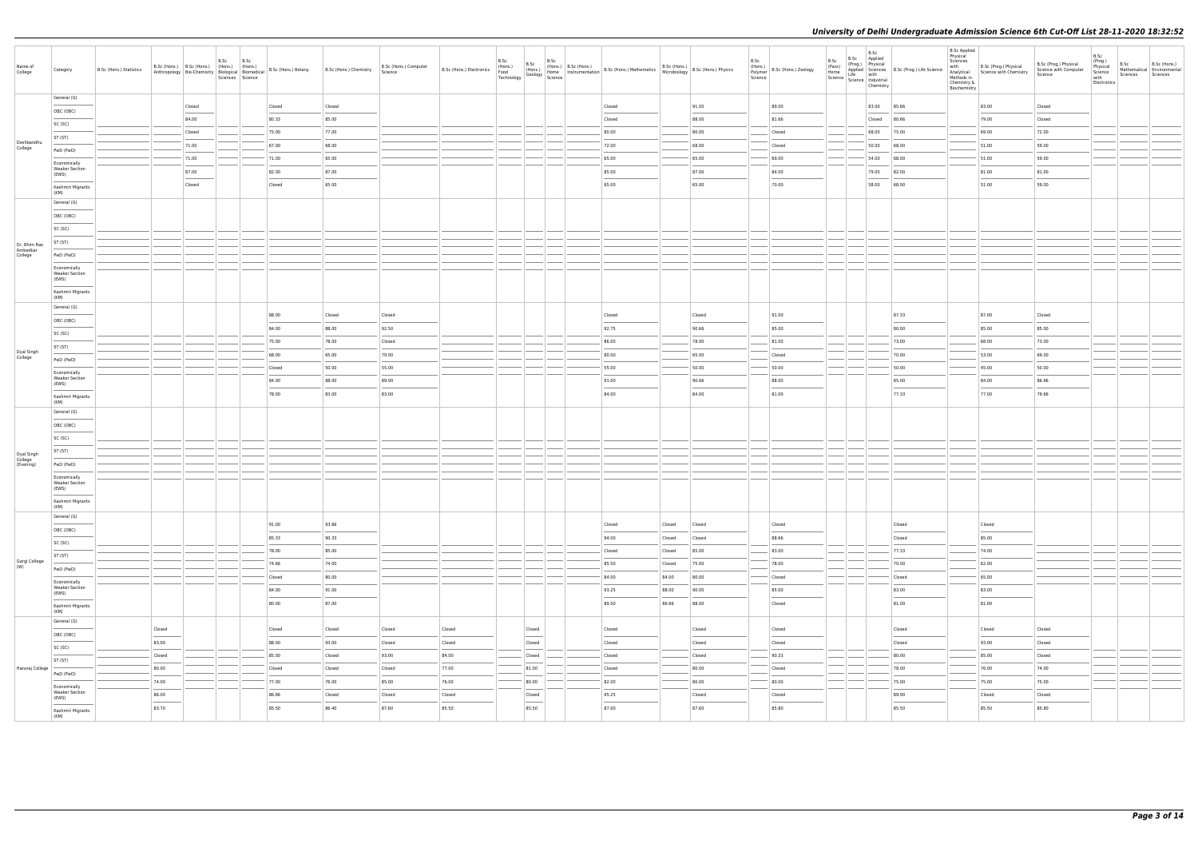| Name of<br>College                 | Category                                       | B.Sc (Hons.) Statistics |               |        | B.Sc B.Sc<br>B.Sc (Hons.) B.Sc (Hons.) (Hons.) (Hons.)<br>Anthropology   Bio-Chemistry   Biological   Biomedical   B.Sc (Hons.) Botany<br>Sciences Science |        | B.Sc (Hons.) Chemistry | B.Sc (Hons.) Computer<br>Science | B.Sc (Hons.) Electronics $\begin{bmatrix} 17001337 \\ \text{Food} \\ \text{Technology} \\ \end{bmatrix} \begin{bmatrix} 17001337 \\ \text{Geology} \\ \text{Science} \\ \end{bmatrix}$ | B.Sc | B.Sc<br>(Hons.)                                                                                                                                                                                                                                                                                                                                                                                                                                                                     | B.Sc | (Hons.)   B.Sc (Hons.) | Home   Instrumentation   B.Sc (Hons.) Mathematics   B.Sc (Hons.)<br>  Home   Instrumentation   B.Sc (Hons.) Mathematics   Microbiology |        | $\left  \begin{array}{l} \text{B.Sc (Hons.)} \\ \text{F} \end{array} \right $ B.Sc (Hons.) Physics | B.Sc<br>(Hons.)<br>Polymer<br>Science | B.Sc (Hons.) Zoology | B.Sc<br>(Pass) | B.Sc<br>B.Sc Applied<br>(Prog.) Physical<br>Chemistry | Trass)<br>Home Life Science<br>Science Life Multiple Science<br>Science Industrial<br>Science Industrial | <b>B.Sc Applied</b><br>Physical<br>Sciences<br>with<br>Methods in<br>Chemistry &<br>Biochemistry | B.Sc (Prog.) Physical<br>Analytical Science with Chemistry | B.Sc (Prog.) Physical<br>Science with Computer<br>Science | B.Sc<br>(Prog.)<br>Physical<br>Science<br>with<br>Electronics | B.Sc<br>Mathematical Environmental<br>Sciences Sciences | B.Sc (Hons.) |
|------------------------------------|------------------------------------------------|-------------------------|---------------|--------|------------------------------------------------------------------------------------------------------------------------------------------------------------|--------|------------------------|----------------------------------|----------------------------------------------------------------------------------------------------------------------------------------------------------------------------------------|------|-------------------------------------------------------------------------------------------------------------------------------------------------------------------------------------------------------------------------------------------------------------------------------------------------------------------------------------------------------------------------------------------------------------------------------------------------------------------------------------|------|------------------------|----------------------------------------------------------------------------------------------------------------------------------------|--------|----------------------------------------------------------------------------------------------------|---------------------------------------|----------------------|----------------|-------------------------------------------------------|----------------------------------------------------------------------------------------------------------|--------------------------------------------------------------------------------------------------|------------------------------------------------------------|-----------------------------------------------------------|---------------------------------------------------------------|---------------------------------------------------------|--------------|
|                                    | General (G)                                    |                         |               |        |                                                                                                                                                            |        |                        |                                  |                                                                                                                                                                                        |      |                                                                                                                                                                                                                                                                                                                                                                                                                                                                                     |      |                        |                                                                                                                                        |        |                                                                                                    |                                       |                      |                |                                                       |                                                                                                          |                                                                                                  |                                                            |                                                           |                                                               |                                                         |              |
|                                    | OBC (OBC)                                      |                         |               | Closed |                                                                                                                                                            | Closed | Closed                 |                                  |                                                                                                                                                                                        |      |                                                                                                                                                                                                                                                                                                                                                                                                                                                                                     |      |                        | Closed                                                                                                                                 |        | 91.00                                                                                              |                                       | 89.00                |                |                                                       | 83.00 85.66                                                                                              |                                                                                                  | 83.00                                                      | Closed                                                    |                                                               |                                                         |              |
|                                    | SC (SC)                                        |                         |               | 84.00  |                                                                                                                                                            | 80.33  | 85.00                  |                                  |                                                                                                                                                                                        |      |                                                                                                                                                                                                                                                                                                                                                                                                                                                                                     |      |                        | Closed                                                                                                                                 |        | 88.00                                                                                              |                                       | 81.66                |                | Closed                                                | 80.66                                                                                                    |                                                                                                  | 79.00                                                      | Closed                                                    |                                                               |                                                         |              |
|                                    | ST (ST)                                        |                         |               | Closed |                                                                                                                                                            | 75.00  | 77.00                  |                                  |                                                                                                                                                                                        |      |                                                                                                                                                                                                                                                                                                                                                                                                                                                                                     |      |                        | 80.00                                                                                                                                  |        | 80.00                                                                                              |                                       | Closed               |                |                                                       | 68.00 75.00                                                                                              |                                                                                                  | 69.00                                                      | 72.00                                                     |                                                               |                                                         |              |
| Deshbandhu<br>College              | PwD (PwD)                                      |                         |               | 71.00  |                                                                                                                                                            | 67.00  | 68.00                  |                                  |                                                                                                                                                                                        |      |                                                                                                                                                                                                                                                                                                                                                                                                                                                                                     |      |                        | 72.00                                                                                                                                  |        | 68.00                                                                                              |                                       | Closed               |                | 50.00                                                 | 68.00                                                                                                    |                                                                                                  | 51.00                                                      | 59.00                                                     |                                                               |                                                         |              |
|                                    |                                                |                         |               | 71.00  |                                                                                                                                                            | 71.00  | 65.00                  |                                  |                                                                                                                                                                                        |      |                                                                                                                                                                                                                                                                                                                                                                                                                                                                                     |      |                        | 65.00                                                                                                                                  |        | 65.00                                                                                              |                                       | 69.00                |                | 54.00                                                 | 68.00                                                                                                    |                                                                                                  | 51.00                                                      | 59.00                                                     |                                                               |                                                         |              |
|                                    | Economically<br><b>Weaker Section</b><br>(EWS) |                         |               | 87.00  |                                                                                                                                                            | 82.00  | 87.00                  |                                  |                                                                                                                                                                                        |      |                                                                                                                                                                                                                                                                                                                                                                                                                                                                                     |      |                        | 85.00                                                                                                                                  |        | 87.00                                                                                              |                                       | 84.00                |                | 79.00                                                 | 82.00                                                                                                    |                                                                                                  | 81.00                                                      | 81.00                                                     |                                                               |                                                         |              |
|                                    | Kashmiri Migrants                              |                         |               | Closed |                                                                                                                                                            | Closed | 65.00                  |                                  |                                                                                                                                                                                        |      |                                                                                                                                                                                                                                                                                                                                                                                                                                                                                     |      |                        | 65.00                                                                                                                                  |        | 65.00                                                                                              |                                       | 70.00                |                | 58.00                                                 | 68.00                                                                                                    |                                                                                                  | 51.00                                                      | 59.00                                                     |                                                               |                                                         |              |
|                                    | (KM)                                           |                         |               |        |                                                                                                                                                            |        |                        |                                  |                                                                                                                                                                                        |      |                                                                                                                                                                                                                                                                                                                                                                                                                                                                                     |      |                        |                                                                                                                                        |        |                                                                                                    |                                       |                      |                |                                                       |                                                                                                          |                                                                                                  |                                                            |                                                           |                                                               |                                                         |              |
|                                    | General (G)                                    |                         |               |        |                                                                                                                                                            |        |                        |                                  |                                                                                                                                                                                        |      |                                                                                                                                                                                                                                                                                                                                                                                                                                                                                     |      |                        |                                                                                                                                        |        |                                                                                                    |                                       |                      |                |                                                       |                                                                                                          |                                                                                                  |                                                            |                                                           |                                                               |                                                         |              |
|                                    | OBC (OBC)                                      |                         |               |        |                                                                                                                                                            |        |                        |                                  |                                                                                                                                                                                        |      |                                                                                                                                                                                                                                                                                                                                                                                                                                                                                     |      |                        |                                                                                                                                        |        |                                                                                                    |                                       |                      |                |                                                       |                                                                                                          |                                                                                                  |                                                            |                                                           |                                                               |                                                         |              |
|                                    | SC (SC)                                        |                         |               |        |                                                                                                                                                            |        |                        |                                  |                                                                                                                                                                                        |      |                                                                                                                                                                                                                                                                                                                                                                                                                                                                                     |      |                        |                                                                                                                                        |        |                                                                                                    |                                       |                      |                |                                                       |                                                                                                          |                                                                                                  |                                                            |                                                           |                                                               |                                                         |              |
| Dr. Bhim Rao                       | ST (ST)                                        |                         |               |        |                                                                                                                                                            |        |                        |                                  |                                                                                                                                                                                        |      |                                                                                                                                                                                                                                                                                                                                                                                                                                                                                     |      |                        |                                                                                                                                        |        |                                                                                                    |                                       |                      |                |                                                       |                                                                                                          |                                                                                                  |                                                            |                                                           |                                                               |                                                         |              |
| Ambedkar<br>College                | PwD (PwD)                                      |                         |               |        |                                                                                                                                                            |        |                        |                                  |                                                                                                                                                                                        |      |                                                                                                                                                                                                                                                                                                                                                                                                                                                                                     |      |                        |                                                                                                                                        |        |                                                                                                    |                                       |                      |                |                                                       |                                                                                                          |                                                                                                  |                                                            |                                                           |                                                               |                                                         |              |
|                                    | Economically                                   |                         |               |        |                                                                                                                                                            |        |                        |                                  |                                                                                                                                                                                        |      |                                                                                                                                                                                                                                                                                                                                                                                                                                                                                     |      |                        |                                                                                                                                        |        |                                                                                                    |                                       |                      |                |                                                       |                                                                                                          |                                                                                                  |                                                            |                                                           |                                                               |                                                         |              |
|                                    | <b>Weaker Section</b><br>(EWS)                 |                         |               |        |                                                                                                                                                            |        |                        |                                  |                                                                                                                                                                                        |      |                                                                                                                                                                                                                                                                                                                                                                                                                                                                                     |      |                        |                                                                                                                                        |        |                                                                                                    |                                       |                      |                |                                                       |                                                                                                          |                                                                                                  |                                                            |                                                           |                                                               |                                                         |              |
|                                    | Kashmiri Migrants<br>(KM)                      |                         |               |        |                                                                                                                                                            |        |                        |                                  |                                                                                                                                                                                        |      |                                                                                                                                                                                                                                                                                                                                                                                                                                                                                     |      |                        |                                                                                                                                        |        |                                                                                                    |                                       |                      |                |                                                       |                                                                                                          |                                                                                                  |                                                            |                                                           |                                                               |                                                         |              |
|                                    | General (G)                                    |                         |               |        |                                                                                                                                                            |        |                        |                                  |                                                                                                                                                                                        |      |                                                                                                                                                                                                                                                                                                                                                                                                                                                                                     |      |                        |                                                                                                                                        |        |                                                                                                    |                                       |                      |                |                                                       |                                                                                                          |                                                                                                  |                                                            |                                                           |                                                               |                                                         |              |
|                                    | OBC (OBC)                                      |                         |               |        |                                                                                                                                                            | 88.00  | Closed                 | Closed                           |                                                                                                                                                                                        |      |                                                                                                                                                                                                                                                                                                                                                                                                                                                                                     |      |                        | Closed                                                                                                                                 |        | Closed                                                                                             |                                       | 91.00                |                |                                                       | 87.33                                                                                                    |                                                                                                  | 87.00                                                      | Closed                                                    |                                                               |                                                         |              |
|                                    | SC (SC)                                        |                         |               |        |                                                                                                                                                            | 84.00  | 88.00                  | 92.50                            |                                                                                                                                                                                        |      |                                                                                                                                                                                                                                                                                                                                                                                                                                                                                     |      |                        | 92.75                                                                                                                                  |        | 90.66                                                                                              |                                       | 85.00                |                |                                                       | 80.00                                                                                                    |                                                                                                  | 85.00                                                      | 85.00                                                     |                                                               |                                                         |              |
|                                    | ST (ST)                                        |                         |               |        |                                                                                                                                                            | 75.00  | 78.00                  | Closed                           |                                                                                                                                                                                        |      |                                                                                                                                                                                                                                                                                                                                                                                                                                                                                     |      |                        | 86.00                                                                                                                                  |        | 78.00                                                                                              |                                       | 81.00                |                |                                                       | 73.00                                                                                                    |                                                                                                  | 68.00                                                      | 73.00                                                     |                                                               |                                                         |              |
| Dyal Singh<br>College              |                                                |                         |               |        |                                                                                                                                                            | 68.00  | 65.00                  | 79.00                            |                                                                                                                                                                                        |      |                                                                                                                                                                                                                                                                                                                                                                                                                                                                                     |      |                        | 80.00                                                                                                                                  |        | 65.00                                                                                              |                                       | Closed               |                |                                                       | 70.00                                                                                                    |                                                                                                  | 53.00                                                      | 69.00                                                     |                                                               |                                                         |              |
|                                    | PwD (PwD)                                      |                         |               |        |                                                                                                                                                            | Closed | 50.00                  | 55.00                            |                                                                                                                                                                                        |      |                                                                                                                                                                                                                                                                                                                                                                                                                                                                                     |      |                        | 55.00                                                                                                                                  |        | 50.00                                                                                              |                                       | 50.00                |                |                                                       | 50.00                                                                                                    |                                                                                                  | 45.00                                                      | 50.00                                                     |                                                               |                                                         |              |
|                                    | Economically<br><b>Weaker Section</b>          |                         |               |        |                                                                                                                                                            | 84.00  | 88.00                  | 89.00                            |                                                                                                                                                                                        |      |                                                                                                                                                                                                                                                                                                                                                                                                                                                                                     |      |                        | 91.00                                                                                                                                  |        | 90.66                                                                                              |                                       | 88.00                |                |                                                       | 85.00                                                                                                    |                                                                                                  | 84.00                                                      | 86.66                                                     |                                                               |                                                         |              |
|                                    | (EWS)                                          |                         |               |        |                                                                                                                                                            | 78.00  | 83.00                  | 83.00                            |                                                                                                                                                                                        |      |                                                                                                                                                                                                                                                                                                                                                                                                                                                                                     |      |                        | 84.00                                                                                                                                  |        | 84.00                                                                                              |                                       | 81.00                |                |                                                       | 77.33                                                                                                    |                                                                                                  | 77.00                                                      | 79.66                                                     |                                                               |                                                         |              |
|                                    | Kashmiri Migrants<br>(KM)                      |                         |               |        |                                                                                                                                                            |        |                        |                                  |                                                                                                                                                                                        |      |                                                                                                                                                                                                                                                                                                                                                                                                                                                                                     |      |                        |                                                                                                                                        |        |                                                                                                    |                                       |                      |                |                                                       |                                                                                                          |                                                                                                  |                                                            |                                                           |                                                               |                                                         |              |
|                                    | General (G)                                    |                         |               |        |                                                                                                                                                            |        |                        |                                  |                                                                                                                                                                                        |      |                                                                                                                                                                                                                                                                                                                                                                                                                                                                                     |      |                        |                                                                                                                                        |        |                                                                                                    |                                       |                      |                |                                                       |                                                                                                          |                                                                                                  |                                                            |                                                           |                                                               |                                                         |              |
|                                    | OBC (OBC)                                      |                         |               |        |                                                                                                                                                            |        |                        |                                  |                                                                                                                                                                                        |      |                                                                                                                                                                                                                                                                                                                                                                                                                                                                                     |      |                        |                                                                                                                                        |        |                                                                                                    |                                       |                      |                |                                                       |                                                                                                          |                                                                                                  |                                                            |                                                           |                                                               |                                                         |              |
|                                    | SC (SC)                                        |                         |               |        |                                                                                                                                                            |        |                        |                                  |                                                                                                                                                                                        |      |                                                                                                                                                                                                                                                                                                                                                                                                                                                                                     |      |                        |                                                                                                                                        |        |                                                                                                    |                                       |                      |                |                                                       |                                                                                                          |                                                                                                  |                                                            |                                                           |                                                               |                                                         |              |
|                                    | ST (ST)                                        |                         |               |        |                                                                                                                                                            |        |                        |                                  |                                                                                                                                                                                        |      |                                                                                                                                                                                                                                                                                                                                                                                                                                                                                     |      |                        |                                                                                                                                        |        |                                                                                                    |                                       |                      |                |                                                       |                                                                                                          |                                                                                                  |                                                            |                                                           |                                                               |                                                         |              |
| Dyal Singh<br>College<br>(Evening) | PwD (PwD)                                      |                         |               |        |                                                                                                                                                            |        |                        |                                  |                                                                                                                                                                                        |      |                                                                                                                                                                                                                                                                                                                                                                                                                                                                                     |      |                        |                                                                                                                                        |        |                                                                                                    |                                       |                      |                |                                                       |                                                                                                          |                                                                                                  |                                                            |                                                           |                                                               |                                                         |              |
|                                    | Economically                                   |                         |               |        |                                                                                                                                                            |        |                        |                                  |                                                                                                                                                                                        |      |                                                                                                                                                                                                                                                                                                                                                                                                                                                                                     |      |                        |                                                                                                                                        |        |                                                                                                    |                                       |                      |                |                                                       |                                                                                                          |                                                                                                  |                                                            |                                                           |                                                               |                                                         |              |
|                                    | <b>Weaker Section</b><br>(EWS)                 |                         |               |        |                                                                                                                                                            |        |                        |                                  |                                                                                                                                                                                        |      |                                                                                                                                                                                                                                                                                                                                                                                                                                                                                     |      |                        |                                                                                                                                        |        |                                                                                                    |                                       |                      |                |                                                       |                                                                                                          |                                                                                                  |                                                            |                                                           |                                                               |                                                         |              |
|                                    | Kashmiri Migrants<br>(KM)                      |                         |               |        |                                                                                                                                                            |        |                        |                                  |                                                                                                                                                                                        |      |                                                                                                                                                                                                                                                                                                                                                                                                                                                                                     |      |                        |                                                                                                                                        |        |                                                                                                    |                                       |                      |                |                                                       |                                                                                                          |                                                                                                  |                                                            |                                                           |                                                               |                                                         |              |
|                                    | General (G)                                    |                         |               |        |                                                                                                                                                            |        |                        |                                  |                                                                                                                                                                                        |      |                                                                                                                                                                                                                                                                                                                                                                                                                                                                                     |      |                        |                                                                                                                                        |        |                                                                                                    |                                       |                      |                |                                                       |                                                                                                          |                                                                                                  |                                                            |                                                           |                                                               |                                                         |              |
|                                    | OBC (OBC)                                      |                         |               |        |                                                                                                                                                            | 91.00  | 93.66                  |                                  |                                                                                                                                                                                        |      |                                                                                                                                                                                                                                                                                                                                                                                                                                                                                     |      |                        | Closed                                                                                                                                 | Closed | Closed                                                                                             |                                       | Closed               |                |                                                       | Closed                                                                                                   |                                                                                                  | Closed                                                     |                                                           |                                                               |                                                         |              |
|                                    | SC (SC)                                        |                         |               |        |                                                                                                                                                            | 85.33  | 90.33                  |                                  |                                                                                                                                                                                        |      |                                                                                                                                                                                                                                                                                                                                                                                                                                                                                     |      |                        | 94.00                                                                                                                                  | Closed | Closed                                                                                             |                                       | 88.66                |                |                                                       | Closed                                                                                                   |                                                                                                  | 85.00                                                      |                                                           |                                                               |                                                         |              |
|                                    | ST (ST)                                        |                         |               |        |                                                                                                                                                            | 78.00  | 85.00                  |                                  |                                                                                                                                                                                        |      |                                                                                                                                                                                                                                                                                                                                                                                                                                                                                     |      |                        | Closed                                                                                                                                 | Closed | 85.00                                                                                              |                                       | 83.00                |                |                                                       | 77.33                                                                                                    |                                                                                                  | 74.00                                                      |                                                           |                                                               |                                                         |              |
| Gargi College<br>(W)               | PwD (PwD)                                      |                         |               |        |                                                                                                                                                            | 74.66  | 74.00                  |                                  |                                                                                                                                                                                        |      |                                                                                                                                                                                                                                                                                                                                                                                                                                                                                     |      |                        | 85.50                                                                                                                                  | Closed | 75.00                                                                                              |                                       | 78.00                |                |                                                       | 70.00                                                                                                    |                                                                                                  | 62.00                                                      |                                                           |                                                               |                                                         |              |
|                                    | Economically                                   |                         |               |        |                                                                                                                                                            | Closed | 80.00                  |                                  |                                                                                                                                                                                        |      |                                                                                                                                                                                                                                                                                                                                                                                                                                                                                     |      |                        | 84.00                                                                                                                                  | 84.00  | 80.00                                                                                              |                                       | Closed               |                |                                                       | Closed                                                                                                   |                                                                                                  | 65.00                                                      |                                                           |                                                               |                                                         |              |
|                                    | <b>Weaker Section</b><br>(EWS)                 |                         |               |        |                                                                                                                                                            | 84.00  | 91.00                  |                                  |                                                                                                                                                                                        |      |                                                                                                                                                                                                                                                                                                                                                                                                                                                                                     |      |                        | 93.25                                                                                                                                  | 88.00  | 90.00                                                                                              |                                       | 85.00                |                |                                                       | 83.00                                                                                                    |                                                                                                  | 83.00                                                      |                                                           |                                                               |                                                         |              |
|                                    |                                                |                         |               |        |                                                                                                                                                            | 80.00  | 87.00                  |                                  |                                                                                                                                                                                        |      |                                                                                                                                                                                                                                                                                                                                                                                                                                                                                     |      |                        | 89.50                                                                                                                                  | 86.66  | 88.00                                                                                              |                                       | Closed               |                |                                                       | 81.00                                                                                                    |                                                                                                  | 81.00                                                      |                                                           |                                                               |                                                         |              |
|                                    | Kashmiri Migrants<br>(KM)                      |                         |               |        |                                                                                                                                                            |        |                        |                                  |                                                                                                                                                                                        |      |                                                                                                                                                                                                                                                                                                                                                                                                                                                                                     |      |                        |                                                                                                                                        |        |                                                                                                    |                                       |                      |                |                                                       |                                                                                                          |                                                                                                  |                                                            |                                                           |                                                               |                                                         |              |
|                                    | General (G)                                    |                         | Closed        |        |                                                                                                                                                            | Closed | Closed                 | Closed                           | Closed                                                                                                                                                                                 |      | Closed                                                                                                                                                                                                                                                                                                                                                                                                                                                                              |      |                        | Closed                                                                                                                                 |        | Closed                                                                                             |                                       | Closed               |                |                                                       | Closed                                                                                                   |                                                                                                  | Closed                                                     | Closed                                                    |                                                               |                                                         |              |
|                                    | OBC (OBC)                                      |                         |               |        |                                                                                                                                                            |        |                        |                                  |                                                                                                                                                                                        |      |                                                                                                                                                                                                                                                                                                                                                                                                                                                                                     |      |                        |                                                                                                                                        |        |                                                                                                    |                                       |                      |                |                                                       |                                                                                                          |                                                                                                  |                                                            |                                                           |                                                               |                                                         |              |
|                                    | SC (SC)                                        |                         | 83.00         |        |                                                                                                                                                            | 88.00  | 93.00                  | Closed                           | Closed                                                                                                                                                                                 |      | Closed                                                                                                                                                                                                                                                                                                                                                                                                                                                                              |      |                        | Closed                                                                                                                                 |        | Closed                                                                                             |                                       | Closed               |                |                                                       | Closed                                                                                                   |                                                                                                  | 93.00                                                      | Closed                                                    |                                                               |                                                         |              |
|                                    | ST (ST)                                        |                         | <b>Closed</b> |        |                                                                                                                                                            | 85.00  | Closed                 | 93.00                            | 84.00                                                                                                                                                                                  |      | Closed                                                                                                                                                                                                                                                                                                                                                                                                                                                                              |      |                        | Closed                                                                                                                                 |        | Closed                                                                                             |                                       | 90.33                |                |                                                       | 80.00                                                                                                    |                                                                                                  | 85.00                                                      | Closed                                                    |                                                               |                                                         |              |
| Hansraj College                    | PwD (PwD)                                      |                         | 80.00         |        |                                                                                                                                                            | Closed | Closed                 | Closed                           | 77.00                                                                                                                                                                                  |      | 81.00                                                                                                                                                                                                                                                                                                                                                                                                                                                                               |      |                        | Closed                                                                                                                                 |        | 80.00                                                                                              |                                       | Closed               |                |                                                       | 78.00                                                                                                    |                                                                                                  | 76.00                                                      | 74.00                                                     |                                                               |                                                         |              |
|                                    | Economically                                   |                         | 74.00         |        |                                                                                                                                                            | 77.00  | 76.00                  | 85.00                            | 76.00                                                                                                                                                                                  |      | 80.00                                                                                                                                                                                                                                                                                                                                                                                                                                                                               |      |                        | 82.00                                                                                                                                  |        | 80.00                                                                                              |                                       | 80.00                |                |                                                       | 75.00                                                                                                    |                                                                                                  | 75.00                                                      | 75.00                                                     |                                                               |                                                         |              |
|                                    | <b>Weaker Section</b><br>(EWS)                 |                         | 86.00         |        |                                                                                                                                                            | 86.66  | Closed                 | Closed                           | Closed                                                                                                                                                                                 |      | Closed                                                                                                                                                                                                                                                                                                                                                                                                                                                                              |      |                        | 95.25                                                                                                                                  |        | Closed                                                                                             |                                       | Closed               |                |                                                       | 89.00                                                                                                    |                                                                                                  | Closed                                                     | Closed                                                    |                                                               |                                                         |              |
|                                    | Kashmiri Migrants<br>(KM)                      |                         | 83.70         |        |                                                                                                                                                            | 85.50  | 86.40                  | 87.60                            | 85.50                                                                                                                                                                                  |      | $\frac{1}{2} \left( \frac{1}{2} \right) \left( \frac{1}{2} \right) \left( \frac{1}{2} \right) \left( \frac{1}{2} \right) \left( \frac{1}{2} \right) \left( \frac{1}{2} \right) \left( \frac{1}{2} \right) \left( \frac{1}{2} \right) \left( \frac{1}{2} \right) \left( \frac{1}{2} \right) \left( \frac{1}{2} \right) \left( \frac{1}{2} \right) \left( \frac{1}{2} \right) \left( \frac{1}{2} \right) \left( \frac{1}{2} \right) \left( \frac{1}{2} \right) \left( \frac$<br>85.50 |      |                        | 87.00                                                                                                                                  |        | 87.60                                                                                              |                                       | 85.80                |                |                                                       | 85.50                                                                                                    |                                                                                                  | 85.50                                                      | 85.80                                                     |                                                               |                                                         |              |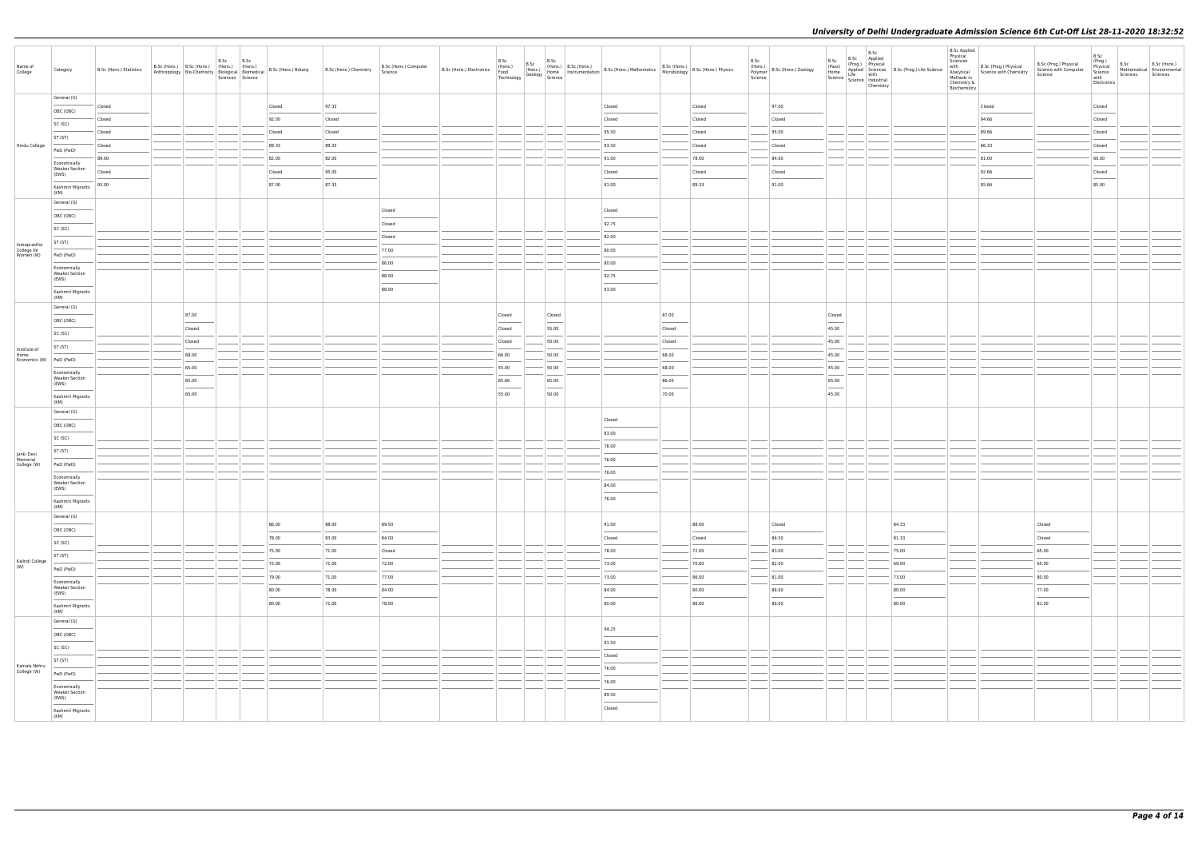| Name of<br>College                       | Category                                                                                                                                                                                                                                                                                                                                                                                                                                                                                                         | B.Sc (Hons.) Statistics | B.Sc (Hons.) B.Sc (Hons.) (Hons.) (Hons.) |                | B.Sc<br>Sciences Science | B.Sc |                | B.Sc (Hons.) B.Sc (Hons.) (Hons.) (Hons.) B.Sc (Hons.) Botany B.Sc (Hons.) Chemistry B.Sc (Hondel Biornedical Biomedical B.Sc (Hons.) Botany Science | B.Sc (Hons.) Computer | B.Sc<br>B.Sc           | B.Sc                              | B.Sc (Hons.) (Hons.) (Hons.) (Hons.) B.Sc (Hons.) B.Sc (Hons.) Mathematics B.Sc (Hons.) (Mons.) (Hons.) (Hons.) (Hons.) (Hons.) (Hons.) (Hons.) (Hons.) (Hons.) (Hons.) (Hons.) (Hons.) (Hons.) (Hons.) (Hons.) (Hons.) (Hons. |                                                     |                 | B.Sc<br>Science | (Hons.)<br>Polymer B.Sc (Hons.) Zoology | B.Sc<br>(Pass)                    | B.Sc<br>B.Sc Applied<br>(Prog.) Physical<br>Chemistry | (Pass)<br>Home<br>Home<br>Science<br>Science<br>Science<br>Science<br>Industrial<br>Science<br>Industrial<br>Science<br>Industrial<br>Science<br>Science<br>Science<br>Science<br>Science<br>Science<br>Science<br>Science<br>Science<br>Science<br>Science<br>Science<br>Scie | <b>B.Sc Applied</b><br>Physical<br>Sciences<br>with<br>Chemistry &<br>Biochemistry | B.Sc (Prog.) Physical<br>Analytical Science with Chemistry<br>Methods in | B.Sc (Prog.) Physical<br>Science with Computer<br>Science                                                                                                                                                                                                                                                                                                                                                                                                                            | B.Sc<br>(Prog.)<br>Physical<br>Science<br>with<br>Electronics | B.Sc<br>Sciences | B.Sc (Hons.)<br>Mathematical Environmental<br>Sciences |
|------------------------------------------|------------------------------------------------------------------------------------------------------------------------------------------------------------------------------------------------------------------------------------------------------------------------------------------------------------------------------------------------------------------------------------------------------------------------------------------------------------------------------------------------------------------|-------------------------|-------------------------------------------|----------------|--------------------------|------|----------------|------------------------------------------------------------------------------------------------------------------------------------------------------|-----------------------|------------------------|-----------------------------------|--------------------------------------------------------------------------------------------------------------------------------------------------------------------------------------------------------------------------------|-----------------------------------------------------|-----------------|-----------------|-----------------------------------------|-----------------------------------|-------------------------------------------------------|--------------------------------------------------------------------------------------------------------------------------------------------------------------------------------------------------------------------------------------------------------------------------------|------------------------------------------------------------------------------------|--------------------------------------------------------------------------|--------------------------------------------------------------------------------------------------------------------------------------------------------------------------------------------------------------------------------------------------------------------------------------------------------------------------------------------------------------------------------------------------------------------------------------------------------------------------------------|---------------------------------------------------------------|------------------|--------------------------------------------------------|
|                                          | General (G)                                                                                                                                                                                                                                                                                                                                                                                                                                                                                                      | Closed                  |                                           |                |                          |      | Closed         | 97.33                                                                                                                                                |                       |                        |                                   | Closed                                                                                                                                                                                                                         |                                                     | Closed          |                 | 97.00                                   |                                   |                                                       |                                                                                                                                                                                                                                                                                |                                                                                    | Closed                                                                   |                                                                                                                                                                                                                                                                                                                                                                                                                                                                                      | Closed                                                        |                  |                                                        |
|                                          | OBC (OBC)                                                                                                                                                                                                                                                                                                                                                                                                                                                                                                        | Closed                  |                                           |                |                          |      | 92.00          | Closed                                                                                                                                               |                       |                        |                                   | Closed                                                                                                                                                                                                                         |                                                     | Closed          |                 | Closed                                  |                                   |                                                       |                                                                                                                                                                                                                                                                                |                                                                                    | 94.66                                                                    |                                                                                                                                                                                                                                                                                                                                                                                                                                                                                      | Closed                                                        |                  |                                                        |
|                                          | SC (SC)                                                                                                                                                                                                                                                                                                                                                                                                                                                                                                          | Closed                  |                                           |                |                          |      | Closed         | Closed                                                                                                                                               |                       |                        |                                   | 95.50                                                                                                                                                                                                                          |                                                     | Closed          |                 | 95.00                                   |                                   |                                                       |                                                                                                                                                                                                                                                                                |                                                                                    | 89.66                                                                    |                                                                                                                                                                                                                                                                                                                                                                                                                                                                                      | Closed                                                        |                  |                                                        |
| Hindu College                            | ST (ST)                                                                                                                                                                                                                                                                                                                                                                                                                                                                                                          | Closed                  |                                           |                |                          |      | 89.33          | 89.33                                                                                                                                                |                       |                        |                                   | 93.50                                                                                                                                                                                                                          |                                                     | Closed          |                 | Closed                                  |                                   |                                                       |                                                                                                                                                                                                                                                                                |                                                                                    | 86.33                                                                    |                                                                                                                                                                                                                                                                                                                                                                                                                                                                                      | Closed                                                        |                  |                                                        |
|                                          | PwD (PwD)                                                                                                                                                                                                                                                                                                                                                                                                                                                                                                        | 89.00                   |                                           |                |                          |      | 82.00          | 82.00                                                                                                                                                |                       |                        |                                   | 91.00                                                                                                                                                                                                                          |                                                     | 78.00           |                 | 84.00                                   |                                   |                                                       |                                                                                                                                                                                                                                                                                |                                                                                    | 81.00                                                                    |                                                                                                                                                                                                                                                                                                                                                                                                                                                                                      | 60.00                                                         |                  |                                                        |
|                                          | Economically<br><b>Weaker Section</b>                                                                                                                                                                                                                                                                                                                                                                                                                                                                            | Closed                  |                                           |                |                          |      | Closed         | 95.00                                                                                                                                                |                       |                        |                                   | Closed                                                                                                                                                                                                                         |                                                     | Closed          |                 | Closed                                  |                                   |                                                       |                                                                                                                                                                                                                                                                                |                                                                                    | 92.66                                                                    |                                                                                                                                                                                                                                                                                                                                                                                                                                                                                      | Closed                                                        |                  |                                                        |
|                                          | (EWS)                                                                                                                                                                                                                                                                                                                                                                                                                                                                                                            | 93.00                   |                                           |                |                          |      | 87.00          | 87.33                                                                                                                                                |                       |                        |                                   | 91.00                                                                                                                                                                                                                          |                                                     | 89.33           |                 | 91.00                                   |                                   |                                                       |                                                                                                                                                                                                                                                                                |                                                                                    | $\overline{\phantom{a}}$<br>85.66                                        |                                                                                                                                                                                                                                                                                                                                                                                                                                                                                      | 85.00                                                         |                  |                                                        |
|                                          | Kashmiri Migrants<br>(KM)                                                                                                                                                                                                                                                                                                                                                                                                                                                                                        |                         |                                           |                |                          |      |                |                                                                                                                                                      |                       |                        |                                   |                                                                                                                                                                                                                                |                                                     |                 |                 |                                         |                                   |                                                       |                                                                                                                                                                                                                                                                                |                                                                                    |                                                                          |                                                                                                                                                                                                                                                                                                                                                                                                                                                                                      |                                                               |                  |                                                        |
|                                          | General (G)                                                                                                                                                                                                                                                                                                                                                                                                                                                                                                      |                         |                                           |                |                          |      |                |                                                                                                                                                      | Closed                |                        |                                   | Closed                                                                                                                                                                                                                         |                                                     |                 |                 |                                         |                                   |                                                       |                                                                                                                                                                                                                                                                                |                                                                                    |                                                                          |                                                                                                                                                                                                                                                                                                                                                                                                                                                                                      |                                                               |                  |                                                        |
|                                          | OBC (OBC)                                                                                                                                                                                                                                                                                                                                                                                                                                                                                                        |                         |                                           |                |                          |      |                |                                                                                                                                                      | Closed                |                        |                                   | 92.75                                                                                                                                                                                                                          |                                                     |                 |                 |                                         |                                   |                                                       |                                                                                                                                                                                                                                                                                |                                                                                    |                                                                          |                                                                                                                                                                                                                                                                                                                                                                                                                                                                                      |                                                               |                  |                                                        |
|                                          | SC (SC)                                                                                                                                                                                                                                                                                                                                                                                                                                                                                                          |                         |                                           |                |                          |      |                |                                                                                                                                                      | Closed                |                        |                                   | 82.00                                                                                                                                                                                                                          |                                                     |                 |                 |                                         |                                   |                                                       |                                                                                                                                                                                                                                                                                |                                                                                    |                                                                          |                                                                                                                                                                                                                                                                                                                                                                                                                                                                                      |                                                               |                  |                                                        |
| Indraprastha<br>College for<br>Women (W) | ST (ST)                                                                                                                                                                                                                                                                                                                                                                                                                                                                                                          |                         |                                           |                |                          |      |                |                                                                                                                                                      | 77.00                 |                        |                                   | 80.00                                                                                                                                                                                                                          |                                                     |                 |                 |                                         |                                   |                                                       |                                                                                                                                                                                                                                                                                |                                                                                    |                                                                          |                                                                                                                                                                                                                                                                                                                                                                                                                                                                                      |                                                               |                  |                                                        |
|                                          | PwD (PwD)                                                                                                                                                                                                                                                                                                                                                                                                                                                                                                        |                         |                                           |                |                          |      |                |                                                                                                                                                      | 86.00                 |                        |                                   | 80.00                                                                                                                                                                                                                          |                                                     |                 |                 |                                         |                                   |                                                       |                                                                                                                                                                                                                                                                                |                                                                                    |                                                                          |                                                                                                                                                                                                                                                                                                                                                                                                                                                                                      |                                                               |                  |                                                        |
|                                          | Economically<br><b>Weaker Section</b><br>(EWS)                                                                                                                                                                                                                                                                                                                                                                                                                                                                   |                         |                                           |                |                          |      |                |                                                                                                                                                      | 88.00                 |                        |                                   | 92.75                                                                                                                                                                                                                          |                                                     |                 |                 |                                         |                                   |                                                       |                                                                                                                                                                                                                                                                                |                                                                                    |                                                                          |                                                                                                                                                                                                                                                                                                                                                                                                                                                                                      |                                                               |                  |                                                        |
|                                          | Kashmiri Migrants<br>(KM)                                                                                                                                                                                                                                                                                                                                                                                                                                                                                        |                         |                                           |                |                          |      |                |                                                                                                                                                      | 88.00                 |                        |                                   | 93.00                                                                                                                                                                                                                          |                                                     |                 |                 |                                         |                                   |                                                       |                                                                                                                                                                                                                                                                                |                                                                                    |                                                                          |                                                                                                                                                                                                                                                                                                                                                                                                                                                                                      |                                                               |                  |                                                        |
|                                          | General (G)<br>$\frac{1}{2} \left( \frac{1}{2} \right) \left( \frac{1}{2} \right) \left( \frac{1}{2} \right) \left( \frac{1}{2} \right) \left( \frac{1}{2} \right) \left( \frac{1}{2} \right) \left( \frac{1}{2} \right) \left( \frac{1}{2} \right) \left( \frac{1}{2} \right) \left( \frac{1}{2} \right) \left( \frac{1}{2} \right) \left( \frac{1}{2} \right) \left( \frac{1}{2} \right) \left( \frac{1}{2} \right) \left( \frac{1}{2} \right) \left( \frac{1}{2} \right) \left( \frac$                        |                         |                                           |                |                          |      |                |                                                                                                                                                      |                       |                        |                                   |                                                                                                                                                                                                                                |                                                     |                 |                 |                                         |                                   |                                                       |                                                                                                                                                                                                                                                                                |                                                                                    |                                                                          |                                                                                                                                                                                                                                                                                                                                                                                                                                                                                      |                                                               |                  |                                                        |
|                                          | OBC (OBC)                                                                                                                                                                                                                                                                                                                                                                                                                                                                                                        |                         |                                           | 87.00          |                          |      |                |                                                                                                                                                      |                       | Closed                 | Closed<br>$\sim$                  |                                                                                                                                                                                                                                | 87.00<br><b>Contract Contract Contract Contract</b> |                 |                 |                                         | Closed<br>$\sim$                  |                                                       |                                                                                                                                                                                                                                                                                |                                                                                    |                                                                          |                                                                                                                                                                                                                                                                                                                                                                                                                                                                                      |                                                               |                  |                                                        |
|                                          | SC (SC)                                                                                                                                                                                                                                                                                                                                                                                                                                                                                                          |                         |                                           | Closed         |                          |      |                |                                                                                                                                                      |                       | Closed                 | 55.00                             |                                                                                                                                                                                                                                | Closed                                              |                 |                 |                                         | 45.00                             |                                                       |                                                                                                                                                                                                                                                                                |                                                                                    |                                                                          |                                                                                                                                                                                                                                                                                                                                                                                                                                                                                      |                                                               |                  |                                                        |
| Institute of                             | ST (ST)                                                                                                                                                                                                                                                                                                                                                                                                                                                                                                          |                         |                                           | Closed         |                          |      |                |                                                                                                                                                      |                       | Closed                 | 50.00                             |                                                                                                                                                                                                                                | Closed                                              |                 |                 |                                         | 45.00                             |                                                       |                                                                                                                                                                                                                                                                                |                                                                                    |                                                                          |                                                                                                                                                                                                                                                                                                                                                                                                                                                                                      |                                                               |                  |                                                        |
| Home<br>Economics (W) PwD (PwD)          |                                                                                                                                                                                                                                                                                                                                                                                                                                                                                                                  |                         |                                           | 68.00          |                          |      |                |                                                                                                                                                      |                       | 66.00                  | 50.00                             |                                                                                                                                                                                                                                | 68.00                                               |                 |                 |                                         | 45.00                             |                                                       |                                                                                                                                                                                                                                                                                |                                                                                    |                                                                          |                                                                                                                                                                                                                                                                                                                                                                                                                                                                                      |                                                               |                  |                                                        |
|                                          | Economically<br><b>Weaker Section</b>                                                                                                                                                                                                                                                                                                                                                                                                                                                                            |                         |                                           | 65.00<br>85.00 |                          |      |                |                                                                                                                                                      |                       | 55.00<br>85.66         | 50.00<br>65.00                    |                                                                                                                                                                                                                                | 68.00<br>86.00                                      |                 |                 |                                         | 45.00<br>65.00                    |                                                       |                                                                                                                                                                                                                                                                                |                                                                                    |                                                                          |                                                                                                                                                                                                                                                                                                                                                                                                                                                                                      |                                                               |                  |                                                        |
|                                          | (EWS)                                                                                                                                                                                                                                                                                                                                                                                                                                                                                                            |                         |                                           | 65.00          |                          |      |                |                                                                                                                                                      |                       | $\frac{1}{2}$<br>55.00 | $\overline{\phantom{a}}$<br>50.00 |                                                                                                                                                                                                                                | $\sim$<br>70.00                                     |                 |                 |                                         | $\overline{\phantom{a}}$<br>45.00 |                                                       |                                                                                                                                                                                                                                                                                |                                                                                    |                                                                          |                                                                                                                                                                                                                                                                                                                                                                                                                                                                                      |                                                               |                  |                                                        |
|                                          | Kashmiri Migrants<br>(KM)                                                                                                                                                                                                                                                                                                                                                                                                                                                                                        |                         |                                           |                |                          |      |                |                                                                                                                                                      |                       |                        |                                   |                                                                                                                                                                                                                                |                                                     |                 |                 |                                         |                                   |                                                       |                                                                                                                                                                                                                                                                                |                                                                                    |                                                                          |                                                                                                                                                                                                                                                                                                                                                                                                                                                                                      |                                                               |                  |                                                        |
|                                          | General (G)                                                                                                                                                                                                                                                                                                                                                                                                                                                                                                      |                         |                                           |                |                          |      |                |                                                                                                                                                      |                       |                        |                                   | Closed                                                                                                                                                                                                                         |                                                     |                 |                 |                                         |                                   |                                                       |                                                                                                                                                                                                                                                                                |                                                                                    |                                                                          |                                                                                                                                                                                                                                                                                                                                                                                                                                                                                      |                                                               |                  |                                                        |
|                                          | OBC (OBC)                                                                                                                                                                                                                                                                                                                                                                                                                                                                                                        |                         |                                           |                |                          |      |                |                                                                                                                                                      |                       |                        |                                   | 83.00                                                                                                                                                                                                                          |                                                     |                 |                 |                                         |                                   |                                                       |                                                                                                                                                                                                                                                                                |                                                                                    |                                                                          |                                                                                                                                                                                                                                                                                                                                                                                                                                                                                      |                                                               |                  |                                                        |
|                                          | SC (SC)                                                                                                                                                                                                                                                                                                                                                                                                                                                                                                          |                         |                                           |                |                          |      |                |                                                                                                                                                      |                       |                        |                                   | 76.00                                                                                                                                                                                                                          |                                                     |                 |                 |                                         |                                   |                                                       |                                                                                                                                                                                                                                                                                |                                                                                    |                                                                          |                                                                                                                                                                                                                                                                                                                                                                                                                                                                                      |                                                               |                  |                                                        |
| Janki Devi<br>Memorial                   | ST (ST)                                                                                                                                                                                                                                                                                                                                                                                                                                                                                                          |                         |                                           |                |                          |      |                |                                                                                                                                                      |                       |                        |                                   | 76.00                                                                                                                                                                                                                          |                                                     |                 |                 |                                         |                                   |                                                       |                                                                                                                                                                                                                                                                                |                                                                                    |                                                                          |                                                                                                                                                                                                                                                                                                                                                                                                                                                                                      |                                                               |                  |                                                        |
| College (W)                              | PwD (PwD)                                                                                                                                                                                                                                                                                                                                                                                                                                                                                                        |                         |                                           |                |                          |      |                |                                                                                                                                                      |                       |                        |                                   | 76.00                                                                                                                                                                                                                          |                                                     |                 |                 |                                         |                                   |                                                       |                                                                                                                                                                                                                                                                                |                                                                                    |                                                                          |                                                                                                                                                                                                                                                                                                                                                                                                                                                                                      |                                                               |                  |                                                        |
|                                          | Economically<br><b>Weaker Section</b><br>(EWS)                                                                                                                                                                                                                                                                                                                                                                                                                                                                   |                         |                                           |                |                          |      |                |                                                                                                                                                      |                       |                        |                                   | 84.00                                                                                                                                                                                                                          |                                                     |                 |                 |                                         |                                   |                                                       |                                                                                                                                                                                                                                                                                |                                                                                    |                                                                          |                                                                                                                                                                                                                                                                                                                                                                                                                                                                                      |                                                               |                  |                                                        |
|                                          | Kashmiri Migrants<br>(KM)                                                                                                                                                                                                                                                                                                                                                                                                                                                                                        |                         |                                           |                |                          |      |                |                                                                                                                                                      |                       |                        |                                   | 76.00                                                                                                                                                                                                                          |                                                     |                 |                 |                                         |                                   |                                                       |                                                                                                                                                                                                                                                                                |                                                                                    |                                                                          |                                                                                                                                                                                                                                                                                                                                                                                                                                                                                      |                                                               |                  |                                                        |
|                                          | General (G)                                                                                                                                                                                                                                                                                                                                                                                                                                                                                                      |                         |                                           |                |                          |      |                |                                                                                                                                                      |                       |                        |                                   |                                                                                                                                                                                                                                |                                                     |                 |                 |                                         |                                   |                                                       |                                                                                                                                                                                                                                                                                |                                                                                    |                                                                          |                                                                                                                                                                                                                                                                                                                                                                                                                                                                                      |                                                               |                  |                                                        |
|                                          | OBC (OBC)                                                                                                                                                                                                                                                                                                                                                                                                                                                                                                        |                         |                                           |                |                          |      | 86.00          | 88.00                                                                                                                                                | 89.50                 |                        |                                   | 91.00                                                                                                                                                                                                                          |                                                     | 88.00           |                 | Closed                                  |                                   |                                                       | 84.33                                                                                                                                                                                                                                                                          |                                                                                    |                                                                          | Closed<br>$\frac{1}{2} \left( \frac{1}{2} \right) \left( \frac{1}{2} \right) \left( \frac{1}{2} \right) \left( \frac{1}{2} \right) \left( \frac{1}{2} \right) \left( \frac{1}{2} \right) \left( \frac{1}{2} \right) \left( \frac{1}{2} \right) \left( \frac{1}{2} \right) \left( \frac{1}{2} \right) \left( \frac{1}{2} \right) \left( \frac{1}{2} \right) \left( \frac{1}{2} \right) \left( \frac{1}{2} \right) \left( \frac{1}{2} \right) \left( \frac{1}{2} \right) \left( \frac$ |                                                               |                  |                                                        |
|                                          | SC (SC)                                                                                                                                                                                                                                                                                                                                                                                                                                                                                                          |                         |                                           |                |                          |      | 78.00<br>75.00 | 83.00<br>71.00                                                                                                                                       | 84.00<br>Closed       |                        |                                   | Closed<br>78.00                                                                                                                                                                                                                |                                                     | Closed<br>72.00 |                 | 86.50<br>83.00                          |                                   |                                                       | 81.33<br>75.00                                                                                                                                                                                                                                                                 |                                                                                    |                                                                          | Closed<br>65.00                                                                                                                                                                                                                                                                                                                                                                                                                                                                      |                                                               |                  |                                                        |
| Kalindi College                          | ST (ST)                                                                                                                                                                                                                                                                                                                                                                                                                                                                                                          |                         |                                           |                |                          |      | 72.00          | 71.00                                                                                                                                                | 72.00                 |                        |                                   | 73.00                                                                                                                                                                                                                          |                                                     | 70.00           |                 | 82.00                                   |                                   |                                                       | 69.00                                                                                                                                                                                                                                                                          |                                                                                    |                                                                          | 65.00                                                                                                                                                                                                                                                                                                                                                                                                                                                                                |                                                               |                  |                                                        |
| (W)                                      | PwD (PwD)                                                                                                                                                                                                                                                                                                                                                                                                                                                                                                        |                         |                                           |                |                          |      | 79.00          | 71.00                                                                                                                                                | 77.00                 |                        |                                   | 73.00                                                                                                                                                                                                                          |                                                     | 86.00           |                 | 81.00                                   |                                   |                                                       | 73.00                                                                                                                                                                                                                                                                          |                                                                                    |                                                                          | 80.00                                                                                                                                                                                                                                                                                                                                                                                                                                                                                |                                                               |                  |                                                        |
|                                          | Economically<br><b>Weaker Section</b>                                                                                                                                                                                                                                                                                                                                                                                                                                                                            |                         |                                           |                |                          |      | 80.00          | 78.00                                                                                                                                                | 84.00                 |                        |                                   | 84.00                                                                                                                                                                                                                          |                                                     | 80.00           |                 | 86.00                                   |                                   |                                                       | 80.00                                                                                                                                                                                                                                                                          |                                                                                    |                                                                          | 77.00                                                                                                                                                                                                                                                                                                                                                                                                                                                                                |                                                               |                  |                                                        |
|                                          | (EWS)                                                                                                                                                                                                                                                                                                                                                                                                                                                                                                            |                         |                                           |                |                          |      | 80.00          | 71.00                                                                                                                                                | 78.00                 |                        |                                   | 80.00                                                                                                                                                                                                                          |                                                     | 86.00           |                 | 86.00                                   |                                   |                                                       | 80.00                                                                                                                                                                                                                                                                          |                                                                                    |                                                                          | 81.00                                                                                                                                                                                                                                                                                                                                                                                                                                                                                |                                                               |                  |                                                        |
|                                          | Kashmiri Migrants<br>(KM)                                                                                                                                                                                                                                                                                                                                                                                                                                                                                        |                         |                                           |                |                          |      |                |                                                                                                                                                      |                       |                        |                                   |                                                                                                                                                                                                                                |                                                     |                 |                 |                                         |                                   |                                                       |                                                                                                                                                                                                                                                                                |                                                                                    |                                                                          |                                                                                                                                                                                                                                                                                                                                                                                                                                                                                      |                                                               |                  |                                                        |
|                                          | General (G)<br>$\frac{1}{2} \left( \frac{1}{2} \right) \left( \frac{1}{2} \right) \left( \frac{1}{2} \right) \left( \frac{1}{2} \right) \left( \frac{1}{2} \right) \left( \frac{1}{2} \right) \left( \frac{1}{2} \right) \left( \frac{1}{2} \right) \left( \frac{1}{2} \right) \left( \frac{1}{2} \right) \left( \frac{1}{2} \right) \left( \frac{1}{2} \right) \left( \frac{1}{2} \right) \left( \frac{1}{2} \right) \left( \frac{1}{2} \right) \left( \frac{1}{2} \right) \left( \frac$                        |                         |                                           |                |                          |      |                |                                                                                                                                                      |                       |                        |                                   | 94.25                                                                                                                                                                                                                          |                                                     |                 |                 |                                         |                                   |                                                       |                                                                                                                                                                                                                                                                                |                                                                                    |                                                                          |                                                                                                                                                                                                                                                                                                                                                                                                                                                                                      |                                                               |                  |                                                        |
|                                          | OBC (OBC)                                                                                                                                                                                                                                                                                                                                                                                                                                                                                                        |                         |                                           |                |                          |      |                |                                                                                                                                                      |                       |                        |                                   | 91.50                                                                                                                                                                                                                          |                                                     |                 |                 |                                         |                                   |                                                       |                                                                                                                                                                                                                                                                                |                                                                                    |                                                                          |                                                                                                                                                                                                                                                                                                                                                                                                                                                                                      |                                                               |                  |                                                        |
|                                          | SC (SC)                                                                                                                                                                                                                                                                                                                                                                                                                                                                                                          |                         |                                           |                |                          |      |                |                                                                                                                                                      |                       |                        |                                   | Closed                                                                                                                                                                                                                         |                                                     |                 |                 |                                         |                                   |                                                       |                                                                                                                                                                                                                                                                                |                                                                                    |                                                                          |                                                                                                                                                                                                                                                                                                                                                                                                                                                                                      |                                                               |                  |                                                        |
| Kamala Nehru                             | ST (ST)                                                                                                                                                                                                                                                                                                                                                                                                                                                                                                          |                         |                                           |                |                          |      |                |                                                                                                                                                      |                       |                        |                                   | 76.00                                                                                                                                                                                                                          |                                                     |                 |                 |                                         |                                   |                                                       |                                                                                                                                                                                                                                                                                |                                                                                    |                                                                          |                                                                                                                                                                                                                                                                                                                                                                                                                                                                                      |                                                               |                  |                                                        |
| College (W)                              | PwD (PwD)                                                                                                                                                                                                                                                                                                                                                                                                                                                                                                        |                         |                                           |                |                          |      |                |                                                                                                                                                      |                       |                        |                                   | 76.00                                                                                                                                                                                                                          |                                                     |                 |                 |                                         |                                   |                                                       |                                                                                                                                                                                                                                                                                |                                                                                    |                                                                          |                                                                                                                                                                                                                                                                                                                                                                                                                                                                                      |                                                               |                  |                                                        |
|                                          | Economically<br><b>Weaker Section</b>                                                                                                                                                                                                                                                                                                                                                                                                                                                                            |                         |                                           |                |                          |      |                |                                                                                                                                                      |                       |                        |                                   | 89.50                                                                                                                                                                                                                          |                                                     |                 |                 |                                         |                                   |                                                       |                                                                                                                                                                                                                                                                                |                                                                                    |                                                                          |                                                                                                                                                                                                                                                                                                                                                                                                                                                                                      |                                                               |                  |                                                        |
|                                          | (EWS)<br>$\frac{1}{2} \left( \frac{1}{2} \right) \left( \frac{1}{2} \right) \left( \frac{1}{2} \right) \left( \frac{1}{2} \right) \left( \frac{1}{2} \right) \left( \frac{1}{2} \right) \left( \frac{1}{2} \right) \left( \frac{1}{2} \right) \left( \frac{1}{2} \right) \left( \frac{1}{2} \right) \left( \frac{1}{2} \right) \left( \frac{1}{2} \right) \left( \frac{1}{2} \right) \left( \frac{1}{2} \right) \left( \frac{1}{2} \right) \left( \frac{1}{2} \right) \left( \frac$<br>Kashmiri Migrants<br>(KM) |                         |                                           |                |                          |      |                |                                                                                                                                                      |                       |                        |                                   | Closed                                                                                                                                                                                                                         |                                                     |                 |                 |                                         |                                   |                                                       |                                                                                                                                                                                                                                                                                |                                                                                    |                                                                          |                                                                                                                                                                                                                                                                                                                                                                                                                                                                                      |                                                               |                  |                                                        |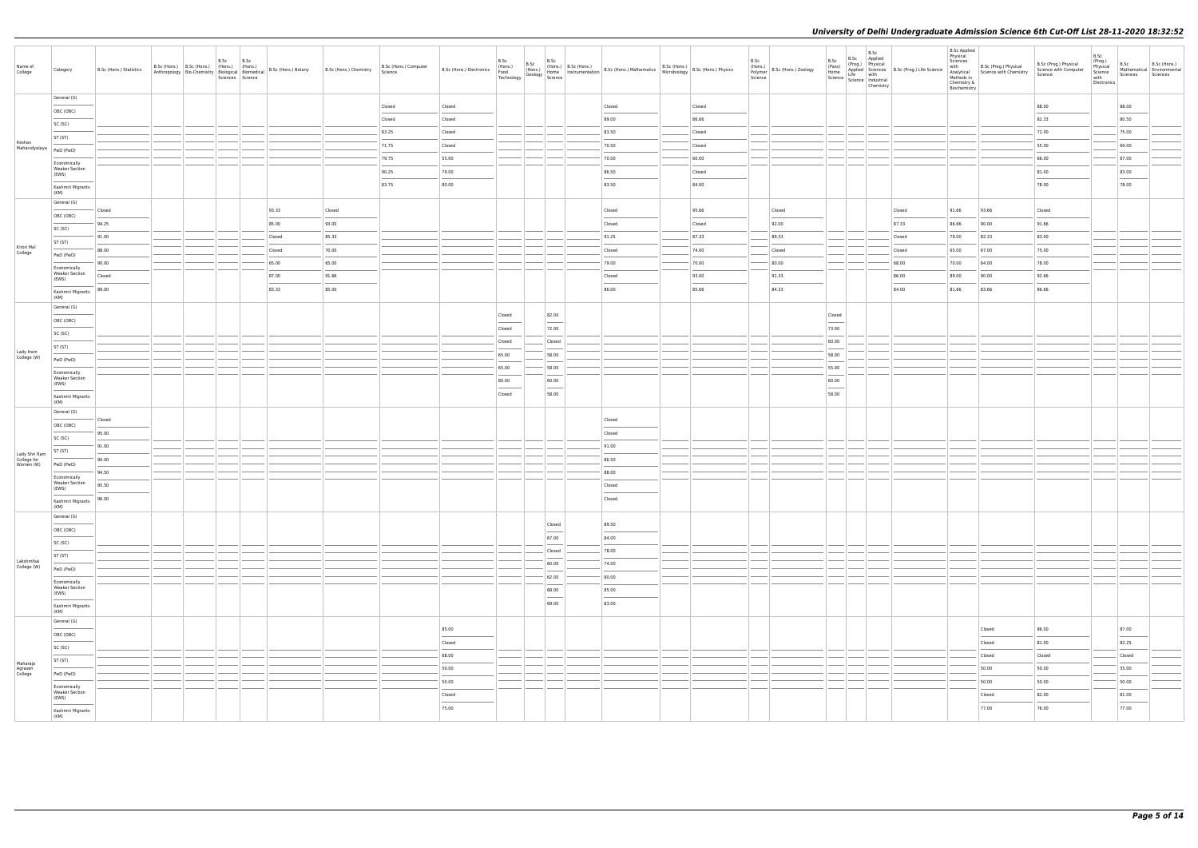| Name of<br>College           | Category                                       | B.Sc (Hons.) Statistics | B.Sc<br>B.Sc (Hons.) B.Sc (Hons.) (Hons.) (Hons.) | B.Sc<br>Sciences Science | Anthropology   Bio-Chemistry   Biological   Biomedical   B.Sc (Hons.) Botany | B.Sc (Hons.) Chemistry | B.Sc (Hons.) Computer<br>Science |        | B.Sc   | B.Sc | B.Sc                              | B.Sc (Hons.) B.Sc (Hons.) B.Sc (Hons.) B.Sc (Hons.) B.Sc (Hons.) B.Sc (Hons.) B.Sc (Hons.) B.Sc (Hons.) B.Sc (Hons.) B.Sc (Hons.) B.Sc (Hons.) B.Sc (Hons.) B.Sc (Hons.) B.Sc (Hons.) B.Sc (Hons.) B.Sc (Hons.) B.Sc (Hons.) B |        | B.Sc | (Hons.)<br>Polymer B.Sc (Hons.) Zoology<br>Science | B.Sc<br>(Pass)                    | B.Sc<br>B.Sc Applied<br>(Prog.) Physical | (Pass)<br>Home Applied Sciences<br>Science Life with<br>Science Industrial<br>Mustrial<br>Discover Contains and Science Industrial<br>Discover Contains and Science Industrial<br>Discover Contains and Science Industrial<br>Discover Contain<br>Chemistry | <b>B.Sc Applied</b><br>Physical<br>Sciences<br>with<br>Chemistry &<br>Biochemistry | B.Sc (Prog.) Physical<br>Analytical Science with Chemistry<br>Methods in | B.Sc (Prog.) Physical<br>Science with Computer<br>Science | B.Sc<br>(Prog.)<br>Physical<br>Science<br>with<br>Electronics | B.Sc<br>Mathematical Environmental<br>Sciences | B.Sc (Hons.)<br>Sciences |
|------------------------------|------------------------------------------------|-------------------------|---------------------------------------------------|--------------------------|------------------------------------------------------------------------------|------------------------|----------------------------------|--------|--------|------|-----------------------------------|--------------------------------------------------------------------------------------------------------------------------------------------------------------------------------------------------------------------------------|--------|------|----------------------------------------------------|-----------------------------------|------------------------------------------|-------------------------------------------------------------------------------------------------------------------------------------------------------------------------------------------------------------------------------------------------------------|------------------------------------------------------------------------------------|--------------------------------------------------------------------------|-----------------------------------------------------------|---------------------------------------------------------------|------------------------------------------------|--------------------------|
|                              | General (G)                                    |                         |                                                   |                          |                                                                              |                        | Closed                           | Closed |        |      |                                   | Closed                                                                                                                                                                                                                         | Closed |      |                                                    |                                   |                                          |                                                                                                                                                                                                                                                             |                                                                                    |                                                                          | 88.00                                                     |                                                               | 88.00                                          |                          |
|                              | OBC (OBC)                                      |                         |                                                   |                          |                                                                              |                        | Closed                           | Closed |        |      |                                   | 89.00                                                                                                                                                                                                                          | 86.66  |      |                                                    |                                   |                                          |                                                                                                                                                                                                                                                             |                                                                                    |                                                                          | 82.33                                                     |                                                               | 80.50                                          |                          |
|                              | SC (SC)                                        |                         |                                                   |                          |                                                                              |                        | 83.25                            | Closed |        |      |                                   | 83.50                                                                                                                                                                                                                          | Closed |      |                                                    |                                   |                                          |                                                                                                                                                                                                                                                             |                                                                                    |                                                                          | 72.00                                                     |                                                               | 75.00                                          |                          |
| Keshav<br>Mahavidyalaya      | ST (ST)                                        |                         |                                                   |                          |                                                                              |                        | 71.75                            | Closed |        |      |                                   | 70.50                                                                                                                                                                                                                          | Closed |      |                                                    |                                   |                                          |                                                                                                                                                                                                                                                             |                                                                                    |                                                                          | 55.00                                                     |                                                               | 69.00                                          |                          |
|                              | PwD (PwD)                                      |                         |                                                   |                          |                                                                              |                        | 79.75                            | 55.00  |        |      |                                   | 70.00                                                                                                                                                                                                                          | 60.00  |      |                                                    |                                   |                                          |                                                                                                                                                                                                                                                             |                                                                                    |                                                                          | 66.00                                                     |                                                               | 67.00                                          |                          |
|                              | Economically<br><b>Weaker Section</b><br>(EWS) |                         |                                                   |                          |                                                                              |                        | 90.25                            | 79.00  |        |      |                                   | 86.50                                                                                                                                                                                                                          | Closed |      |                                                    |                                   |                                          |                                                                                                                                                                                                                                                             |                                                                                    |                                                                          | 81.00                                                     |                                                               | 83.00                                          |                          |
|                              | Kashmiri Migrants                              |                         |                                                   |                          |                                                                              |                        | 83.75                            | 80.00  |        |      |                                   | 83.50                                                                                                                                                                                                                          | 84.00  |      |                                                    |                                   |                                          |                                                                                                                                                                                                                                                             |                                                                                    |                                                                          | 78.00                                                     |                                                               | 78.00                                          |                          |
|                              | (KM)                                           |                         |                                                   |                          |                                                                              |                        |                                  |        |        |      |                                   |                                                                                                                                                                                                                                |        |      |                                                    |                                   |                                          |                                                                                                                                                                                                                                                             |                                                                                    |                                                                          |                                                           |                                                               |                                                |                          |
|                              | General (G)                                    | Closed                  |                                                   |                          | 93.33                                                                        | Closed                 |                                  |        |        |      |                                   | Closed                                                                                                                                                                                                                         | 95.66  |      | Closed                                             |                                   |                                          | Closed                                                                                                                                                                                                                                                      | 91.66                                                                              | 93.66                                                                    | Closed                                                    |                                                               |                                                |                          |
|                              | OBC (OBC)<br>SC (SC)                           | 94.25                   |                                                   |                          | 85.00                                                                        | 93.00                  |                                  |        |        |      |                                   | Closed                                                                                                                                                                                                                         | Closed |      | 92.00                                              |                                   |                                          | 87.33                                                                                                                                                                                                                                                       | 86.66                                                                              | 90.00                                                                    | 91.66                                                     |                                                               |                                                |                          |
|                              | ST (ST)                                        | 91.00                   |                                                   |                          | Closed                                                                       | 85.33                  |                                  |        |        |      |                                   | 91.25                                                                                                                                                                                                                          | 87.33  |      | 89.33                                              |                                   |                                          | Closed                                                                                                                                                                                                                                                      | 79.00                                                                              | 82.33                                                                    | 83.00                                                     |                                                               |                                                |                          |
| Kirori Mal<br>College        | PwD (PwD)                                      | 88.00                   |                                                   |                          | Closed                                                                       | 70.00                  |                                  |        |        |      |                                   | Closed                                                                                                                                                                                                                         | 74.00  |      | Closed                                             |                                   |                                          | Closed                                                                                                                                                                                                                                                      | 65.00                                                                              | 67.00                                                                    | 75.00                                                     |                                                               |                                                |                          |
|                              | Economically                                   | 90.00                   |                                                   |                          | 65.00                                                                        | 65.00                  |                                  |        |        |      |                                   | 79.00                                                                                                                                                                                                                          | 70.00  |      | 80.00                                              |                                   |                                          | 68.00                                                                                                                                                                                                                                                       | 70.00                                                                              | 64.00                                                                    | 78.00                                                     |                                                               |                                                |                          |
|                              | <b>Weaker Section</b><br>(EWS)                 | Closed                  |                                                   |                          | 87.00                                                                        | 91.66                  |                                  |        |        |      |                                   | Closed                                                                                                                                                                                                                         | 93.00  |      | 91.33                                              |                                   |                                          | 86.00                                                                                                                                                                                                                                                       | 89.00                                                                              | 90.00                                                                    | 92.66                                                     |                                                               |                                                |                          |
|                              | Kashmiri Migrants                              | 89.00                   |                                                   |                          | 83.33                                                                        | 85.00                  |                                  |        |        |      |                                   | 86.00                                                                                                                                                                                                                          | 85.66  |      | 84.33                                              |                                   |                                          | 84.00                                                                                                                                                                                                                                                       | 81.66                                                                              | 83.66                                                                    | 86.66                                                     |                                                               |                                                |                          |
|                              | (KM)<br>General (G)                            |                         |                                                   |                          |                                                                              |                        |                                  |        |        |      |                                   |                                                                                                                                                                                                                                |        |      |                                                    |                                   |                                          |                                                                                                                                                                                                                                                             |                                                                                    |                                                                          |                                                           |                                                               |                                                |                          |
|                              | OBC (OBC)                                      |                         |                                                   |                          |                                                                              |                        |                                  |        | Closed |      | 82.00<br>$\sim$                   |                                                                                                                                                                                                                                |        |      |                                                    | Closed                            |                                          |                                                                                                                                                                                                                                                             |                                                                                    |                                                                          |                                                           |                                                               |                                                |                          |
| Lady Irwin                   | SC (SC)                                        |                         |                                                   |                          |                                                                              |                        |                                  |        | Closed |      | 72.00                             |                                                                                                                                                                                                                                |        |      |                                                    | 73.00                             |                                          |                                                                                                                                                                                                                                                             |                                                                                    |                                                                          |                                                           |                                                               |                                                |                          |
|                              | ST (ST)                                        |                         |                                                   |                          |                                                                              |                        |                                  |        | Closed |      | Closed                            |                                                                                                                                                                                                                                |        |      |                                                    | 60.00                             |                                          |                                                                                                                                                                                                                                                             |                                                                                    |                                                                          |                                                           |                                                               |                                                |                          |
| College (W)                  | PwD (PwD)                                      |                         |                                                   |                          |                                                                              |                        |                                  |        | 65.00  |      | 58.00                             |                                                                                                                                                                                                                                |        |      |                                                    | 58.00                             |                                          |                                                                                                                                                                                                                                                             |                                                                                    |                                                                          |                                                           |                                                               |                                                |                          |
|                              | Economically<br><b>Weaker Section</b>          |                         |                                                   |                          |                                                                              |                        |                                  |        | 65.00  |      | 58.00                             |                                                                                                                                                                                                                                |        |      |                                                    | 55.00                             |                                          |                                                                                                                                                                                                                                                             |                                                                                    |                                                                          |                                                           |                                                               |                                                |                          |
|                              | (EWS)                                          |                         |                                                   |                          |                                                                              |                        |                                  |        | 80.00  |      | 60.00<br>$\overline{\phantom{a}}$ |                                                                                                                                                                                                                                |        |      |                                                    | 60.00<br>$\overline{\phantom{a}}$ |                                          |                                                                                                                                                                                                                                                             |                                                                                    |                                                                          |                                                           |                                                               |                                                |                          |
|                              | Kashmiri Migrants<br>(KM)                      |                         |                                                   |                          |                                                                              |                        |                                  |        | Closed |      | 58.00                             |                                                                                                                                                                                                                                |        |      |                                                    | 58.00                             |                                          |                                                                                                                                                                                                                                                             |                                                                                    |                                                                          |                                                           |                                                               |                                                |                          |
|                              | General (G)                                    |                         |                                                   |                          |                                                                              |                        |                                  |        |        |      |                                   |                                                                                                                                                                                                                                |        |      |                                                    |                                   |                                          |                                                                                                                                                                                                                                                             |                                                                                    |                                                                          |                                                           |                                                               |                                                |                          |
|                              | OBC (OBC)                                      | Closed<br>95.00         |                                                   |                          |                                                                              |                        |                                  |        |        |      |                                   | Closed<br>Closed                                                                                                                                                                                                               |        |      |                                                    |                                   |                                          |                                                                                                                                                                                                                                                             |                                                                                    |                                                                          |                                                           |                                                               |                                                |                          |
|                              | SC (SC)                                        | 91.00                   |                                                   |                          |                                                                              |                        |                                  |        |        |      |                                   | 91.00                                                                                                                                                                                                                          |        |      |                                                    |                                   |                                          |                                                                                                                                                                                                                                                             |                                                                                    |                                                                          |                                                           |                                                               |                                                |                          |
| Lady Shri Ram<br>College for | ST (ST)                                        | 90.00                   |                                                   |                          |                                                                              |                        |                                  |        |        |      |                                   | 86.50                                                                                                                                                                                                                          |        |      |                                                    |                                   |                                          |                                                                                                                                                                                                                                                             |                                                                                    |                                                                          |                                                           |                                                               |                                                |                          |
| Women (W)                    | PwD (PwD)                                      | 94.50                   |                                                   |                          |                                                                              |                        |                                  |        |        |      |                                   | 88.00                                                                                                                                                                                                                          |        |      |                                                    |                                   |                                          |                                                                                                                                                                                                                                                             |                                                                                    |                                                                          |                                                           |                                                               |                                                |                          |
|                              | Economically<br><b>Weaker Section</b>          | 95.50                   |                                                   |                          |                                                                              |                        |                                  |        |        |      |                                   | Closed                                                                                                                                                                                                                         |        |      |                                                    |                                   |                                          |                                                                                                                                                                                                                                                             |                                                                                    |                                                                          |                                                           |                                                               |                                                |                          |
|                              | (EWS)<br>Kashmiri Migrants                     | 96.00                   |                                                   |                          |                                                                              |                        |                                  |        |        |      |                                   | Closed                                                                                                                                                                                                                         |        |      |                                                    |                                   |                                          |                                                                                                                                                                                                                                                             |                                                                                    |                                                                          |                                                           |                                                               |                                                |                          |
|                              | (KM)                                           |                         |                                                   |                          |                                                                              |                        |                                  |        |        |      |                                   |                                                                                                                                                                                                                                |        |      |                                                    |                                   |                                          |                                                                                                                                                                                                                                                             |                                                                                    |                                                                          |                                                           |                                                               |                                                |                          |
|                              | General (G)                                    |                         |                                                   |                          |                                                                              |                        |                                  |        |        |      | Closed                            | 89.50                                                                                                                                                                                                                          |        |      |                                                    |                                   |                                          |                                                                                                                                                                                                                                                             |                                                                                    |                                                                          |                                                           |                                                               |                                                |                          |
|                              | OBC (OBC)<br>SC (SC)                           |                         |                                                   |                          |                                                                              |                        |                                  |        |        |      | 67.00                             | 84.00                                                                                                                                                                                                                          |        |      |                                                    |                                   |                                          |                                                                                                                                                                                                                                                             |                                                                                    |                                                                          |                                                           |                                                               |                                                |                          |
|                              | ST (ST)                                        |                         |                                                   |                          |                                                                              |                        |                                  |        |        |      | Closed                            | 78.00                                                                                                                                                                                                                          |        |      |                                                    |                                   |                                          |                                                                                                                                                                                                                                                             |                                                                                    |                                                                          |                                                           |                                                               |                                                |                          |
| Lakshmibai<br>College (W)    | PwD (PwD)                                      |                         |                                                   |                          |                                                                              |                        |                                  |        |        |      | 60.00                             | 74.00                                                                                                                                                                                                                          |        |      |                                                    |                                   |                                          |                                                                                                                                                                                                                                                             |                                                                                    |                                                                          |                                                           |                                                               |                                                |                          |
|                              | Economically                                   |                         |                                                   |                          |                                                                              |                        |                                  |        |        |      | 62.00                             | 80.00                                                                                                                                                                                                                          |        |      |                                                    |                                   |                                          |                                                                                                                                                                                                                                                             |                                                                                    |                                                                          |                                                           |                                                               |                                                |                          |
|                              | <b>Weaker Section</b><br>(EWS)                 |                         |                                                   |                          |                                                                              |                        |                                  |        |        |      | 68.00<br>$\sim$                   | 85.00                                                                                                                                                                                                                          |        |      |                                                    |                                   |                                          |                                                                                                                                                                                                                                                             |                                                                                    |                                                                          |                                                           |                                                               |                                                |                          |
|                              | Kashmiri Migrants                              |                         |                                                   |                          |                                                                              |                        |                                  |        |        |      | 69.00                             | 83.00                                                                                                                                                                                                                          |        |      |                                                    |                                   |                                          |                                                                                                                                                                                                                                                             |                                                                                    |                                                                          |                                                           |                                                               |                                                |                          |
|                              | (KM)<br>General (G)                            |                         |                                                   |                          |                                                                              |                        |                                  |        |        |      |                                   |                                                                                                                                                                                                                                |        |      |                                                    |                                   |                                          |                                                                                                                                                                                                                                                             |                                                                                    |                                                                          |                                                           |                                                               |                                                |                          |
|                              | OBC (OBC)                                      |                         |                                                   |                          |                                                                              |                        |                                  | 85.00  |        |      |                                   |                                                                                                                                                                                                                                |        |      |                                                    |                                   |                                          |                                                                                                                                                                                                                                                             |                                                                                    | Closed                                                                   | 86.00                                                     |                                                               | 87.00                                          |                          |
|                              | SC (SC)                                        |                         |                                                   |                          |                                                                              |                        |                                  | Closed |        |      |                                   |                                                                                                                                                                                                                                |        |      |                                                    |                                   |                                          |                                                                                                                                                                                                                                                             |                                                                                    | Closed                                                                   | 81.00                                                     |                                                               | 82.25                                          |                          |
| Maharaja                     | ST (ST)                                        |                         |                                                   |                          |                                                                              |                        |                                  | 68.00  |        |      |                                   |                                                                                                                                                                                                                                |        |      |                                                    |                                   |                                          |                                                                                                                                                                                                                                                             |                                                                                    | Closed                                                                   | Closed                                                    |                                                               | Closed                                         |                          |
| Agrasen<br>College           | PwD (PwD)                                      |                         |                                                   |                          |                                                                              |                        |                                  | 50.00  |        |      |                                   |                                                                                                                                                                                                                                |        |      |                                                    |                                   |                                          |                                                                                                                                                                                                                                                             |                                                                                    | 50.00                                                                    | 50.00                                                     |                                                               | 55.00                                          |                          |
|                              | Economically                                   |                         |                                                   |                          |                                                                              |                        |                                  | 50.00  |        |      |                                   |                                                                                                                                                                                                                                |        |      |                                                    |                                   |                                          |                                                                                                                                                                                                                                                             |                                                                                    | 50.00                                                                    | 50.00                                                     |                                                               | 50.00                                          |                          |
|                              | <b>Weaker Section</b><br>(EWS)                 |                         |                                                   |                          |                                                                              |                        |                                  | Closed |        |      |                                   |                                                                                                                                                                                                                                |        |      |                                                    |                                   |                                          |                                                                                                                                                                                                                                                             |                                                                                    | Closed                                                                   | 82.00                                                     |                                                               | 81.00                                          |                          |
|                              | Kashmiri Migrants<br>(KM)                      |                         |                                                   |                          |                                                                              |                        |                                  | 75.00  |        |      |                                   |                                                                                                                                                                                                                                |        |      |                                                    |                                   |                                          |                                                                                                                                                                                                                                                             |                                                                                    | 77.00                                                                    | 76.00                                                     |                                                               | 77.00                                          |                          |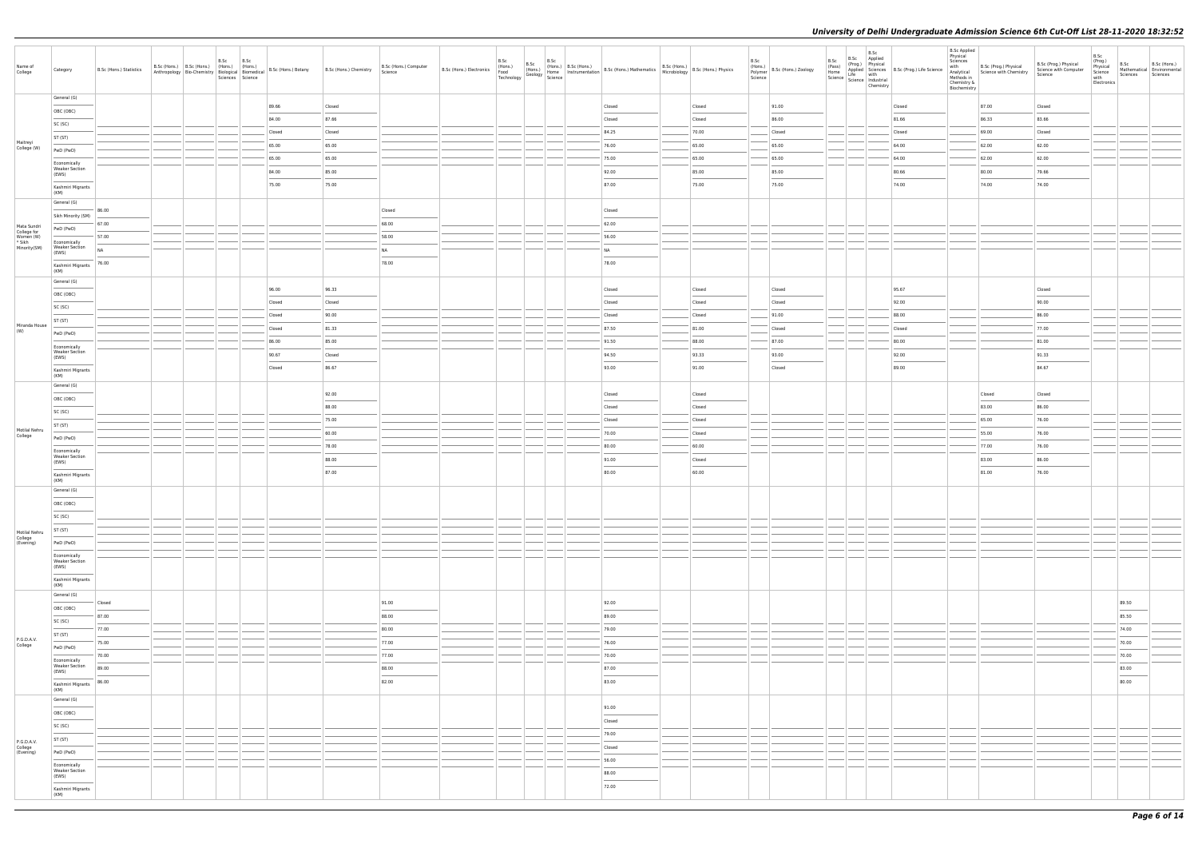| Name of<br>College                  | Category                                                                                                                                                                                                                                                                                                                                                                                                                                                                                | B.Sc (Hons.) Statistics |  | B.Sc | B.Sc | B.Sc (Hons.) B.Sc (Hons.) (Hons.) (Hons.) (Hons.) B.Sc (Hons.) Biotany<br>Anthropology Bio-Chemistry Biological Biomedical B.Sc (Hons.) Botany<br>Sciences Science | B.Sc (Hons.) Chemistry | B.Sc (Hons.) Computer<br>Science | B.Sc (Hons.) Electronics<br>Food<br>Technology | B.Sc<br>B.Sc | B.Sc | B.Sc (Hons.) B.Sc (Hons.)<br>(Hons.) B.Sc (Hons.) Mathematics<br>(Hons.) Phone Instrumentation B.Sc (Hons.) Mathematics Microbiology<br>Science Microbiology B.Sc (Hons.) Physics |        | B.Sc<br>(Hons.)<br>Science | (Hons.)<br>Polymer   B.Sc (Hons.) Zoology | B.Sc | B.Sc<br>B.Sc Applied<br>(Prog.) Physical<br>(Pass) (Prog.) Physical<br>Home Applied Sciences<br>Science Life with<br>Science Industrial<br>Chemistry | Applied Sciences B.Sc (Prog.) Life Science<br>Life with | <b>B.Sc Applied</b><br>Physical<br>Sciences<br>with<br>Analytical<br>Methods in<br>Chemistry &<br>Biochemistry | B.Sc (Prog.) Physical<br>Science with Chemistry | B.Sc (Prog.) Physical<br>Science with Computer<br>Science | B.Sc<br>(Prog.)<br>Physical<br>Science<br>with<br>Electronics | B.Sc<br>Sciences Sciences                                                                                                                                                                                                                                                                                                                                                                                                                                                           | B.Sc (Hons.)<br>Mathematical Environmental |
|-------------------------------------|-----------------------------------------------------------------------------------------------------------------------------------------------------------------------------------------------------------------------------------------------------------------------------------------------------------------------------------------------------------------------------------------------------------------------------------------------------------------------------------------|-------------------------|--|------|------|--------------------------------------------------------------------------------------------------------------------------------------------------------------------|------------------------|----------------------------------|------------------------------------------------|--------------|------|-----------------------------------------------------------------------------------------------------------------------------------------------------------------------------------|--------|----------------------------|-------------------------------------------|------|------------------------------------------------------------------------------------------------------------------------------------------------------|---------------------------------------------------------|----------------------------------------------------------------------------------------------------------------|-------------------------------------------------|-----------------------------------------------------------|---------------------------------------------------------------|-------------------------------------------------------------------------------------------------------------------------------------------------------------------------------------------------------------------------------------------------------------------------------------------------------------------------------------------------------------------------------------------------------------------------------------------------------------------------------------|--------------------------------------------|
|                                     | General (G)                                                                                                                                                                                                                                                                                                                                                                                                                                                                             |                         |  |      |      | 89.66                                                                                                                                                              | Closed                 |                                  |                                                |              |      | Closed                                                                                                                                                                            | Closed |                            | 91.00                                     |      |                                                                                                                                                      | Closed                                                  |                                                                                                                | 87.00                                           | Closed                                                    |                                                               |                                                                                                                                                                                                                                                                                                                                                                                                                                                                                     |                                            |
|                                     | OBC (OBC)                                                                                                                                                                                                                                                                                                                                                                                                                                                                               |                         |  |      |      | 84.00                                                                                                                                                              | 87.66                  |                                  |                                                |              |      | Closed                                                                                                                                                                            | Closed |                            | 86.00                                     |      |                                                                                                                                                      | 81.66                                                   |                                                                                                                | 86.33                                           | 83.66                                                     |                                                               |                                                                                                                                                                                                                                                                                                                                                                                                                                                                                     |                                            |
|                                     | SC (SC)                                                                                                                                                                                                                                                                                                                                                                                                                                                                                 |                         |  |      |      | Closed                                                                                                                                                             | Closed                 |                                  |                                                |              |      | 84.25                                                                                                                                                                             | 70.00  |                            | Closed                                    |      |                                                                                                                                                      | Closed                                                  |                                                                                                                | 69.00                                           | Closed                                                    |                                                               |                                                                                                                                                                                                                                                                                                                                                                                                                                                                                     |                                            |
| Maitreyi                            | ST (ST)                                                                                                                                                                                                                                                                                                                                                                                                                                                                                 |                         |  |      |      | 65.00                                                                                                                                                              | 65.00                  |                                  |                                                |              |      | 76.00                                                                                                                                                                             | 65.00  |                            | 65.00                                     |      |                                                                                                                                                      | 64.00                                                   |                                                                                                                | 62.00                                           | 62.00                                                     |                                                               |                                                                                                                                                                                                                                                                                                                                                                                                                                                                                     |                                            |
| College (W)                         | PwD (PwD)                                                                                                                                                                                                                                                                                                                                                                                                                                                                               |                         |  |      |      | 65.00                                                                                                                                                              | 65.00                  |                                  |                                                |              |      | 75.00                                                                                                                                                                             | 65.00  |                            | 65.00                                     |      |                                                                                                                                                      | 64.00                                                   |                                                                                                                | 62.00                                           | 62.00                                                     |                                                               |                                                                                                                                                                                                                                                                                                                                                                                                                                                                                     |                                            |
|                                     | Economically<br><b>Weaker Section</b>                                                                                                                                                                                                                                                                                                                                                                                                                                                   |                         |  |      |      | 84.00                                                                                                                                                              | 85.00                  |                                  |                                                |              |      | 92.00                                                                                                                                                                             | 85.00  |                            | 85.00                                     |      |                                                                                                                                                      | 80.66                                                   |                                                                                                                | 80.00                                           | 79.66                                                     |                                                               |                                                                                                                                                                                                                                                                                                                                                                                                                                                                                     |                                            |
|                                     | (EWS)                                                                                                                                                                                                                                                                                                                                                                                                                                                                                   |                         |  |      |      | 75.00                                                                                                                                                              | 75.00                  |                                  |                                                |              |      | 87.00                                                                                                                                                                             | 75.00  |                            | 75.00                                     |      |                                                                                                                                                      | 74.00                                                   |                                                                                                                | 74.00                                           | 74.00                                                     |                                                               |                                                                                                                                                                                                                                                                                                                                                                                                                                                                                     |                                            |
|                                     | Kashmiri Migrants<br>(KM)                                                                                                                                                                                                                                                                                                                                                                                                                                                               |                         |  |      |      |                                                                                                                                                                    |                        |                                  |                                                |              |      |                                                                                                                                                                                   |        |                            |                                           |      |                                                                                                                                                      |                                                         |                                                                                                                |                                                 |                                                           |                                                               |                                                                                                                                                                                                                                                                                                                                                                                                                                                                                     |                                            |
|                                     | General (G)                                                                                                                                                                                                                                                                                                                                                                                                                                                                             | 86.00                   |  |      |      |                                                                                                                                                                    |                        | Closed                           |                                                |              |      | Closed                                                                                                                                                                            |        |                            |                                           |      |                                                                                                                                                      |                                                         |                                                                                                                |                                                 |                                                           |                                                               |                                                                                                                                                                                                                                                                                                                                                                                                                                                                                     |                                            |
|                                     | Sikh Minority (SM)                                                                                                                                                                                                                                                                                                                                                                                                                                                                      | 67.00                   |  |      |      |                                                                                                                                                                    |                        | 68.00                            |                                                |              |      | 62.00                                                                                                                                                                             |        |                            |                                           |      |                                                                                                                                                      |                                                         |                                                                                                                |                                                 |                                                           |                                                               |                                                                                                                                                                                                                                                                                                                                                                                                                                                                                     |                                            |
| Mata Sundri<br>College for          | PwD (PwD)                                                                                                                                                                                                                                                                                                                                                                                                                                                                               | 57.00                   |  |      |      |                                                                                                                                                                    |                        | 58.00                            |                                                |              |      | 56.00                                                                                                                                                                             |        |                            |                                           |      |                                                                                                                                                      |                                                         |                                                                                                                |                                                 |                                                           |                                                               |                                                                                                                                                                                                                                                                                                                                                                                                                                                                                     |                                            |
| Women (W)<br>* Sikh<br>Minority(SM) | Economically<br><b>Weaker Section</b>                                                                                                                                                                                                                                                                                                                                                                                                                                                   | NA                      |  |      |      |                                                                                                                                                                    |                        | NA                               |                                                |              |      | <b>NA</b>                                                                                                                                                                         |        |                            |                                           |      |                                                                                                                                                      |                                                         |                                                                                                                |                                                 |                                                           |                                                               |                                                                                                                                                                                                                                                                                                                                                                                                                                                                                     |                                            |
|                                     | (EWS)                                                                                                                                                                                                                                                                                                                                                                                                                                                                                   |                         |  |      |      |                                                                                                                                                                    |                        |                                  |                                                |              |      |                                                                                                                                                                                   |        |                            |                                           |      |                                                                                                                                                      |                                                         |                                                                                                                |                                                 |                                                           |                                                               |                                                                                                                                                                                                                                                                                                                                                                                                                                                                                     |                                            |
|                                     | Kashmiri Migrants<br>(KM)                                                                                                                                                                                                                                                                                                                                                                                                                                                               | 76.00                   |  |      |      |                                                                                                                                                                    |                        | 78.00                            |                                                |              |      | 78.00                                                                                                                                                                             |        |                            |                                           |      |                                                                                                                                                      |                                                         |                                                                                                                |                                                 |                                                           |                                                               |                                                                                                                                                                                                                                                                                                                                                                                                                                                                                     |                                            |
|                                     | General (G)                                                                                                                                                                                                                                                                                                                                                                                                                                                                             |                         |  |      |      |                                                                                                                                                                    |                        |                                  |                                                |              |      |                                                                                                                                                                                   |        |                            |                                           |      |                                                                                                                                                      |                                                         |                                                                                                                |                                                 |                                                           |                                                               |                                                                                                                                                                                                                                                                                                                                                                                                                                                                                     |                                            |
|                                     | OBC (OBC)                                                                                                                                                                                                                                                                                                                                                                                                                                                                               |                         |  |      |      | 96.00                                                                                                                                                              | 96.33                  |                                  |                                                |              |      | Closed                                                                                                                                                                            | Closed |                            | Closed                                    |      |                                                                                                                                                      | 95.67                                                   |                                                                                                                |                                                 | Closed                                                    |                                                               |                                                                                                                                                                                                                                                                                                                                                                                                                                                                                     |                                            |
|                                     | SC (SC)                                                                                                                                                                                                                                                                                                                                                                                                                                                                                 |                         |  |      |      | Closed                                                                                                                                                             | Closed                 |                                  |                                                |              |      | Closed                                                                                                                                                                            | Closed |                            | Closed                                    |      |                                                                                                                                                      | 92.00                                                   |                                                                                                                |                                                 | 90.00                                                     |                                                               |                                                                                                                                                                                                                                                                                                                                                                                                                                                                                     |                                            |
| Miranda House                       | ST (ST)                                                                                                                                                                                                                                                                                                                                                                                                                                                                                 |                         |  |      |      | Closed                                                                                                                                                             | 90.00                  |                                  |                                                |              |      | Closed                                                                                                                                                                            | Closed |                            | 91.00                                     |      |                                                                                                                                                      | 88.00                                                   |                                                                                                                |                                                 | 86.00                                                     |                                                               |                                                                                                                                                                                                                                                                                                                                                                                                                                                                                     |                                            |
| (W)                                 | PwD (PwD)                                                                                                                                                                                                                                                                                                                                                                                                                                                                               |                         |  |      |      | Closed                                                                                                                                                             | 81.33                  |                                  |                                                |              |      | 87.50                                                                                                                                                                             | 81.00  |                            | Closed                                    |      |                                                                                                                                                      | Closed                                                  |                                                                                                                |                                                 | 77.00                                                     |                                                               |                                                                                                                                                                                                                                                                                                                                                                                                                                                                                     |                                            |
|                                     | Economically<br><b>Weaker Section</b>                                                                                                                                                                                                                                                                                                                                                                                                                                                   |                         |  |      |      | 86.00                                                                                                                                                              | 85.00                  |                                  |                                                |              |      | 91.50                                                                                                                                                                             | 88.00  |                            | 87.00                                     |      |                                                                                                                                                      | 80.00                                                   |                                                                                                                |                                                 | 81.00                                                     |                                                               |                                                                                                                                                                                                                                                                                                                                                                                                                                                                                     |                                            |
|                                     | (EWS)                                                                                                                                                                                                                                                                                                                                                                                                                                                                                   |                         |  |      |      | 90.67                                                                                                                                                              | Closed                 |                                  |                                                |              |      | 94.50                                                                                                                                                                             | 93.33  |                            | 93.00                                     |      |                                                                                                                                                      | 92.00                                                   |                                                                                                                |                                                 | 91.33                                                     |                                                               |                                                                                                                                                                                                                                                                                                                                                                                                                                                                                     |                                            |
|                                     | Kashmiri Migrants<br>(KM)                                                                                                                                                                                                                                                                                                                                                                                                                                                               |                         |  |      |      | Closed                                                                                                                                                             | 86.67                  |                                  |                                                |              |      | 93.00                                                                                                                                                                             | 91.00  |                            | Closed                                    |      |                                                                                                                                                      | 89.00                                                   |                                                                                                                |                                                 | 84.67                                                     |                                                               |                                                                                                                                                                                                                                                                                                                                                                                                                                                                                     |                                            |
|                                     | General (G)                                                                                                                                                                                                                                                                                                                                                                                                                                                                             |                         |  |      |      |                                                                                                                                                                    |                        |                                  |                                                |              |      |                                                                                                                                                                                   |        |                            |                                           |      |                                                                                                                                                      |                                                         |                                                                                                                |                                                 |                                                           |                                                               |                                                                                                                                                                                                                                                                                                                                                                                                                                                                                     |                                            |
|                                     | OBC (OBC)                                                                                                                                                                                                                                                                                                                                                                                                                                                                               |                         |  |      |      |                                                                                                                                                                    | 92.00                  |                                  |                                                |              |      | Closed                                                                                                                                                                            | Closed |                            |                                           |      |                                                                                                                                                      |                                                         |                                                                                                                | Closed                                          | Closed                                                    |                                                               |                                                                                                                                                                                                                                                                                                                                                                                                                                                                                     |                                            |
|                                     | SC (SC)                                                                                                                                                                                                                                                                                                                                                                                                                                                                                 |                         |  |      |      |                                                                                                                                                                    | 88.00                  |                                  |                                                |              |      | Closed                                                                                                                                                                            | Closed |                            |                                           |      |                                                                                                                                                      |                                                         |                                                                                                                | 83.00                                           | 86.00                                                     |                                                               |                                                                                                                                                                                                                                                                                                                                                                                                                                                                                     |                                            |
| Motilal Nehru                       | ST (ST)                                                                                                                                                                                                                                                                                                                                                                                                                                                                                 |                         |  |      |      |                                                                                                                                                                    | 75.00                  |                                  |                                                |              |      | Closed                                                                                                                                                                            | Closed |                            |                                           |      |                                                                                                                                                      |                                                         |                                                                                                                | 65.00                                           | 76.00                                                     |                                                               |                                                                                                                                                                                                                                                                                                                                                                                                                                                                                     |                                            |
| College                             | PwD (PwD)                                                                                                                                                                                                                                                                                                                                                                                                                                                                               |                         |  |      |      |                                                                                                                                                                    | 60.00                  |                                  |                                                |              |      | 70.00                                                                                                                                                                             | Closed |                            |                                           |      |                                                                                                                                                      |                                                         |                                                                                                                | 55.00                                           | 76.00                                                     |                                                               |                                                                                                                                                                                                                                                                                                                                                                                                                                                                                     |                                            |
|                                     | Economically                                                                                                                                                                                                                                                                                                                                                                                                                                                                            |                         |  |      |      |                                                                                                                                                                    | 78.00                  |                                  |                                                |              |      | 80.00                                                                                                                                                                             | 60.00  |                            |                                           |      |                                                                                                                                                      |                                                         |                                                                                                                | 77.00                                           | 76.00                                                     |                                                               |                                                                                                                                                                                                                                                                                                                                                                                                                                                                                     |                                            |
|                                     | <b>Weaker Section</b><br>(EWS)                                                                                                                                                                                                                                                                                                                                                                                                                                                          |                         |  |      |      |                                                                                                                                                                    | 88.00                  |                                  |                                                |              |      | 91.00                                                                                                                                                                             | Closed |                            |                                           |      |                                                                                                                                                      |                                                         |                                                                                                                | 83.00                                           | 86.00                                                     |                                                               |                                                                                                                                                                                                                                                                                                                                                                                                                                                                                     |                                            |
|                                     | Kashmiri Migrants<br>(KM)                                                                                                                                                                                                                                                                                                                                                                                                                                                               |                         |  |      |      |                                                                                                                                                                    | 87.00                  |                                  |                                                |              |      | 80.00                                                                                                                                                                             | 60.00  |                            |                                           |      |                                                                                                                                                      |                                                         |                                                                                                                | 81.00                                           | 76.00                                                     |                                                               |                                                                                                                                                                                                                                                                                                                                                                                                                                                                                     |                                            |
|                                     | General (G)                                                                                                                                                                                                                                                                                                                                                                                                                                                                             |                         |  |      |      |                                                                                                                                                                    |                        |                                  |                                                |              |      |                                                                                                                                                                                   |        |                            |                                           |      |                                                                                                                                                      |                                                         |                                                                                                                |                                                 |                                                           |                                                               |                                                                                                                                                                                                                                                                                                                                                                                                                                                                                     |                                            |
|                                     | OBC (OBC)                                                                                                                                                                                                                                                                                                                                                                                                                                                                               |                         |  |      |      |                                                                                                                                                                    |                        |                                  |                                                |              |      |                                                                                                                                                                                   |        |                            |                                           |      |                                                                                                                                                      |                                                         |                                                                                                                |                                                 |                                                           |                                                               |                                                                                                                                                                                                                                                                                                                                                                                                                                                                                     |                                            |
|                                     | SC (SC)                                                                                                                                                                                                                                                                                                                                                                                                                                                                                 |                         |  |      |      |                                                                                                                                                                    |                        |                                  |                                                |              |      |                                                                                                                                                                                   |        |                            |                                           |      |                                                                                                                                                      |                                                         |                                                                                                                |                                                 |                                                           |                                                               |                                                                                                                                                                                                                                                                                                                                                                                                                                                                                     |                                            |
| Motilal Nehru                       | ST (ST)                                                                                                                                                                                                                                                                                                                                                                                                                                                                                 |                         |  |      |      |                                                                                                                                                                    |                        |                                  |                                                |              |      |                                                                                                                                                                                   |        |                            |                                           |      |                                                                                                                                                      |                                                         |                                                                                                                |                                                 |                                                           |                                                               |                                                                                                                                                                                                                                                                                                                                                                                                                                                                                     |                                            |
| College<br>(Evening)                | PwD (PwD)                                                                                                                                                                                                                                                                                                                                                                                                                                                                               |                         |  |      |      |                                                                                                                                                                    |                        |                                  |                                                |              |      |                                                                                                                                                                                   |        |                            |                                           |      |                                                                                                                                                      |                                                         |                                                                                                                |                                                 |                                                           |                                                               |                                                                                                                                                                                                                                                                                                                                                                                                                                                                                     |                                            |
|                                     | Economically<br><b>Weaker Section</b><br>(EWS)                                                                                                                                                                                                                                                                                                                                                                                                                                          |                         |  |      |      |                                                                                                                                                                    |                        |                                  |                                                |              |      |                                                                                                                                                                                   |        |                            |                                           |      |                                                                                                                                                      |                                                         |                                                                                                                |                                                 |                                                           |                                                               |                                                                                                                                                                                                                                                                                                                                                                                                                                                                                     |                                            |
|                                     | Kashmiri Migrants<br>(KM)                                                                                                                                                                                                                                                                                                                                                                                                                                                               |                         |  |      |      |                                                                                                                                                                    |                        |                                  |                                                |              |      |                                                                                                                                                                                   |        |                            |                                           |      |                                                                                                                                                      |                                                         |                                                                                                                |                                                 |                                                           |                                                               |                                                                                                                                                                                                                                                                                                                                                                                                                                                                                     |                                            |
|                                     | General (G)<br><b>Contract Contract Contract Contract</b>                                                                                                                                                                                                                                                                                                                                                                                                                               |                         |  |      |      |                                                                                                                                                                    |                        |                                  |                                                |              |      |                                                                                                                                                                                   |        |                            |                                           |      |                                                                                                                                                      |                                                         |                                                                                                                |                                                 |                                                           |                                                               |                                                                                                                                                                                                                                                                                                                                                                                                                                                                                     |                                            |
|                                     | OBC (OBC)<br>$\frac{1}{2} \left( \frac{1}{2} \right) \left( \frac{1}{2} \right) \left( \frac{1}{2} \right) \left( \frac{1}{2} \right) \left( \frac{1}{2} \right) \left( \frac{1}{2} \right) \left( \frac{1}{2} \right) \left( \frac{1}{2} \right) \left( \frac{1}{2} \right) \left( \frac{1}{2} \right) \left( \frac{1}{2} \right) \left( \frac{1}{2} \right) \left( \frac{1}{2} \right) \left( \frac{1}{2} \right) \left( \frac{1}{2} \right) \left( \frac{1}{2} \right) \left( \frac$ | Closed                  |  |      |      |                                                                                                                                                                    |                        | 91.00                            |                                                |              |      | 92.00                                                                                                                                                                             |        |                            |                                           |      |                                                                                                                                                      |                                                         |                                                                                                                |                                                 |                                                           |                                                               | 89.50                                                                                                                                                                                                                                                                                                                                                                                                                                                                               |                                            |
|                                     | SC (SC)                                                                                                                                                                                                                                                                                                                                                                                                                                                                                 | 87.00                   |  |      |      |                                                                                                                                                                    |                        | 88.00                            |                                                |              |      | 89.00                                                                                                                                                                             |        |                            |                                           |      |                                                                                                                                                      |                                                         |                                                                                                                |                                                 |                                                           |                                                               | 85.50                                                                                                                                                                                                                                                                                                                                                                                                                                                                               |                                            |
| P.G.D.A.V.                          | ST (ST)                                                                                                                                                                                                                                                                                                                                                                                                                                                                                 | 77.00                   |  |      |      |                                                                                                                                                                    |                        | 80.00                            |                                                |              |      | 79.00                                                                                                                                                                             |        |                            |                                           |      |                                                                                                                                                      |                                                         |                                                                                                                |                                                 |                                                           |                                                               | 74.00                                                                                                                                                                                                                                                                                                                                                                                                                                                                               |                                            |
| College                             | PwD (PwD)                                                                                                                                                                                                                                                                                                                                                                                                                                                                               | 75.00                   |  |      |      |                                                                                                                                                                    |                        | 77.00                            |                                                |              |      | 76.00                                                                                                                                                                             |        |                            |                                           |      |                                                                                                                                                      |                                                         |                                                                                                                |                                                 |                                                           |                                                               | 70.00                                                                                                                                                                                                                                                                                                                                                                                                                                                                               |                                            |
|                                     | Economically<br><b>Weaker Section</b>                                                                                                                                                                                                                                                                                                                                                                                                                                                   | 70.00                   |  |      |      |                                                                                                                                                                    |                        | 77.00                            |                                                |              |      | 70.00                                                                                                                                                                             |        |                            |                                           |      |                                                                                                                                                      |                                                         |                                                                                                                |                                                 |                                                           |                                                               | 70.00                                                                                                                                                                                                                                                                                                                                                                                                                                                                               |                                            |
|                                     | (EWS)                                                                                                                                                                                                                                                                                                                                                                                                                                                                                   | 89.00                   |  |      |      |                                                                                                                                                                    |                        | 88.00                            |                                                |              |      | 87.00                                                                                                                                                                             |        |                            |                                           |      |                                                                                                                                                      |                                                         |                                                                                                                |                                                 |                                                           |                                                               | 83.00<br>$\frac{1}{2} \left( \frac{1}{2} \right) \left( \frac{1}{2} \right) \left( \frac{1}{2} \right) \left( \frac{1}{2} \right) \left( \frac{1}{2} \right) \left( \frac{1}{2} \right) \left( \frac{1}{2} \right) \left( \frac{1}{2} \right) \left( \frac{1}{2} \right) \left( \frac{1}{2} \right) \left( \frac{1}{2} \right) \left( \frac{1}{2} \right) \left( \frac{1}{2} \right) \left( \frac{1}{2} \right) \left( \frac{1}{2} \right) \left( \frac{1}{2} \right) \left( \frac$ |                                            |
|                                     | Kashmiri Migrants<br>(KM)                                                                                                                                                                                                                                                                                                                                                                                                                                                               | 86.00                   |  |      |      |                                                                                                                                                                    |                        | 82.00                            |                                                |              |      | 83.00                                                                                                                                                                             |        |                            |                                           |      |                                                                                                                                                      |                                                         |                                                                                                                |                                                 |                                                           |                                                               | 80.00                                                                                                                                                                                                                                                                                                                                                                                                                                                                               |                                            |
|                                     | General (G)                                                                                                                                                                                                                                                                                                                                                                                                                                                                             |                         |  |      |      |                                                                                                                                                                    |                        |                                  |                                                |              |      |                                                                                                                                                                                   |        |                            |                                           |      |                                                                                                                                                      |                                                         |                                                                                                                |                                                 |                                                           |                                                               |                                                                                                                                                                                                                                                                                                                                                                                                                                                                                     |                                            |
|                                     | OBC (OBC)                                                                                                                                                                                                                                                                                                                                                                                                                                                                               |                         |  |      |      |                                                                                                                                                                    |                        |                                  |                                                |              |      | 91.00                                                                                                                                                                             |        |                            |                                           |      |                                                                                                                                                      |                                                         |                                                                                                                |                                                 |                                                           |                                                               |                                                                                                                                                                                                                                                                                                                                                                                                                                                                                     |                                            |
|                                     | SC (SC)                                                                                                                                                                                                                                                                                                                                                                                                                                                                                 |                         |  |      |      |                                                                                                                                                                    |                        |                                  |                                                |              |      | Closed                                                                                                                                                                            |        |                            |                                           |      |                                                                                                                                                      |                                                         |                                                                                                                |                                                 |                                                           |                                                               |                                                                                                                                                                                                                                                                                                                                                                                                                                                                                     |                                            |
| P.G.D.A.V.                          | ST (ST)                                                                                                                                                                                                                                                                                                                                                                                                                                                                                 |                         |  |      |      |                                                                                                                                                                    |                        |                                  |                                                |              |      | 79.00                                                                                                                                                                             |        |                            |                                           |      |                                                                                                                                                      |                                                         |                                                                                                                |                                                 |                                                           |                                                               |                                                                                                                                                                                                                                                                                                                                                                                                                                                                                     |                                            |
| College<br>(Evening)                | PwD (PwD)                                                                                                                                                                                                                                                                                                                                                                                                                                                                               |                         |  |      |      |                                                                                                                                                                    |                        |                                  |                                                |              |      | Closed                                                                                                                                                                            |        |                            |                                           |      |                                                                                                                                                      |                                                         |                                                                                                                |                                                 |                                                           |                                                               |                                                                                                                                                                                                                                                                                                                                                                                                                                                                                     |                                            |
|                                     | Economically                                                                                                                                                                                                                                                                                                                                                                                                                                                                            |                         |  |      |      |                                                                                                                                                                    |                        |                                  |                                                |              |      | 56.00                                                                                                                                                                             |        |                            |                                           |      |                                                                                                                                                      |                                                         |                                                                                                                |                                                 |                                                           |                                                               |                                                                                                                                                                                                                                                                                                                                                                                                                                                                                     |                                            |
|                                     | <b>Weaker Section</b><br>(EWS)                                                                                                                                                                                                                                                                                                                                                                                                                                                          |                         |  |      |      |                                                                                                                                                                    |                        |                                  |                                                |              |      | 88.00<br>$\sim$                                                                                                                                                                   |        |                            |                                           |      |                                                                                                                                                      |                                                         |                                                                                                                |                                                 |                                                           |                                                               |                                                                                                                                                                                                                                                                                                                                                                                                                                                                                     |                                            |
|                                     | $\frac{1}{2}$<br>Kashmiri Migrants<br>(KM)                                                                                                                                                                                                                                                                                                                                                                                                                                              |                         |  |      |      |                                                                                                                                                                    |                        |                                  |                                                |              |      | 72.00                                                                                                                                                                             |        |                            |                                           |      |                                                                                                                                                      |                                                         |                                                                                                                |                                                 |                                                           |                                                               |                                                                                                                                                                                                                                                                                                                                                                                                                                                                                     |                                            |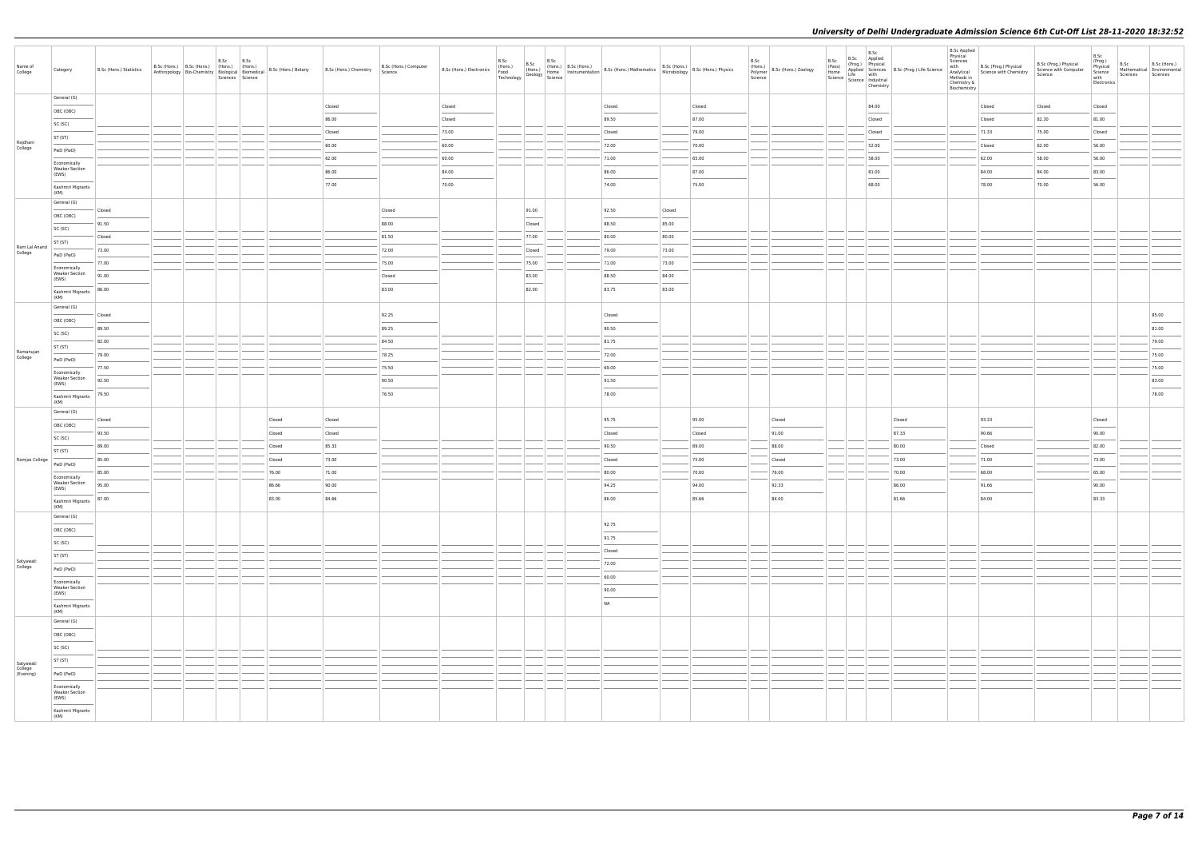| Name of<br>College                | Category                                       | B.Sc (Hons.) Statistics | B.Sc<br>B.Sc (Hons.) B.Sc (Hons.) (Hons.) (Hons.) | B.Sc<br>Sciences Science | Anthropology Bio-Chemistry Biological Biomedical B.Sc (Hons.) Botany | B.Sc (Hons.) Chemistry | B.Sc (Hons.) Computer<br>Science |        | B.Sc<br>B.Sc | B.Sc | B.Sc (Hons.) B.Sc (Hons.) B.Sc (Hons.) B.Sc (Hons.) B.Sc (Hons.) B.Sc (Hons.) B.Sc (Hons.) B.Sc (Hons.) Physics<br>Food Hons (Hons.) Brood Home Instrumentation B.Sc (Hons.) Mathematics Microbiology B.Sc (Hons.) Physics<br>Tech |        |        | B.Sc | (Hons.)<br>Polymer B.Sc (Hons.) Zoology<br>Science | B.Sc | B.Sc<br>B.Sc Applied<br>(Prog.) Physical<br>B.S.C<br>(Pass) Applied p<br>Home Applied p<br>Science Industrial<br>Science Industrial<br>Chemistry | Applied Sciences B.Sc (Prog.) Life Science<br>Life with | <b>B.Sc Applied</b><br>Physical<br>Sciences<br>with<br>Analytical<br>Methods in<br>Chemistry &<br>Biochemistry | B.Sc (Prog.) Physical<br>Science with Chemistry | B.Sc (Prog.) Physical<br>Science with Computer<br>Science | B.Sc<br>(Prog.)<br>Physical<br>Science<br>with<br>Electronics | B.Sc<br>Sciences | B.Sc (Hons.)<br>Mathematical Environmental<br>Sciences |
|-----------------------------------|------------------------------------------------|-------------------------|---------------------------------------------------|--------------------------|----------------------------------------------------------------------|------------------------|----------------------------------|--------|--------------|------|------------------------------------------------------------------------------------------------------------------------------------------------------------------------------------------------------------------------------------|--------|--------|------|----------------------------------------------------|------|--------------------------------------------------------------------------------------------------------------------------------------------------|---------------------------------------------------------|----------------------------------------------------------------------------------------------------------------|-------------------------------------------------|-----------------------------------------------------------|---------------------------------------------------------------|------------------|--------------------------------------------------------|
|                                   | General (G)                                    |                         |                                                   |                          |                                                                      | Closed                 |                                  | Closed |              |      | Closed                                                                                                                                                                                                                             |        | Closed |      |                                                    |      | 84.00                                                                                                                                            |                                                         |                                                                                                                | Closed                                          | Closed                                                    | Closed                                                        |                  |                                                        |
|                                   | OBC (OBC)                                      |                         |                                                   |                          |                                                                      | 86.00                  |                                  | Closed |              |      | 89.50                                                                                                                                                                                                                              |        | 87.00  |      |                                                    |      | Closed                                                                                                                                           |                                                         |                                                                                                                | Closed                                          | 82.30                                                     | 81.00                                                         |                  |                                                        |
|                                   | SC (SC)                                        |                         |                                                   |                          |                                                                      | Closed                 |                                  | 73.00  |              |      | Closed                                                                                                                                                                                                                             |        | 79.00  |      |                                                    |      | Closed                                                                                                                                           |                                                         |                                                                                                                | 71.33                                           | 75.00                                                     | Closed                                                        |                  |                                                        |
| Rajdhani<br>College               | ST (ST)                                        |                         |                                                   |                          |                                                                      | 60.00                  |                                  | 60.00  |              |      | 72.00                                                                                                                                                                                                                              |        | 70.00  |      |                                                    |      | 52.00                                                                                                                                            |                                                         |                                                                                                                | Closed                                          | 62.00                                                     | 56.00                                                         |                  |                                                        |
|                                   | PwD (PwD)                                      |                         |                                                   |                          |                                                                      | 62.00                  |                                  | 60.00  |              |      | 71.00                                                                                                                                                                                                                              |        | 65.00  |      |                                                    |      | 58.00                                                                                                                                            |                                                         |                                                                                                                | 62.00                                           | 58.00                                                     | 56.00                                                         |                  |                                                        |
|                                   | Economically<br><b>Weaker Section</b><br>(EWS) |                         |                                                   |                          |                                                                      | 86.00                  |                                  | 84.00  |              |      | 86.00                                                                                                                                                                                                                              |        | 87.00  |      |                                                    |      | 81.00                                                                                                                                            |                                                         |                                                                                                                | 84.00                                           | 84.00                                                     | 83.00                                                         |                  |                                                        |
|                                   | Kashmiri Migrants                              |                         |                                                   |                          |                                                                      | 77.00                  |                                  | 70.00  |              |      | 74.00                                                                                                                                                                                                                              |        | 75.00  |      |                                                    |      | 68.00                                                                                                                                            |                                                         |                                                                                                                | 78.00                                           | 70.00                                                     | 56.00                                                         |                  |                                                        |
|                                   | (KM)<br>General (G)                            |                         |                                                   |                          |                                                                      |                        |                                  |        |              |      |                                                                                                                                                                                                                                    |        |        |      |                                                    |      |                                                                                                                                                  |                                                         |                                                                                                                |                                                 |                                                           |                                                               |                  |                                                        |
|                                   | OBC (OBC)                                      | Closed                  |                                                   |                          |                                                                      |                        | Closed                           |        | 91.00        |      | 92.50                                                                                                                                                                                                                              | Closed |        |      |                                                    |      |                                                                                                                                                  |                                                         |                                                                                                                |                                                 |                                                           |                                                               |                  |                                                        |
|                                   | SC (SC)                                        | 91.50                   |                                                   |                          |                                                                      |                        | 88.00                            |        | Closed       |      | 88.50                                                                                                                                                                                                                              | 85.00  |        |      |                                                    |      |                                                                                                                                                  |                                                         |                                                                                                                |                                                 |                                                           |                                                               |                  |                                                        |
|                                   | ST (ST)                                        | Closed                  |                                                   |                          |                                                                      |                        | 81.50                            |        | 77.00        |      | 80.00                                                                                                                                                                                                                              | 80.00  |        |      |                                                    |      |                                                                                                                                                  |                                                         |                                                                                                                |                                                 |                                                           |                                                               |                  |                                                        |
| Ram Lal Anand<br>College          | PwD (PwD)                                      | 73.00                   |                                                   |                          |                                                                      |                        | 72.00                            |        | Closed       |      | 79.00                                                                                                                                                                                                                              | 73.00  |        |      |                                                    |      |                                                                                                                                                  |                                                         |                                                                                                                |                                                 |                                                           |                                                               |                  |                                                        |
|                                   | Economically                                   | 77.00                   |                                                   |                          |                                                                      |                        | 75.00                            |        | 75.00        |      | 71.00                                                                                                                                                                                                                              | 73.00  |        |      |                                                    |      |                                                                                                                                                  |                                                         |                                                                                                                |                                                 |                                                           |                                                               |                  |                                                        |
|                                   | <b>Weaker Section</b><br>(EWS)                 | 91.00                   |                                                   |                          |                                                                      |                        | Closed                           |        | 83.00        |      | 88.50                                                                                                                                                                                                                              | 84.00  |        |      |                                                    |      |                                                                                                                                                  |                                                         |                                                                                                                |                                                 |                                                           |                                                               |                  |                                                        |
|                                   | Kashmiri Migrants<br>(KM)                      | 86.00                   |                                                   |                          |                                                                      |                        | 83.00                            |        | 82.00        |      | 83.75                                                                                                                                                                                                                              | 83.00  |        |      |                                                    |      |                                                                                                                                                  |                                                         |                                                                                                                |                                                 |                                                           |                                                               |                  |                                                        |
|                                   | General (G)                                    |                         |                                                   |                          |                                                                      |                        |                                  |        |              |      |                                                                                                                                                                                                                                    |        |        |      |                                                    |      |                                                                                                                                                  |                                                         |                                                                                                                |                                                 |                                                           |                                                               |                  |                                                        |
|                                   | OBC (OBC)                                      | Closed<br>89.50         |                                                   |                          |                                                                      |                        | 92.25<br>89.25                   |        |              |      | Closed<br>90.50                                                                                                                                                                                                                    |        |        |      |                                                    |      |                                                                                                                                                  |                                                         |                                                                                                                |                                                 |                                                           |                                                               |                  | 85.00<br>$\frac{1}{2}$<br>81.00                        |
|                                   | SC (SC)                                        | 82.00                   |                                                   |                          |                                                                      |                        | 84.50                            |        |              |      | 81.75                                                                                                                                                                                                                              |        |        |      |                                                    |      |                                                                                                                                                  |                                                         |                                                                                                                |                                                 |                                                           |                                                               |                  | 79.00                                                  |
| Ramanujan                         | ST (ST)                                        | 79.00                   |                                                   |                          |                                                                      |                        | 78.25                            |        |              |      | 72.00                                                                                                                                                                                                                              |        |        |      |                                                    |      |                                                                                                                                                  |                                                         |                                                                                                                |                                                 |                                                           |                                                               |                  | 75.00                                                  |
| College                           | PwD (PwD)                                      | 77.50                   |                                                   |                          |                                                                      |                        | 75.50                            |        |              |      | 69.00                                                                                                                                                                                                                              |        |        |      |                                                    |      |                                                                                                                                                  |                                                         |                                                                                                                |                                                 |                                                           |                                                               |                  | 75.00                                                  |
|                                   | Economically<br><b>Weaker Section</b>          | 92.50                   |                                                   |                          |                                                                      |                        | 90.50                            |        |              |      | 91.50                                                                                                                                                                                                                              |        |        |      |                                                    |      |                                                                                                                                                  |                                                         |                                                                                                                |                                                 |                                                           |                                                               |                  | 83.00                                                  |
|                                   | (EWS)<br>Kashmiri Migrants                     | 79.50                   |                                                   |                          |                                                                      |                        | 76.50                            |        |              |      | 78.00                                                                                                                                                                                                                              |        |        |      |                                                    |      |                                                                                                                                                  |                                                         |                                                                                                                |                                                 |                                                           |                                                               |                  | 78.00                                                  |
|                                   | (KM)<br>General (G)                            |                         |                                                   |                          |                                                                      |                        |                                  |        |              |      |                                                                                                                                                                                                                                    |        |        |      |                                                    |      |                                                                                                                                                  |                                                         |                                                                                                                |                                                 |                                                           |                                                               |                  |                                                        |
|                                   | <b>Contract Contract</b><br>OBC (OBC)          | Closed                  |                                                   |                          | Closed                                                               | Closed                 |                                  |        |              |      | 95.75                                                                                                                                                                                                                              |        | 95.00  |      | Closed                                             |      |                                                                                                                                                  | Closed                                                  |                                                                                                                | 93.33                                           |                                                           | Closed                                                        |                  |                                                        |
|                                   | SC (SC)                                        | 93.50                   |                                                   |                          | Closed                                                               | Closed                 |                                  |        |              |      | Closed                                                                                                                                                                                                                             |        | Closed |      | 91.00                                              |      |                                                                                                                                                  | 87.33                                                   |                                                                                                                | 90.66                                           |                                                           | 90.00                                                         |                  |                                                        |
|                                   | ST (ST)                                        | 89.00                   |                                                   |                          | Closed                                                               | 85.33                  |                                  |        |              |      | 90.50                                                                                                                                                                                                                              |        | 89.00  |      | 88.00                                              |      |                                                                                                                                                  | 80.00                                                   |                                                                                                                | Closed                                          |                                                           | 82.00                                                         |                  |                                                        |
| Ramjas College                    | PwD (PwD)                                      | 85.00                   |                                                   |                          | Closed                                                               | 73.00                  |                                  |        |              |      | Closed                                                                                                                                                                                                                             |        | 75.00  |      | Closed                                             |      |                                                                                                                                                  | 73.00                                                   |                                                                                                                | 71.00                                           |                                                           | 73.00                                                         |                  |                                                        |
|                                   | Economically                                   | 85.00                   |                                                   |                          | 76.00                                                                | 71.00                  |                                  |        |              |      | 80.00                                                                                                                                                                                                                              |        | 70.00  |      | 76.00                                              |      |                                                                                                                                                  | 70.00                                                   |                                                                                                                | 68.00                                           |                                                           | 65.00                                                         |                  |                                                        |
|                                   | <b>Weaker Section</b><br>(EWS)                 | 95.00                   |                                                   |                          | 86.66                                                                | 90.00                  |                                  |        |              |      | 94.25                                                                                                                                                                                                                              |        | 94.00  |      | 92.33                                              |      |                                                                                                                                                  | 86.00                                                   |                                                                                                                | 91.66                                           |                                                           | 90.00                                                         |                  |                                                        |
|                                   | Kashmiri Migrants 87.00<br>(KM)                |                         |                                                   |                          | 83.00                                                                | 84.66                  |                                  |        |              |      | 86.00                                                                                                                                                                                                                              |        | 85.66  |      | 84.00                                              |      |                                                                                                                                                  | 81.66                                                   |                                                                                                                | 84.00                                           |                                                           | 83.33                                                         |                  |                                                        |
|                                   | General (G)                                    |                         |                                                   |                          |                                                                      |                        |                                  |        |              |      |                                                                                                                                                                                                                                    |        |        |      |                                                    |      |                                                                                                                                                  |                                                         |                                                                                                                |                                                 |                                                           |                                                               |                  |                                                        |
|                                   | OBC (OBC)                                      |                         |                                                   |                          |                                                                      |                        |                                  |        |              |      | 92.75                                                                                                                                                                                                                              |        |        |      |                                                    |      |                                                                                                                                                  |                                                         |                                                                                                                |                                                 |                                                           |                                                               |                  |                                                        |
|                                   | SC (SC)                                        |                         |                                                   |                          |                                                                      |                        |                                  |        |              |      | 91.75                                                                                                                                                                                                                              |        |        |      |                                                    |      |                                                                                                                                                  |                                                         |                                                                                                                |                                                 |                                                           |                                                               |                  |                                                        |
| Satyawati                         | ST (ST)                                        |                         |                                                   |                          |                                                                      |                        |                                  |        |              |      | Closed<br>72.00                                                                                                                                                                                                                    |        |        |      |                                                    |      |                                                                                                                                                  |                                                         |                                                                                                                |                                                 |                                                           |                                                               |                  |                                                        |
| College                           | PwD (PwD)                                      |                         |                                                   |                          |                                                                      |                        |                                  |        |              |      | 60.00                                                                                                                                                                                                                              |        |        |      |                                                    |      |                                                                                                                                                  |                                                         |                                                                                                                |                                                 |                                                           |                                                               |                  |                                                        |
|                                   | Economically<br><b>Weaker Section</b>          |                         |                                                   |                          |                                                                      |                        |                                  |        |              |      | 90.00                                                                                                                                                                                                                              |        |        |      |                                                    |      |                                                                                                                                                  |                                                         |                                                                                                                |                                                 |                                                           |                                                               |                  |                                                        |
|                                   | (EWS)                                          |                         |                                                   |                          |                                                                      |                        |                                  |        |              |      | <b>NA</b>                                                                                                                                                                                                                          |        |        |      |                                                    |      |                                                                                                                                                  |                                                         |                                                                                                                |                                                 |                                                           |                                                               |                  |                                                        |
|                                   | Kashmiri Migrants<br>(KM)                      |                         |                                                   |                          |                                                                      |                        |                                  |        |              |      |                                                                                                                                                                                                                                    |        |        |      |                                                    |      |                                                                                                                                                  |                                                         |                                                                                                                |                                                 |                                                           |                                                               |                  |                                                        |
|                                   | General (G)                                    |                         |                                                   |                          |                                                                      |                        |                                  |        |              |      |                                                                                                                                                                                                                                    |        |        |      |                                                    |      |                                                                                                                                                  |                                                         |                                                                                                                |                                                 |                                                           |                                                               |                  |                                                        |
|                                   | OBC (OBC)                                      |                         |                                                   |                          |                                                                      |                        |                                  |        |              |      |                                                                                                                                                                                                                                    |        |        |      |                                                    |      |                                                                                                                                                  |                                                         |                                                                                                                |                                                 |                                                           |                                                               |                  |                                                        |
|                                   | SC (SC)                                        |                         |                                                   |                          |                                                                      |                        |                                  |        |              |      |                                                                                                                                                                                                                                    |        |        |      |                                                    |      |                                                                                                                                                  |                                                         |                                                                                                                |                                                 |                                                           |                                                               |                  |                                                        |
| Satyawati<br>College<br>(Evening) | ST (ST)                                        |                         |                                                   |                          |                                                                      |                        |                                  |        |              |      |                                                                                                                                                                                                                                    |        |        |      |                                                    |      |                                                                                                                                                  |                                                         |                                                                                                                |                                                 |                                                           |                                                               |                  |                                                        |
|                                   | PwD (PwD)<br>Economically                      |                         |                                                   |                          |                                                                      |                        |                                  |        |              |      |                                                                                                                                                                                                                                    |        |        |      |                                                    |      |                                                                                                                                                  |                                                         |                                                                                                                |                                                 |                                                           |                                                               |                  |                                                        |
|                                   | <b>Weaker Section</b><br>(EWS)                 |                         |                                                   |                          |                                                                      |                        |                                  |        |              |      |                                                                                                                                                                                                                                    |        |        |      |                                                    |      |                                                                                                                                                  |                                                         |                                                                                                                |                                                 |                                                           |                                                               |                  |                                                        |
|                                   | Kashmiri Migrants<br>(KM)                      |                         |                                                   |                          |                                                                      |                        |                                  |        |              |      |                                                                                                                                                                                                                                    |        |        |      |                                                    |      |                                                                                                                                                  |                                                         |                                                                                                                |                                                 |                                                           |                                                               |                  |                                                        |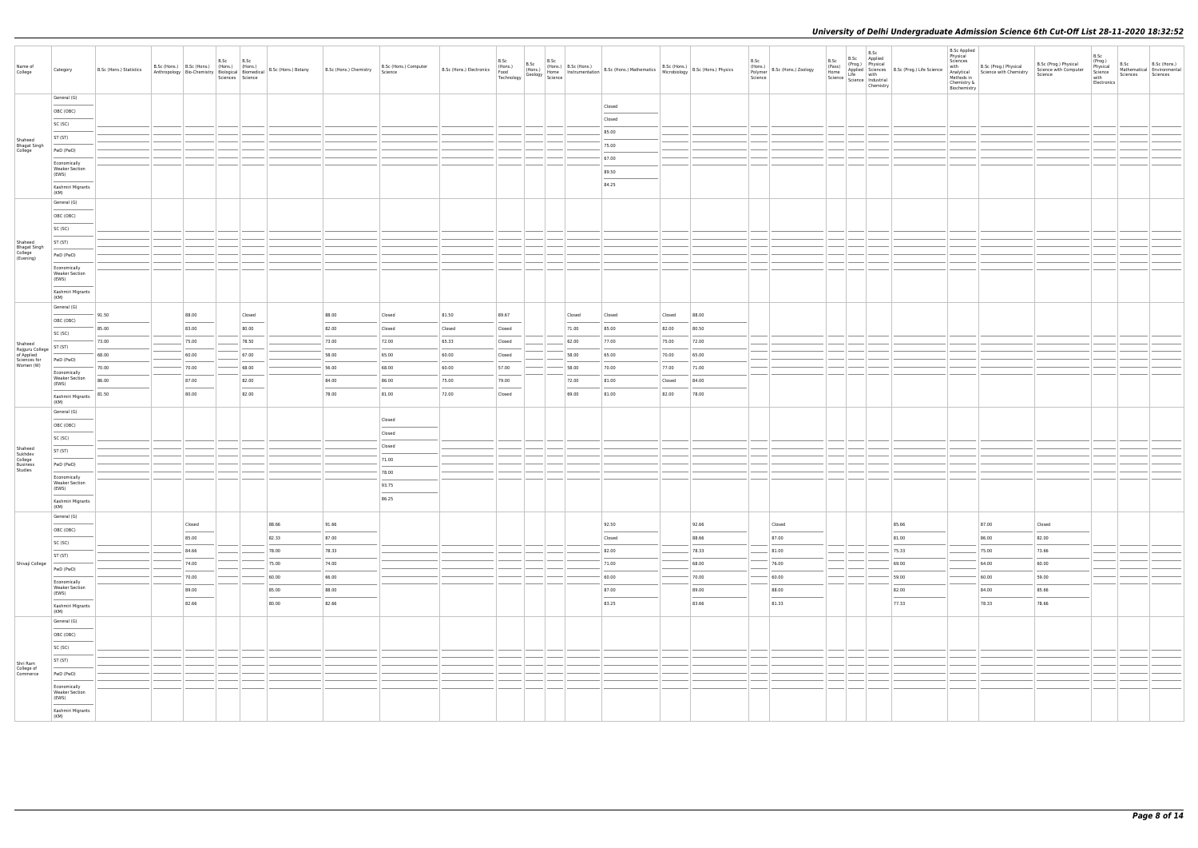| Name of                            | Category                                       | B.Sc (Hons.) Statistics | B.Sc (Hons.) B.Sc (Hons.) (Hons.) (Hons.)        |                | B.Sc             | B.Sc                                                                                                                                                                                                                                                                                                                                                                                                                                                                                         |       | B.Sc (Hons.) Botany B.Sc (Hons.) Chemistry | B.Sc (Hons.) Computer | B.Sc (Hons.) Electronics (Hons.) | B.Sc            | B.Sc |                |                                                                                                                                                                                        |                 |                | B.Sc    | (Hons.)<br>Polymer B.Sc (Hons.) Zoology | B.Sc<br>(Pass)<br>Home | B.Sc<br>B.Sc Applied<br>(Prog.) Physical                                                                       | <b>B.Sc Applied</b><br>Physical<br>Sciences | with B.Sc (Prog.) Physical<br>Analytical Science with Chemistry | B.Sc (Prog.) Physical<br>Science with Computer | B.Sc<br>(Prog.)<br>Physical<br>Science | B.Sc     | B.Sc (Hons.)<br>Mathematical Environmental |
|------------------------------------|------------------------------------------------|-------------------------|--------------------------------------------------|----------------|------------------|----------------------------------------------------------------------------------------------------------------------------------------------------------------------------------------------------------------------------------------------------------------------------------------------------------------------------------------------------------------------------------------------------------------------------------------------------------------------------------------------|-------|--------------------------------------------|-----------------------|----------------------------------|-----------------|------|----------------|----------------------------------------------------------------------------------------------------------------------------------------------------------------------------------------|-----------------|----------------|---------|-----------------------------------------|------------------------|----------------------------------------------------------------------------------------------------------------|---------------------------------------------|-----------------------------------------------------------------|------------------------------------------------|----------------------------------------|----------|--------------------------------------------|
| College                            |                                                |                         | Anthropology Bio-Chemistry Biological Biomedical |                | Sciences Science |                                                                                                                                                                                                                                                                                                                                                                                                                                                                                              |       |                                            | Science               |                                  |                 |      |                | B.Sc (Hons.) B.Sc (Hons.) B.Sc (Hons.) B.Sc (Hons.) B.Sc (Hons.) B.Sc (Hons.) B.Sc (Hons.) B.Sc (Hons.) B.Sc (Hons.) B.Sc (Hons.) B.Sc (Hons.) Physics Technology Science 1991 Science |                 |                | Science |                                         |                        | Applied Sciences B.Sc (Prog.) Life Science<br>Life with<br>Science   Lite<br>Science   Industrial<br>Chemistry | Methods in<br>Chemistry &<br>Biochemistry   |                                                                 | Science                                        | with<br>Electronics                    | Sciences | Sciences                                   |
|                                    | General (G)                                    |                         |                                                  |                |                  |                                                                                                                                                                                                                                                                                                                                                                                                                                                                                              |       |                                            |                       |                                  |                 |      |                | Closed                                                                                                                                                                                 |                 |                |         |                                         |                        |                                                                                                                |                                             |                                                                 |                                                |                                        |          |                                            |
|                                    | OBC (OBC)                                      |                         |                                                  |                |                  |                                                                                                                                                                                                                                                                                                                                                                                                                                                                                              |       |                                            |                       |                                  |                 |      |                | Closed                                                                                                                                                                                 |                 |                |         |                                         |                        |                                                                                                                |                                             |                                                                 |                                                |                                        |          |                                            |
|                                    | SC (SC)                                        |                         |                                                  |                |                  |                                                                                                                                                                                                                                                                                                                                                                                                                                                                                              |       |                                            |                       |                                  |                 |      |                | 85.00                                                                                                                                                                                  |                 |                |         |                                         |                        |                                                                                                                |                                             |                                                                 |                                                |                                        |          |                                            |
| Shaheed                            | ST (ST)                                        |                         |                                                  |                |                  |                                                                                                                                                                                                                                                                                                                                                                                                                                                                                              |       |                                            |                       |                                  |                 |      |                | 75.00                                                                                                                                                                                  |                 |                |         |                                         |                        |                                                                                                                |                                             |                                                                 |                                                |                                        |          |                                            |
| Bhagat Singh<br>College            | PwD (PwD)                                      |                         |                                                  |                |                  |                                                                                                                                                                                                                                                                                                                                                                                                                                                                                              |       |                                            |                       |                                  |                 |      |                | 67.00                                                                                                                                                                                  |                 |                |         |                                         |                        |                                                                                                                |                                             |                                                                 |                                                |                                        |          |                                            |
|                                    | Economically<br><b>Weaker Section</b><br>(EWS) |                         |                                                  |                |                  |                                                                                                                                                                                                                                                                                                                                                                                                                                                                                              |       |                                            |                       |                                  |                 |      |                | 89.50                                                                                                                                                                                  |                 |                |         |                                         |                        |                                                                                                                |                                             |                                                                 |                                                |                                        |          |                                            |
|                                    | Kashmiri Migrants                              |                         |                                                  |                |                  |                                                                                                                                                                                                                                                                                                                                                                                                                                                                                              |       |                                            |                       |                                  |                 |      |                | 84.25                                                                                                                                                                                  |                 |                |         |                                         |                        |                                                                                                                |                                             |                                                                 |                                                |                                        |          |                                            |
|                                    | (KM)<br>General (G)                            |                         |                                                  |                |                  |                                                                                                                                                                                                                                                                                                                                                                                                                                                                                              |       |                                            |                       |                                  |                 |      |                |                                                                                                                                                                                        |                 |                |         |                                         |                        |                                                                                                                |                                             |                                                                 |                                                |                                        |          |                                            |
|                                    | OBC (OBC)                                      |                         |                                                  |                |                  |                                                                                                                                                                                                                                                                                                                                                                                                                                                                                              |       |                                            |                       |                                  |                 |      |                |                                                                                                                                                                                        |                 |                |         |                                         |                        |                                                                                                                |                                             |                                                                 |                                                |                                        |          |                                            |
|                                    | SC (SC)                                        |                         |                                                  |                |                  |                                                                                                                                                                                                                                                                                                                                                                                                                                                                                              |       |                                            |                       |                                  |                 |      |                |                                                                                                                                                                                        |                 |                |         |                                         |                        |                                                                                                                |                                             |                                                                 |                                                |                                        |          |                                            |
|                                    | ST (ST)                                        |                         |                                                  |                |                  |                                                                                                                                                                                                                                                                                                                                                                                                                                                                                              |       |                                            |                       |                                  |                 |      |                |                                                                                                                                                                                        |                 |                |         |                                         |                        |                                                                                                                |                                             |                                                                 |                                                |                                        |          |                                            |
| Shaheed<br>Bhagat Singh<br>College | PwD (PwD)                                      |                         |                                                  |                |                  |                                                                                                                                                                                                                                                                                                                                                                                                                                                                                              |       |                                            |                       |                                  |                 |      |                |                                                                                                                                                                                        |                 |                |         |                                         |                        |                                                                                                                |                                             |                                                                 |                                                |                                        |          |                                            |
| (Evening)                          | Economically                                   |                         |                                                  |                |                  |                                                                                                                                                                                                                                                                                                                                                                                                                                                                                              |       |                                            |                       |                                  |                 |      |                |                                                                                                                                                                                        |                 |                |         |                                         |                        |                                                                                                                |                                             |                                                                 |                                                |                                        |          |                                            |
|                                    | <b>Weaker Section</b><br>(EWS)                 |                         |                                                  |                |                  |                                                                                                                                                                                                                                                                                                                                                                                                                                                                                              |       |                                            |                       |                                  |                 |      |                |                                                                                                                                                                                        |                 |                |         |                                         |                        |                                                                                                                |                                             |                                                                 |                                                |                                        |          |                                            |
|                                    | Kashmiri Migrants<br>(KM)                      |                         |                                                  |                |                  |                                                                                                                                                                                                                                                                                                                                                                                                                                                                                              |       |                                            |                       |                                  |                 |      |                |                                                                                                                                                                                        |                 |                |         |                                         |                        |                                                                                                                |                                             |                                                                 |                                                |                                        |          |                                            |
|                                    | General (G)                                    | 91.50                   |                                                  | 88.00          |                  | Closed                                                                                                                                                                                                                                                                                                                                                                                                                                                                                       |       | 88.00                                      | Closed                | 81.50                            | 89.67           |      | Closed         | Closed                                                                                                                                                                                 | Closed          | 88.00          |         |                                         |                        |                                                                                                                |                                             |                                                                 |                                                |                                        |          |                                            |
|                                    | OBC (OBC)                                      | 85.00                   |                                                  | 83.00          |                  | 80.00                                                                                                                                                                                                                                                                                                                                                                                                                                                                                        |       | 82.00                                      | Closed                | Closed                           | Closed          |      | 71.00          | 85.00                                                                                                                                                                                  | 82.00           | 80.50          |         |                                         |                        |                                                                                                                |                                             |                                                                 |                                                |                                        |          |                                            |
|                                    | SC (SC)                                        | 73.00                   |                                                  | 75.00          |                  | 78.50                                                                                                                                                                                                                                                                                                                                                                                                                                                                                        |       | 73.00                                      | 72.00                 | 65.33                            | Closed          |      | 62.00          | 77.00                                                                                                                                                                                  | 75.00           | 72.00          |         |                                         |                        |                                                                                                                |                                             |                                                                 |                                                |                                        |          |                                            |
| Shaheed<br>Rajguru College         | ST (ST)                                        | 68.00                   |                                                  |                |                  |                                                                                                                                                                                                                                                                                                                                                                                                                                                                                              |       |                                            | 65.00                 | 60.00                            |                 |      | 58.00          | 65.00                                                                                                                                                                                  |                 |                |         |                                         |                        |                                                                                                                |                                             |                                                                 |                                                |                                        |          |                                            |
| of Applied<br>Sciences for         | PwD (PwD)                                      | 70.00                   |                                                  | 60.00<br>70.00 |                  | 67.00<br>68.00                                                                                                                                                                                                                                                                                                                                                                                                                                                                               |       | 58.00<br>56.00                             | 68.00                 | 60.00                            | Closed<br>57.00 |      | 58.00          | 70.00                                                                                                                                                                                  | 70.00           | 65.00          |         |                                         |                        |                                                                                                                |                                             |                                                                 |                                                |                                        |          |                                            |
| Women (W)                          | Economically<br><b>Weaker Section</b>          | 86.00                   |                                                  |                |                  |                                                                                                                                                                                                                                                                                                                                                                                                                                                                                              |       |                                            |                       |                                  |                 |      |                |                                                                                                                                                                                        | 77.00           | 71.00<br>84.00 |         |                                         |                        |                                                                                                                |                                             |                                                                 |                                                |                                        |          |                                            |
|                                    | (EWS)                                          | 81.50                   |                                                  | 87.00<br>80.00 |                  | 82.00<br>$\frac{1}{2} \left( \frac{1}{2} \right) \left( \frac{1}{2} \right) \left( \frac{1}{2} \right) \left( \frac{1}{2} \right) \left( \frac{1}{2} \right) \left( \frac{1}{2} \right) \left( \frac{1}{2} \right) \left( \frac{1}{2} \right) \left( \frac{1}{2} \right) \left( \frac{1}{2} \right) \left( \frac{1}{2} \right) \left( \frac{1}{2} \right) \left( \frac{1}{2} \right) \left( \frac{1}{2} \right) \left( \frac{1}{2} \right) \left( \frac{1}{2} \right) \left( \frac$<br>82.00 |       | 84.00<br>78.00                             | 86.00<br>81.00        | 75.00<br>72.00                   | 79.00<br>Closed |      | 72.00<br>69.00 | 81.00<br>81.00                                                                                                                                                                         | Closed<br>82.00 | 78.00          |         |                                         |                        |                                                                                                                |                                             |                                                                 |                                                |                                        |          |                                            |
|                                    | Kashmiri Migrants<br>(KM)                      |                         |                                                  |                |                  |                                                                                                                                                                                                                                                                                                                                                                                                                                                                                              |       |                                            |                       |                                  |                 |      |                |                                                                                                                                                                                        |                 |                |         |                                         |                        |                                                                                                                |                                             |                                                                 |                                                |                                        |          |                                            |
|                                    | General (G)                                    |                         |                                                  |                |                  |                                                                                                                                                                                                                                                                                                                                                                                                                                                                                              |       |                                            | Closed                |                                  |                 |      |                |                                                                                                                                                                                        |                 |                |         |                                         |                        |                                                                                                                |                                             |                                                                 |                                                |                                        |          |                                            |
|                                    | OBC (OBC)                                      |                         |                                                  |                |                  |                                                                                                                                                                                                                                                                                                                                                                                                                                                                                              |       |                                            | Closed                |                                  |                 |      |                |                                                                                                                                                                                        |                 |                |         |                                         |                        |                                                                                                                |                                             |                                                                 |                                                |                                        |          |                                            |
| Shaheed                            | SC (SC)                                        |                         |                                                  |                |                  |                                                                                                                                                                                                                                                                                                                                                                                                                                                                                              |       |                                            | Closed                |                                  |                 |      |                |                                                                                                                                                                                        |                 |                |         |                                         |                        |                                                                                                                |                                             |                                                                 |                                                |                                        |          |                                            |
| Sukhdev<br>College                 | ST (ST)                                        |                         |                                                  |                |                  |                                                                                                                                                                                                                                                                                                                                                                                                                                                                                              |       |                                            | 71.00                 |                                  |                 |      |                |                                                                                                                                                                                        |                 |                |         |                                         |                        |                                                                                                                |                                             |                                                                 |                                                |                                        |          |                                            |
| Business<br>Studies                | PwD (PwD)                                      |                         |                                                  |                |                  |                                                                                                                                                                                                                                                                                                                                                                                                                                                                                              |       |                                            | 78.00                 |                                  |                 |      |                |                                                                                                                                                                                        |                 |                |         |                                         |                        |                                                                                                                |                                             |                                                                 |                                                |                                        |          |                                            |
|                                    | Economically<br><b>Weaker Section</b>          |                         |                                                  |                |                  |                                                                                                                                                                                                                                                                                                                                                                                                                                                                                              |       |                                            | 93.75                 |                                  |                 |      |                |                                                                                                                                                                                        |                 |                |         |                                         |                        |                                                                                                                |                                             |                                                                 |                                                |                                        |          |                                            |
|                                    | (EWS)<br>Kashmiri Migrants<br>(KM)             |                         |                                                  |                |                  |                                                                                                                                                                                                                                                                                                                                                                                                                                                                                              |       |                                            | 86.25                 |                                  |                 |      |                |                                                                                                                                                                                        |                 |                |         |                                         |                        |                                                                                                                |                                             |                                                                 |                                                |                                        |          |                                            |
|                                    | General (G)                                    |                         |                                                  |                |                  |                                                                                                                                                                                                                                                                                                                                                                                                                                                                                              |       |                                            |                       |                                  |                 |      |                |                                                                                                                                                                                        |                 |                |         |                                         |                        |                                                                                                                |                                             |                                                                 |                                                |                                        |          |                                            |
|                                    | OBC (OBC)                                      |                         |                                                  | Closed         |                  |                                                                                                                                                                                                                                                                                                                                                                                                                                                                                              | 88.66 | 91.66                                      |                       |                                  |                 |      |                | 92.50                                                                                                                                                                                  |                 | 92.66          |         | Closed                                  |                        | 85.66                                                                                                          |                                             | 87.00                                                           | Closed                                         |                                        |          |                                            |
|                                    | SC (SC)                                        |                         |                                                  | 85.00          |                  |                                                                                                                                                                                                                                                                                                                                                                                                                                                                                              | 82.33 | 87.00                                      |                       |                                  |                 |      |                | Closed                                                                                                                                                                                 |                 | 88.66          |         | 87.00                                   |                        | 81.00                                                                                                          |                                             | 86.00                                                           | 82.00                                          |                                        |          |                                            |
|                                    | ST (ST)                                        |                         |                                                  | 84.66          |                  |                                                                                                                                                                                                                                                                                                                                                                                                                                                                                              | 78.00 | 78.33                                      |                       |                                  |                 |      |                | 82.00                                                                                                                                                                                  |                 | 78.33          |         | 81.00                                   |                        | 75.33                                                                                                          |                                             | 75.00                                                           | 73.66                                          |                                        |          |                                            |
| Shivaji College                    | PwD (PwD)                                      |                         |                                                  | 74.00          |                  |                                                                                                                                                                                                                                                                                                                                                                                                                                                                                              | 75.00 | 74.00                                      |                       |                                  |                 |      |                | 71.00                                                                                                                                                                                  |                 | 68.00          |         | 76.00                                   |                        | 69.00                                                                                                          |                                             | 64.00                                                           | 60.00                                          |                                        |          |                                            |
|                                    | Economically                                   |                         |                                                  | 70.00          |                  |                                                                                                                                                                                                                                                                                                                                                                                                                                                                                              | 60.00 | 66.00                                      |                       |                                  |                 |      |                | 60.00                                                                                                                                                                                  |                 | 70.00          |         | 60.00                                   |                        | 59.00                                                                                                          |                                             | 60.00                                                           | 59.00                                          |                                        |          |                                            |
|                                    | <b>Weaker Section</b><br>(EWS)                 |                         |                                                  | 89.00          |                  |                                                                                                                                                                                                                                                                                                                                                                                                                                                                                              | 85.00 | 88.00                                      |                       |                                  |                 |      |                | 87.00                                                                                                                                                                                  |                 | 89.00          |         | 88.00                                   |                        | 82.00                                                                                                          |                                             | 84.00                                                           | 85.66                                          |                                        |          |                                            |
|                                    | Kashmiri Migrants<br>(KM)                      |                         |                                                  | 82.66          |                  |                                                                                                                                                                                                                                                                                                                                                                                                                                                                                              | 80.00 | 82.66                                      |                       |                                  |                 |      |                | 83.25                                                                                                                                                                                  |                 | 83.66          |         | 81.33                                   |                        | 77.33                                                                                                          |                                             | 78.33                                                           | 78.66                                          |                                        |          |                                            |
|                                    | General (G)                                    |                         |                                                  |                |                  |                                                                                                                                                                                                                                                                                                                                                                                                                                                                                              |       |                                            |                       |                                  |                 |      |                |                                                                                                                                                                                        |                 |                |         |                                         |                        |                                                                                                                |                                             |                                                                 |                                                |                                        |          |                                            |
|                                    | OBC (OBC)                                      |                         |                                                  |                |                  |                                                                                                                                                                                                                                                                                                                                                                                                                                                                                              |       |                                            |                       |                                  |                 |      |                |                                                                                                                                                                                        |                 |                |         |                                         |                        |                                                                                                                |                                             |                                                                 |                                                |                                        |          |                                            |
|                                    | SC (SC)                                        |                         |                                                  |                |                  |                                                                                                                                                                                                                                                                                                                                                                                                                                                                                              |       |                                            |                       |                                  |                 |      |                |                                                                                                                                                                                        |                 |                |         |                                         |                        |                                                                                                                |                                             |                                                                 |                                                |                                        |          |                                            |
|                                    | ST (ST)                                        |                         |                                                  |                |                  |                                                                                                                                                                                                                                                                                                                                                                                                                                                                                              |       |                                            |                       |                                  |                 |      |                |                                                                                                                                                                                        |                 |                |         |                                         |                        |                                                                                                                |                                             |                                                                 |                                                |                                        |          |                                            |
| Shri Ram<br>College of<br>Commerce | PwD (PwD)                                      |                         |                                                  |                |                  |                                                                                                                                                                                                                                                                                                                                                                                                                                                                                              |       |                                            |                       |                                  |                 |      |                |                                                                                                                                                                                        |                 |                |         |                                         |                        |                                                                                                                |                                             |                                                                 |                                                |                                        |          |                                            |
|                                    | Economically                                   |                         |                                                  |                |                  |                                                                                                                                                                                                                                                                                                                                                                                                                                                                                              |       |                                            |                       |                                  |                 |      |                |                                                                                                                                                                                        |                 |                |         |                                         |                        |                                                                                                                |                                             |                                                                 |                                                |                                        |          |                                            |
|                                    | <b>Weaker Section</b><br>(EWS)                 |                         |                                                  |                |                  |                                                                                                                                                                                                                                                                                                                                                                                                                                                                                              |       |                                            |                       |                                  |                 |      |                |                                                                                                                                                                                        |                 |                |         |                                         |                        |                                                                                                                |                                             |                                                                 |                                                |                                        |          |                                            |
|                                    | Kashmiri Migrants<br>(KM)                      |                         |                                                  |                |                  |                                                                                                                                                                                                                                                                                                                                                                                                                                                                                              |       |                                            |                       |                                  |                 |      |                |                                                                                                                                                                                        |                 |                |         |                                         |                        |                                                                                                                |                                             |                                                                 |                                                |                                        |          |                                            |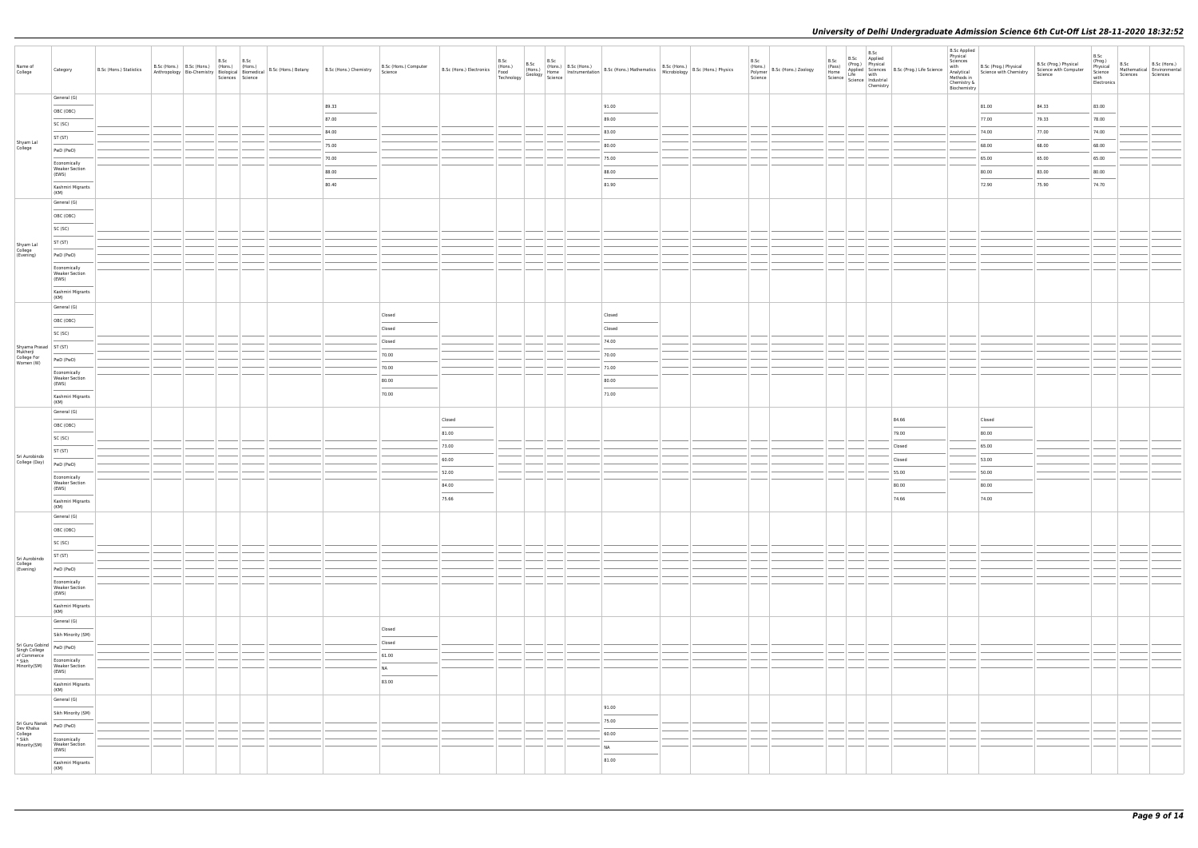| Name of<br>College                                                                                      | Category                                                                                                                                                                                                                                                                                                                                                                                                                                                                                | B.Sc (Hons.) Statistics |  | B.Sc B.Sc<br>Sciences Science |  | B.Sc (Hons.) B.Sc (Hons.) (Hons.) (Hons.) (Hons.) 8.Sc (Hons.) Botany B.Sc (Hons.) Chemistry B.Sc (Hons.) Chemistry Science | B.Sc (Hons.) Computer |        | B.Sc | B.Sc | B.Sc (Hons.) B.Sc (Hons.) B.Sc (Hons.) B.Sc (Hons.) B.Sc (Hons.) B.Sc (Hons.) B.Sc (Hons.) B.Sc (Hons.) B.Sc (Hons.) B.Sc (Hons.) B.Sc (Hons.) B.Sc (Hons.) Physics Technology Geology Science Technology Science |  | B.Sc<br>Science | (Hons.)<br>Polymer B.Sc (Hons.) Zoology | B.Sc | B.Sc B.Sc<br>(Prog.) Physical<br>(Pass) (Prog.) Physical<br>Home Applied Sciences<br>Science Life with<br>Science Industrial<br>Chemistry | <b>B.Sc Applied</b><br>Physical<br>Applied Sciences B.Sc (Prog.) Life Science<br>Life with | $\begin{tabular}{ll} \textbf{L} = \textbf{m} = \textbf{m} = \textbf{m} = \textbf{m} = \textbf{m} = \textbf{m} = \textbf{m} = \textbf{m} = \textbf{m} = \textbf{m} = \textbf{m} = \textbf{m} = \textbf{m} = \textbf{m} = \textbf{m} = \textbf{m} = \textbf{m} = \textbf{m} = \textbf{m} = \textbf{m} = \textbf{m} = \textbf{m} = \textbf{m} = \textbf{m} = \textbf{m} = \textbf{m} = \textbf{m} = \textbf{m} = \textbf{m} = \text$ | B.Sc (Prog.) Physical<br>Science with Computer<br>Science | B.Sc<br>(Prog.)<br>Physical<br>Science<br>with<br>Electronics | B.Sc<br>Sciences Sciences | B.Sc (Hons.)<br>Mathematical Environmental |
|---------------------------------------------------------------------------------------------------------|-----------------------------------------------------------------------------------------------------------------------------------------------------------------------------------------------------------------------------------------------------------------------------------------------------------------------------------------------------------------------------------------------------------------------------------------------------------------------------------------|-------------------------|--|-------------------------------|--|-----------------------------------------------------------------------------------------------------------------------------|-----------------------|--------|------|------|-------------------------------------------------------------------------------------------------------------------------------------------------------------------------------------------------------------------|--|-----------------|-----------------------------------------|------|-------------------------------------------------------------------------------------------------------------------------------------------|--------------------------------------------------------------------------------------------|-----------------------------------------------------------------------------------------------------------------------------------------------------------------------------------------------------------------------------------------------------------------------------------------------------------------------------------------------------------------------------------------------------------------------------------|-----------------------------------------------------------|---------------------------------------------------------------|---------------------------|--------------------------------------------|
|                                                                                                         | General (G)                                                                                                                                                                                                                                                                                                                                                                                                                                                                             |                         |  |                               |  | 89.33                                                                                                                       |                       |        |      |      | 91.00                                                                                                                                                                                                             |  |                 |                                         |      |                                                                                                                                           |                                                                                            | 81.00                                                                                                                                                                                                                                                                                                                                                                                                                             | 84.33                                                     | 83.00                                                         |                           |                                            |
|                                                                                                         | OBC (OBC)<br>$\frac{1}{2} \left( \frac{1}{2} \right) \left( \frac{1}{2} \right) \left( \frac{1}{2} \right) \left( \frac{1}{2} \right) \left( \frac{1}{2} \right) \left( \frac{1}{2} \right) \left( \frac{1}{2} \right) \left( \frac{1}{2} \right) \left( \frac{1}{2} \right) \left( \frac{1}{2} \right) \left( \frac{1}{2} \right) \left( \frac{1}{2} \right) \left( \frac{1}{2} \right) \left( \frac{1}{2} \right) \left( \frac{1}{2} \right) \left( \frac{1}{2} \right) \left( \frac$ |                         |  |                               |  | 87.00                                                                                                                       |                       |        |      |      | 89.00                                                                                                                                                                                                             |  |                 |                                         |      |                                                                                                                                           |                                                                                            | 77.00                                                                                                                                                                                                                                                                                                                                                                                                                             | 79.33                                                     | 78.00                                                         |                           |                                            |
|                                                                                                         | SC (SC)                                                                                                                                                                                                                                                                                                                                                                                                                                                                                 |                         |  |                               |  | 84.00                                                                                                                       |                       |        |      |      | 83.00                                                                                                                                                                                                             |  |                 |                                         |      |                                                                                                                                           |                                                                                            | 74.00                                                                                                                                                                                                                                                                                                                                                                                                                             | 77.00                                                     | 74.00                                                         |                           |                                            |
| Shyam Lal<br>College                                                                                    | ST (ST)<br><b>STATISTICS</b>                                                                                                                                                                                                                                                                                                                                                                                                                                                            |                         |  |                               |  | 75.00                                                                                                                       |                       |        |      |      | 80.00                                                                                                                                                                                                             |  |                 |                                         |      |                                                                                                                                           |                                                                                            | 68.00                                                                                                                                                                                                                                                                                                                                                                                                                             | 68.00                                                     | 68.00                                                         |                           |                                            |
|                                                                                                         | PwD (PwD)                                                                                                                                                                                                                                                                                                                                                                                                                                                                               |                         |  |                               |  | 70.00                                                                                                                       |                       |        |      |      | 75.00                                                                                                                                                                                                             |  |                 |                                         |      |                                                                                                                                           |                                                                                            | 65.00                                                                                                                                                                                                                                                                                                                                                                                                                             | 65.00                                                     | 65.00                                                         |                           |                                            |
|                                                                                                         | Economically<br><b>Weaker Section</b>                                                                                                                                                                                                                                                                                                                                                                                                                                                   |                         |  |                               |  | 88.00                                                                                                                       |                       |        |      |      | 88.00                                                                                                                                                                                                             |  |                 |                                         |      |                                                                                                                                           |                                                                                            | 80.00                                                                                                                                                                                                                                                                                                                                                                                                                             | 83.00                                                     | 80.00                                                         |                           |                                            |
|                                                                                                         | (EWS)<br>Kashmiri Migrants                                                                                                                                                                                                                                                                                                                                                                                                                                                              |                         |  |                               |  | 80.40                                                                                                                       |                       |        |      |      | $\sim$<br>81.90                                                                                                                                                                                                   |  |                 |                                         |      |                                                                                                                                           |                                                                                            | 72.90                                                                                                                                                                                                                                                                                                                                                                                                                             | 75.90                                                     | 74.70                                                         |                           |                                            |
|                                                                                                         | (KM)                                                                                                                                                                                                                                                                                                                                                                                                                                                                                    |                         |  |                               |  |                                                                                                                             |                       |        |      |      |                                                                                                                                                                                                                   |  |                 |                                         |      |                                                                                                                                           |                                                                                            |                                                                                                                                                                                                                                                                                                                                                                                                                                   |                                                           |                                                               |                           |                                            |
|                                                                                                         | General (G)                                                                                                                                                                                                                                                                                                                                                                                                                                                                             |                         |  |                               |  |                                                                                                                             |                       |        |      |      |                                                                                                                                                                                                                   |  |                 |                                         |      |                                                                                                                                           |                                                                                            |                                                                                                                                                                                                                                                                                                                                                                                                                                   |                                                           |                                                               |                           |                                            |
|                                                                                                         | OBC (OBC)                                                                                                                                                                                                                                                                                                                                                                                                                                                                               |                         |  |                               |  |                                                                                                                             |                       |        |      |      |                                                                                                                                                                                                                   |  |                 |                                         |      |                                                                                                                                           |                                                                                            |                                                                                                                                                                                                                                                                                                                                                                                                                                   |                                                           |                                                               |                           |                                            |
|                                                                                                         | SC (SC)                                                                                                                                                                                                                                                                                                                                                                                                                                                                                 |                         |  |                               |  |                                                                                                                             |                       |        |      |      |                                                                                                                                                                                                                   |  |                 |                                         |      |                                                                                                                                           |                                                                                            |                                                                                                                                                                                                                                                                                                                                                                                                                                   |                                                           |                                                               |                           |                                            |
| Shyam Lal<br>College<br>(Evening)                                                                       | ST (ST)                                                                                                                                                                                                                                                                                                                                                                                                                                                                                 |                         |  |                               |  |                                                                                                                             |                       |        |      |      |                                                                                                                                                                                                                   |  |                 |                                         |      |                                                                                                                                           |                                                                                            |                                                                                                                                                                                                                                                                                                                                                                                                                                   |                                                           |                                                               |                           |                                            |
|                                                                                                         | PwD (PwD)                                                                                                                                                                                                                                                                                                                                                                                                                                                                               |                         |  |                               |  |                                                                                                                             |                       |        |      |      |                                                                                                                                                                                                                   |  |                 |                                         |      |                                                                                                                                           |                                                                                            |                                                                                                                                                                                                                                                                                                                                                                                                                                   |                                                           |                                                               |                           |                                            |
|                                                                                                         | Economically<br><b>Weaker Section</b><br>(EWS)<br>Kashmiri Migrants                                                                                                                                                                                                                                                                                                                                                                                                                     |                         |  |                               |  |                                                                                                                             |                       |        |      |      |                                                                                                                                                                                                                   |  |                 |                                         |      |                                                                                                                                           |                                                                                            |                                                                                                                                                                                                                                                                                                                                                                                                                                   |                                                           |                                                               |                           |                                            |
|                                                                                                         | (KM)                                                                                                                                                                                                                                                                                                                                                                                                                                                                                    |                         |  |                               |  |                                                                                                                             |                       |        |      |      |                                                                                                                                                                                                                   |  |                 |                                         |      |                                                                                                                                           |                                                                                            |                                                                                                                                                                                                                                                                                                                                                                                                                                   |                                                           |                                                               |                           |                                            |
|                                                                                                         | General (G)                                                                                                                                                                                                                                                                                                                                                                                                                                                                             |                         |  |                               |  |                                                                                                                             | Closed                |        |      |      | Closed                                                                                                                                                                                                            |  |                 |                                         |      |                                                                                                                                           |                                                                                            |                                                                                                                                                                                                                                                                                                                                                                                                                                   |                                                           |                                                               |                           |                                            |
|                                                                                                         | OBC (OBC)                                                                                                                                                                                                                                                                                                                                                                                                                                                                               |                         |  |                               |  |                                                                                                                             | Closed                |        |      |      | Closed                                                                                                                                                                                                            |  |                 |                                         |      |                                                                                                                                           |                                                                                            |                                                                                                                                                                                                                                                                                                                                                                                                                                   |                                                           |                                                               |                           |                                            |
|                                                                                                         | SC (SC)                                                                                                                                                                                                                                                                                                                                                                                                                                                                                 |                         |  |                               |  |                                                                                                                             | Closed                |        |      |      | 74.00                                                                                                                                                                                                             |  |                 |                                         |      |                                                                                                                                           |                                                                                            |                                                                                                                                                                                                                                                                                                                                                                                                                                   |                                                           |                                                               |                           |                                            |
| Shyama Prasad ST (ST)<br>Mukherji<br>College For<br>Women (W)                                           |                                                                                                                                                                                                                                                                                                                                                                                                                                                                                         |                         |  |                               |  |                                                                                                                             | 70.00                 |        |      |      | 70.00                                                                                                                                                                                                             |  |                 |                                         |      |                                                                                                                                           |                                                                                            |                                                                                                                                                                                                                                                                                                                                                                                                                                   |                                                           |                                                               |                           |                                            |
|                                                                                                         | PwD (PwD)                                                                                                                                                                                                                                                                                                                                                                                                                                                                               |                         |  |                               |  |                                                                                                                             | 70.00                 |        |      |      | 71.00                                                                                                                                                                                                             |  |                 |                                         |      |                                                                                                                                           |                                                                                            |                                                                                                                                                                                                                                                                                                                                                                                                                                   |                                                           |                                                               |                           |                                            |
|                                                                                                         | Economically<br><b>Weaker Section</b><br>(EWS)                                                                                                                                                                                                                                                                                                                                                                                                                                          |                         |  |                               |  |                                                                                                                             | 80.00                 |        |      |      | 80.00                                                                                                                                                                                                             |  |                 |                                         |      |                                                                                                                                           |                                                                                            |                                                                                                                                                                                                                                                                                                                                                                                                                                   |                                                           |                                                               |                           |                                            |
|                                                                                                         | Kashmiri Migrants<br>(KM)                                                                                                                                                                                                                                                                                                                                                                                                                                                               |                         |  |                               |  |                                                                                                                             | 70.00                 |        |      |      | $\frac{1}{2}$<br>71.00                                                                                                                                                                                            |  |                 |                                         |      |                                                                                                                                           |                                                                                            |                                                                                                                                                                                                                                                                                                                                                                                                                                   |                                                           |                                                               |                           |                                            |
|                                                                                                         | General (G)                                                                                                                                                                                                                                                                                                                                                                                                                                                                             |                         |  |                               |  |                                                                                                                             |                       | Closed |      |      |                                                                                                                                                                                                                   |  |                 |                                         |      |                                                                                                                                           | 84.66                                                                                      | Closed                                                                                                                                                                                                                                                                                                                                                                                                                            |                                                           |                                                               |                           |                                            |
|                                                                                                         | OBC (OBC)<br>$\sim$ $\sim$                                                                                                                                                                                                                                                                                                                                                                                                                                                              |                         |  |                               |  |                                                                                                                             |                       | 81.00  |      |      |                                                                                                                                                                                                                   |  |                 |                                         |      |                                                                                                                                           | 79.00                                                                                      | 80.00                                                                                                                                                                                                                                                                                                                                                                                                                             |                                                           |                                                               |                           |                                            |
|                                                                                                         | SC (SC)                                                                                                                                                                                                                                                                                                                                                                                                                                                                                 |                         |  |                               |  |                                                                                                                             |                       | 73.00  |      |      |                                                                                                                                                                                                                   |  |                 |                                         |      |                                                                                                                                           | Closed                                                                                     | 65.00                                                                                                                                                                                                                                                                                                                                                                                                                             |                                                           |                                                               |                           |                                            |
| Sri Aurobindo<br>College (Day)                                                                          | ST (ST)                                                                                                                                                                                                                                                                                                                                                                                                                                                                                 |                         |  |                               |  |                                                                                                                             |                       | 60.00  |      |      |                                                                                                                                                                                                                   |  |                 |                                         |      |                                                                                                                                           | Closed                                                                                     | 53.00                                                                                                                                                                                                                                                                                                                                                                                                                             |                                                           |                                                               |                           |                                            |
|                                                                                                         | PwD (PwD)                                                                                                                                                                                                                                                                                                                                                                                                                                                                               |                         |  |                               |  |                                                                                                                             |                       | 52.00  |      |      |                                                                                                                                                                                                                   |  |                 |                                         |      |                                                                                                                                           | 55.00                                                                                      | 50.00                                                                                                                                                                                                                                                                                                                                                                                                                             |                                                           |                                                               |                           |                                            |
|                                                                                                         | Economically<br><b>Weaker Section</b><br>(EWS)                                                                                                                                                                                                                                                                                                                                                                                                                                          |                         |  |                               |  |                                                                                                                             |                       | 84.00  |      |      |                                                                                                                                                                                                                   |  |                 |                                         |      |                                                                                                                                           | 80.00                                                                                      | 80.00                                                                                                                                                                                                                                                                                                                                                                                                                             |                                                           |                                                               |                           |                                            |
|                                                                                                         | Kashmiri Migrants<br>(KM)                                                                                                                                                                                                                                                                                                                                                                                                                                                               |                         |  |                               |  |                                                                                                                             |                       | 75.66  |      |      |                                                                                                                                                                                                                   |  |                 |                                         |      |                                                                                                                                           | 74.66                                                                                      | 74.00                                                                                                                                                                                                                                                                                                                                                                                                                             |                                                           |                                                               |                           |                                            |
|                                                                                                         | General (G)                                                                                                                                                                                                                                                                                                                                                                                                                                                                             |                         |  |                               |  |                                                                                                                             |                       |        |      |      |                                                                                                                                                                                                                   |  |                 |                                         |      |                                                                                                                                           |                                                                                            |                                                                                                                                                                                                                                                                                                                                                                                                                                   |                                                           |                                                               |                           |                                            |
|                                                                                                         | OBC (OBC)<br>$\frac{1}{2} \left( \frac{1}{2} \right) \left( \frac{1}{2} \right) \left( \frac{1}{2} \right) \left( \frac{1}{2} \right) \left( \frac{1}{2} \right) \left( \frac{1}{2} \right) \left( \frac{1}{2} \right) \left( \frac{1}{2} \right) \left( \frac{1}{2} \right) \left( \frac{1}{2} \right) \left( \frac{1}{2} \right) \left( \frac{1}{2} \right) \left( \frac{1}{2} \right) \left( \frac{1}{2} \right) \left( \frac{1}{2} \right) \left( \frac{1}{2} \right) \left( \frac$ |                         |  |                               |  |                                                                                                                             |                       |        |      |      |                                                                                                                                                                                                                   |  |                 |                                         |      |                                                                                                                                           |                                                                                            |                                                                                                                                                                                                                                                                                                                                                                                                                                   |                                                           |                                                               |                           |                                            |
|                                                                                                         | SC (SC)                                                                                                                                                                                                                                                                                                                                                                                                                                                                                 |                         |  |                               |  |                                                                                                                             |                       |        |      |      |                                                                                                                                                                                                                   |  |                 |                                         |      |                                                                                                                                           |                                                                                            |                                                                                                                                                                                                                                                                                                                                                                                                                                   |                                                           |                                                               |                           |                                            |
| Sri Aurobindo<br>College<br>(Evening)                                                                   | ST (ST)                                                                                                                                                                                                                                                                                                                                                                                                                                                                                 |                         |  |                               |  |                                                                                                                             |                       |        |      |      |                                                                                                                                                                                                                   |  |                 |                                         |      |                                                                                                                                           |                                                                                            |                                                                                                                                                                                                                                                                                                                                                                                                                                   |                                                           |                                                               |                           |                                            |
|                                                                                                         | PwD (PwD)                                                                                                                                                                                                                                                                                                                                                                                                                                                                               |                         |  |                               |  |                                                                                                                             |                       |        |      |      |                                                                                                                                                                                                                   |  |                 |                                         |      |                                                                                                                                           |                                                                                            |                                                                                                                                                                                                                                                                                                                                                                                                                                   |                                                           |                                                               |                           |                                            |
|                                                                                                         | Economically<br><b>Weaker Section</b><br>(EWS)<br>$\overline{\phantom{a}}$<br>Kashmiri Migrants                                                                                                                                                                                                                                                                                                                                                                                         |                         |  |                               |  |                                                                                                                             |                       |        |      |      |                                                                                                                                                                                                                   |  |                 |                                         |      |                                                                                                                                           |                                                                                            |                                                                                                                                                                                                                                                                                                                                                                                                                                   |                                                           |                                                               |                           |                                            |
|                                                                                                         | (KM)                                                                                                                                                                                                                                                                                                                                                                                                                                                                                    |                         |  |                               |  |                                                                                                                             |                       |        |      |      |                                                                                                                                                                                                                   |  |                 |                                         |      |                                                                                                                                           |                                                                                            |                                                                                                                                                                                                                                                                                                                                                                                                                                   |                                                           |                                                               |                           |                                            |
|                                                                                                         | General (G)                                                                                                                                                                                                                                                                                                                                                                                                                                                                             |                         |  |                               |  |                                                                                                                             | Closed                |        |      |      |                                                                                                                                                                                                                   |  |                 |                                         |      |                                                                                                                                           |                                                                                            |                                                                                                                                                                                                                                                                                                                                                                                                                                   |                                                           |                                                               |                           |                                            |
| $\left  \begin{array}{cc} \mathsf{Sri} \ \mathsf{Guru} \ \mathsf{Gobind} \end{array} \right $ PwD (PwD) | Sikh Minority (SM)                                                                                                                                                                                                                                                                                                                                                                                                                                                                      |                         |  |                               |  |                                                                                                                             | Closed                |        |      |      |                                                                                                                                                                                                                   |  |                 |                                         |      |                                                                                                                                           |                                                                                            |                                                                                                                                                                                                                                                                                                                                                                                                                                   |                                                           |                                                               |                           |                                            |
| Singh College<br>Singh College<br>of Commerce<br>* Sikh<br>Minority(SM)                                 |                                                                                                                                                                                                                                                                                                                                                                                                                                                                                         |                         |  |                               |  |                                                                                                                             | 61.00                 |        |      |      |                                                                                                                                                                                                                   |  |                 |                                         |      |                                                                                                                                           |                                                                                            |                                                                                                                                                                                                                                                                                                                                                                                                                                   |                                                           |                                                               |                           |                                            |
|                                                                                                         | Economically<br><b>Weaker Section</b><br>(EWS)                                                                                                                                                                                                                                                                                                                                                                                                                                          |                         |  |                               |  |                                                                                                                             | NA                    |        |      |      |                                                                                                                                                                                                                   |  |                 |                                         |      |                                                                                                                                           |                                                                                            |                                                                                                                                                                                                                                                                                                                                                                                                                                   |                                                           |                                                               |                           |                                            |
|                                                                                                         | Kashmiri Migrants<br>(KM)                                                                                                                                                                                                                                                                                                                                                                                                                                                               |                         |  |                               |  |                                                                                                                             | 83.00                 |        |      |      |                                                                                                                                                                                                                   |  |                 |                                         |      |                                                                                                                                           |                                                                                            |                                                                                                                                                                                                                                                                                                                                                                                                                                   |                                                           |                                                               |                           |                                            |
|                                                                                                         | General (G)<br>$\frac{1}{2}$                                                                                                                                                                                                                                                                                                                                                                                                                                                            |                         |  |                               |  |                                                                                                                             |                       |        |      |      | 91.00                                                                                                                                                                                                             |  |                 |                                         |      |                                                                                                                                           |                                                                                            |                                                                                                                                                                                                                                                                                                                                                                                                                                   |                                                           |                                                               |                           |                                            |
|                                                                                                         | Sikh Minority (SM)                                                                                                                                                                                                                                                                                                                                                                                                                                                                      |                         |  |                               |  |                                                                                                                             |                       |        |      |      | 75.00                                                                                                                                                                                                             |  |                 |                                         |      |                                                                                                                                           |                                                                                            |                                                                                                                                                                                                                                                                                                                                                                                                                                   |                                                           |                                                               |                           |                                            |
| Sri Guru Nanak<br>Dev Khalsa<br>College<br>* Sikh<br>Minority(SM)                                       | PwD (PwD)                                                                                                                                                                                                                                                                                                                                                                                                                                                                               |                         |  |                               |  |                                                                                                                             |                       |        |      |      | 60.00                                                                                                                                                                                                             |  |                 |                                         |      |                                                                                                                                           |                                                                                            |                                                                                                                                                                                                                                                                                                                                                                                                                                   |                                                           |                                                               |                           |                                            |
|                                                                                                         | Economically<br><b>Weaker Section</b><br>(EWS)<br>Kashmiri Migrants                                                                                                                                                                                                                                                                                                                                                                                                                     |                         |  |                               |  |                                                                                                                             |                       |        |      |      | <b>NA</b><br>81.00                                                                                                                                                                                                |  |                 |                                         |      |                                                                                                                                           |                                                                                            |                                                                                                                                                                                                                                                                                                                                                                                                                                   |                                                           |                                                               |                           |                                            |
|                                                                                                         | (KM)                                                                                                                                                                                                                                                                                                                                                                                                                                                                                    |                         |  |                               |  |                                                                                                                             |                       |        |      |      |                                                                                                                                                                                                                   |  |                 |                                         |      |                                                                                                                                           |                                                                                            |                                                                                                                                                                                                                                                                                                                                                                                                                                   |                                                           |                                                               |                           |                                            |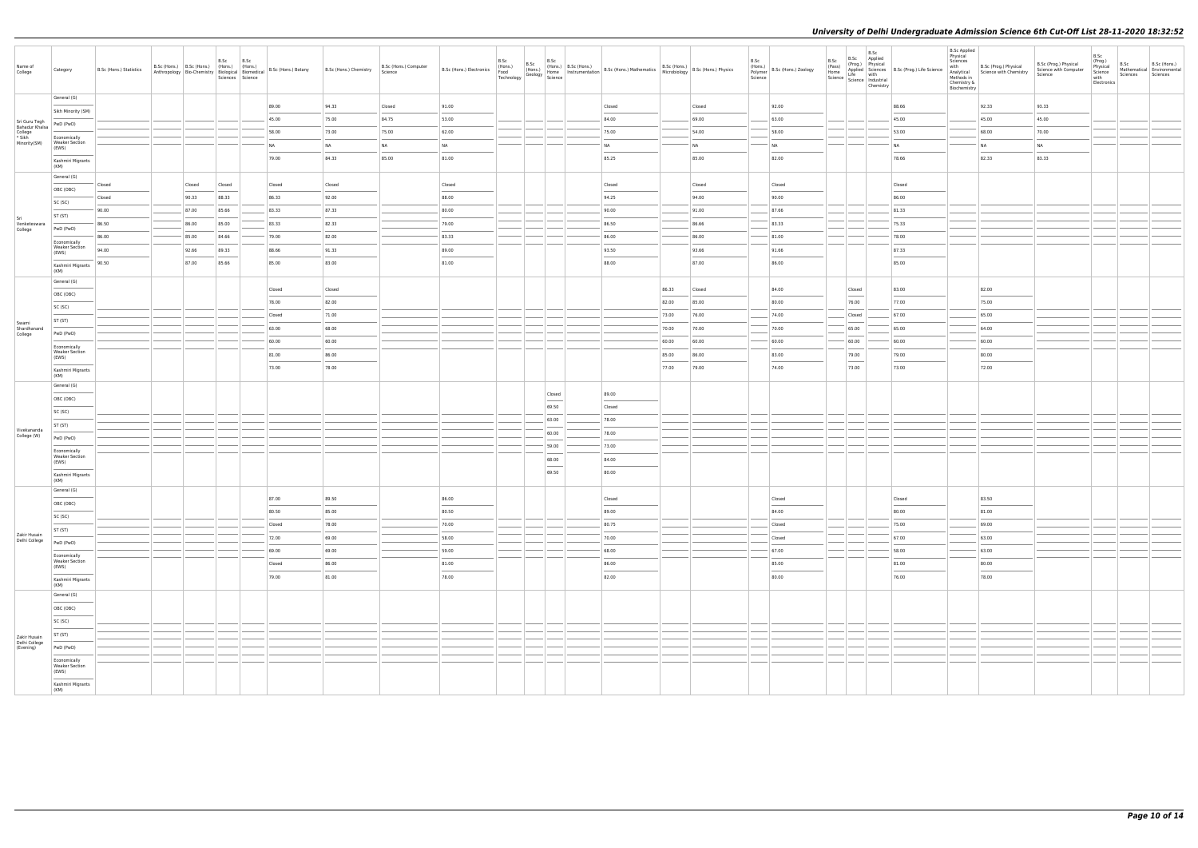| Name of<br>College                | Category                              | B.Sc (Hons.) Statistics | B.Sc (Hons.) B.Sc (Hons.) (Hons.) (Hons.)<br>Anthropology Bio-Chemistry Biological Biomedical |        | B.Sc   | B.Sc<br>Sciences Science | B.Sc (Hons.) Botany | B.Sc (Hons.) Chemistry | B.Sc (Hons.) Computer<br>Science | B.Sc (Hons.) Electronics | B.Sc<br>(Hons.)<br>Food<br>Technology | B.Sc<br>Any Geology Home<br>Science British |                                                                                                                                                                                                                                                                                                                                                                                                                                                                                     | $B.Sc$<br>(Hons.) $B.Sc$ (Hons.) | Home.) B.Sc (Hons.) B.Sc (Hons.) Mathematics B.Sc (Hons.) B.Sc (Hons.) Physics<br>Home Instrumentation B.Sc (Hons.) Mathematics Microbiology B.Sc (Hons.) Physics |                |        | B.Sc<br>Science | (Hons.)<br>Polymer B.Sc (Hons.) Zoology | B.Sc<br>(Pass)<br>Home<br>Science   Lite<br>  Science   Industrial<br>  Chamicto | B.Sc Applied<br>(Prog.) Physical | B.Sc<br>Applied Sciences B.Sc (Prog.) Life Science<br>Life with<br>Chemistry | <b>B.Sc Applied</b><br>Physical<br>Sciences<br>with<br>Analytical<br>Methods in<br>Chemistry &<br>Biochemistry | B.Sc (Prog.) Physical<br>Science with Chemistry | B.Sc (Prog.) Physical<br>Science with Computer<br>Science | B.Sc<br>(Prog.)<br>B.Sc<br>B.Sc (Hons.)<br>Physical<br>Mathematical Environmental<br>Science<br>Sciences<br>Sciences<br>with<br>Electronics |
|-----------------------------------|---------------------------------------|-------------------------|-----------------------------------------------------------------------------------------------|--------|--------|--------------------------|---------------------|------------------------|----------------------------------|--------------------------|---------------------------------------|---------------------------------------------|-------------------------------------------------------------------------------------------------------------------------------------------------------------------------------------------------------------------------------------------------------------------------------------------------------------------------------------------------------------------------------------------------------------------------------------------------------------------------------------|----------------------------------|-------------------------------------------------------------------------------------------------------------------------------------------------------------------|----------------|--------|-----------------|-----------------------------------------|----------------------------------------------------------------------------------|----------------------------------|------------------------------------------------------------------------------|----------------------------------------------------------------------------------------------------------------|-------------------------------------------------|-----------------------------------------------------------|---------------------------------------------------------------------------------------------------------------------------------------------|
|                                   | General (G)                           |                         |                                                                                               |        |        |                          | 89.00               | 94.33                  | Closed                           | 91.00                    |                                       |                                             |                                                                                                                                                                                                                                                                                                                                                                                                                                                                                     |                                  | Closed                                                                                                                                                            |                | Closed |                 | 92.00                                   |                                                                                  |                                  | 88.66                                                                        |                                                                                                                | 92.33                                           | 93.33                                                     |                                                                                                                                             |
|                                   | Sikh Minority (SM)                    |                         |                                                                                               |        |        |                          | 45.00               | 75.00                  | 84.75                            | 53.00                    |                                       |                                             |                                                                                                                                                                                                                                                                                                                                                                                                                                                                                     |                                  | 84.00                                                                                                                                                             |                | 69.00  |                 | 63.00                                   |                                                                                  |                                  | 45.00                                                                        |                                                                                                                | 45.00                                           | 45.00                                                     |                                                                                                                                             |
| Sri Guru Tegh<br>Bahadur Khalsa   | PwD (PwD)                             |                         |                                                                                               |        |        |                          | 58.00               | 73.00                  | 75.00                            | 62.00                    |                                       |                                             |                                                                                                                                                                                                                                                                                                                                                                                                                                                                                     |                                  | 75.00                                                                                                                                                             |                | 54.00  |                 | 58.00                                   |                                                                                  |                                  | 53.00                                                                        |                                                                                                                | 68.00                                           | 70.00                                                     |                                                                                                                                             |
| College<br>* Sikh<br>Minority(SM) | Economically<br><b>Weaker Section</b> |                         |                                                                                               |        |        |                          | NA                  | NA                     | <b>NA</b>                        | NA                       |                                       |                                             |                                                                                                                                                                                                                                                                                                                                                                                                                                                                                     |                                  | <b>NA</b>                                                                                                                                                         |                | NA     |                 | <b>NA</b>                               |                                                                                  |                                  | <b>NA</b>                                                                    |                                                                                                                | NA                                              | NA                                                        |                                                                                                                                             |
|                                   | (EWS)                                 |                         |                                                                                               |        |        |                          | 79.00               | 84.33                  | 85.00                            | 81.00                    |                                       |                                             |                                                                                                                                                                                                                                                                                                                                                                                                                                                                                     |                                  | 85.25                                                                                                                                                             |                | 85.00  |                 | 82.00                                   |                                                                                  |                                  | 78.66                                                                        |                                                                                                                | 82.33                                           | 83.33                                                     |                                                                                                                                             |
|                                   | Kashmiri Migrants<br>(KM)             |                         |                                                                                               |        |        |                          |                     |                        |                                  |                          |                                       |                                             |                                                                                                                                                                                                                                                                                                                                                                                                                                                                                     |                                  |                                                                                                                                                                   |                |        |                 |                                         |                                                                                  |                                  |                                                                              |                                                                                                                |                                                 |                                                           |                                                                                                                                             |
|                                   | General (G)                           | Closed                  |                                                                                               | Closed | Closed |                          | Closed              | Closed                 |                                  | Closed                   |                                       |                                             |                                                                                                                                                                                                                                                                                                                                                                                                                                                                                     |                                  | Closed                                                                                                                                                            |                | Closed |                 | Closed                                  |                                                                                  |                                  | Closed                                                                       |                                                                                                                |                                                 |                                                           |                                                                                                                                             |
|                                   | OBC (OBC)                             | Closed                  |                                                                                               | 90.33  | 88.33  |                          | 86.33               | 92.00                  |                                  | 88.00                    |                                       |                                             |                                                                                                                                                                                                                                                                                                                                                                                                                                                                                     |                                  | 94.25                                                                                                                                                             |                | 94.00  |                 | 90.00                                   |                                                                                  |                                  | 86.00                                                                        |                                                                                                                |                                                 |                                                           |                                                                                                                                             |
|                                   | SC (SC)                               | 90.00                   |                                                                                               | 87.00  | 85.66  |                          | 83.33               | 87.33                  |                                  | 80.00                    |                                       |                                             |                                                                                                                                                                                                                                                                                                                                                                                                                                                                                     |                                  | 90.00                                                                                                                                                             |                | 91.00  |                 | 87.66                                   |                                                                                  |                                  | 81.33                                                                        |                                                                                                                |                                                 |                                                           |                                                                                                                                             |
| Sri<br>Venketeswara               | ST (ST)                               | 86.50                   |                                                                                               | 86.00  | 85.00  |                          | 83.33               | 82.33                  |                                  | 79.00                    |                                       |                                             |                                                                                                                                                                                                                                                                                                                                                                                                                                                                                     |                                  | 86.50                                                                                                                                                             |                | 86.66  |                 | 83.33                                   |                                                                                  |                                  | 75.33                                                                        |                                                                                                                |                                                 |                                                           |                                                                                                                                             |
| College                           | PwD (PwD)                             | 86.00                   |                                                                                               | 85.00  | 84.66  |                          | 79.00               | 82.00                  |                                  | 83.33                    |                                       |                                             |                                                                                                                                                                                                                                                                                                                                                                                                                                                                                     |                                  | 86.00                                                                                                                                                             |                | 86.00  |                 | 81.00                                   |                                                                                  |                                  | 78.00                                                                        |                                                                                                                |                                                 |                                                           |                                                                                                                                             |
|                                   | Economically<br><b>Weaker Section</b> | 94.00                   |                                                                                               | 92.66  | 89.33  |                          | 88.66               | 91.33                  |                                  | 89.00                    |                                       |                                             |                                                                                                                                                                                                                                                                                                                                                                                                                                                                                     |                                  | 93.50                                                                                                                                                             |                | 93.66  |                 | 91.66                                   |                                                                                  |                                  | 87.33                                                                        |                                                                                                                |                                                 |                                                           |                                                                                                                                             |
|                                   | (EWS)                                 |                         |                                                                                               | 87.00  | 85.66  |                          | 85.00               | 83.00                  |                                  | 81.00                    |                                       |                                             |                                                                                                                                                                                                                                                                                                                                                                                                                                                                                     |                                  | 88.00                                                                                                                                                             |                | 87.00  |                 | 86.00                                   |                                                                                  |                                  | 85.00                                                                        |                                                                                                                |                                                 |                                                           |                                                                                                                                             |
|                                   | Kashmiri Migrants<br>(KM)             | 90.50                   |                                                                                               |        |        |                          |                     |                        |                                  |                          |                                       |                                             |                                                                                                                                                                                                                                                                                                                                                                                                                                                                                     |                                  |                                                                                                                                                                   |                |        |                 |                                         |                                                                                  |                                  |                                                                              |                                                                                                                |                                                 |                                                           |                                                                                                                                             |
|                                   | General (G)                           |                         |                                                                                               |        |        |                          | Closed              | Closed                 |                                  |                          |                                       |                                             |                                                                                                                                                                                                                                                                                                                                                                                                                                                                                     |                                  |                                                                                                                                                                   | 86.33          | Closed |                 | 84.00                                   |                                                                                  | Closed                           | 83.00                                                                        |                                                                                                                | 82.00                                           |                                                           |                                                                                                                                             |
|                                   | OBC (OBC)                             |                         |                                                                                               |        |        |                          | 78.00               | 82.00                  |                                  |                          |                                       |                                             |                                                                                                                                                                                                                                                                                                                                                                                                                                                                                     |                                  |                                                                                                                                                                   | 82.00          | 85.00  |                 | 80.00                                   |                                                                                  | 76.00                            | 77.00                                                                        |                                                                                                                | 75.00                                           |                                                           |                                                                                                                                             |
| Swami<br>Shardhanand<br>College   | SC (SC)                               |                         |                                                                                               |        |        |                          | Closed              | 71.00                  |                                  |                          |                                       |                                             |                                                                                                                                                                                                                                                                                                                                                                                                                                                                                     |                                  |                                                                                                                                                                   | 73.00          | 76.00  |                 | 74.00                                   |                                                                                  | Closed                           | 67.00                                                                        |                                                                                                                | 65.00                                           |                                                           |                                                                                                                                             |
|                                   | ST (ST)                               |                         |                                                                                               |        |        |                          | 63.00               | 68.00                  |                                  |                          |                                       |                                             |                                                                                                                                                                                                                                                                                                                                                                                                                                                                                     |                                  |                                                                                                                                                                   | 70.00          | 70.00  |                 | 70.00                                   |                                                                                  | 65.00                            | 65.00                                                                        |                                                                                                                | 64.00                                           |                                                           |                                                                                                                                             |
|                                   | PwD (PwD)                             |                         |                                                                                               |        |        |                          | 60.00               | 60.00                  |                                  |                          |                                       |                                             |                                                                                                                                                                                                                                                                                                                                                                                                                                                                                     |                                  |                                                                                                                                                                   | 60.00          | 60.00  |                 | 60.00                                   |                                                                                  | 60.00                            | 60.00                                                                        |                                                                                                                | 60.00                                           |                                                           |                                                                                                                                             |
|                                   | Economically<br><b>Weaker Section</b> |                         |                                                                                               |        |        |                          | 81.00               | 86.00                  |                                  |                          |                                       |                                             |                                                                                                                                                                                                                                                                                                                                                                                                                                                                                     |                                  |                                                                                                                                                                   |                | 86.00  |                 | 83.00                                   |                                                                                  | 79.00                            | 79.00                                                                        |                                                                                                                | 80.00                                           |                                                           |                                                                                                                                             |
|                                   | (EWS)                                 |                         |                                                                                               |        |        |                          | 73.00               | 78.00                  |                                  |                          |                                       |                                             |                                                                                                                                                                                                                                                                                                                                                                                                                                                                                     |                                  |                                                                                                                                                                   | 85.00<br>77.00 | 79.00  |                 | 74.00                                   |                                                                                  | 73.00                            | 73.00                                                                        |                                                                                                                | 72.00                                           |                                                           |                                                                                                                                             |
|                                   | Kashmiri Migrants<br>(KM)             |                         |                                                                                               |        |        |                          |                     |                        |                                  |                          |                                       |                                             |                                                                                                                                                                                                                                                                                                                                                                                                                                                                                     |                                  |                                                                                                                                                                   |                |        |                 |                                         |                                                                                  |                                  |                                                                              |                                                                                                                |                                                 |                                                           |                                                                                                                                             |
|                                   | General (G)                           |                         |                                                                                               |        |        |                          |                     |                        |                                  |                          |                                       |                                             | Closed                                                                                                                                                                                                                                                                                                                                                                                                                                                                              |                                  | 89.00                                                                                                                                                             |                |        |                 |                                         |                                                                                  |                                  |                                                                              |                                                                                                                |                                                 |                                                           |                                                                                                                                             |
|                                   | OBC (OBC)                             |                         |                                                                                               |        |        |                          |                     |                        |                                  |                          |                                       |                                             | 69.50                                                                                                                                                                                                                                                                                                                                                                                                                                                                               |                                  | Closed                                                                                                                                                            |                |        |                 |                                         |                                                                                  |                                  |                                                                              |                                                                                                                |                                                 |                                                           |                                                                                                                                             |
|                                   | SC (SC)                               |                         |                                                                                               |        |        |                          |                     |                        |                                  |                          |                                       |                                             | 63.00                                                                                                                                                                                                                                                                                                                                                                                                                                                                               |                                  | 78.00                                                                                                                                                             |                |        |                 |                                         |                                                                                  |                                  |                                                                              |                                                                                                                |                                                 |                                                           |                                                                                                                                             |
| Vivekananda                       | ST (ST)                               |                         |                                                                                               |        |        |                          |                     |                        |                                  |                          |                                       |                                             | 60.00                                                                                                                                                                                                                                                                                                                                                                                                                                                                               |                                  | 78.00                                                                                                                                                             |                |        |                 |                                         |                                                                                  |                                  |                                                                              |                                                                                                                |                                                 |                                                           |                                                                                                                                             |
| College (W)                       | PwD (PwD)                             |                         |                                                                                               |        |        |                          |                     |                        |                                  |                          |                                       |                                             | 59.00                                                                                                                                                                                                                                                                                                                                                                                                                                                                               |                                  | 73.00                                                                                                                                                             |                |        |                 |                                         |                                                                                  |                                  |                                                                              |                                                                                                                |                                                 |                                                           |                                                                                                                                             |
|                                   | Economically<br><b>Weaker Section</b> |                         |                                                                                               |        |        |                          |                     |                        |                                  |                          |                                       |                                             | 68.00                                                                                                                                                                                                                                                                                                                                                                                                                                                                               |                                  | 84.00                                                                                                                                                             |                |        |                 |                                         |                                                                                  |                                  |                                                                              |                                                                                                                |                                                 |                                                           |                                                                                                                                             |
|                                   | (EWS)<br>Kashmiri Migrants            |                         |                                                                                               |        |        |                          |                     |                        |                                  |                          |                                       |                                             | $\frac{1}{2} \left( \frac{1}{2} \right) \left( \frac{1}{2} \right) \left( \frac{1}{2} \right) \left( \frac{1}{2} \right) \left( \frac{1}{2} \right) \left( \frac{1}{2} \right) \left( \frac{1}{2} \right) \left( \frac{1}{2} \right) \left( \frac{1}{2} \right) \left( \frac{1}{2} \right) \left( \frac{1}{2} \right) \left( \frac{1}{2} \right) \left( \frac{1}{2} \right) \left( \frac{1}{2} \right) \left( \frac{1}{2} \right) \left( \frac{1}{2} \right) \left( \frac$<br>69.50 |                                  | 80.00                                                                                                                                                             |                |        |                 |                                         |                                                                                  |                                  |                                                                              |                                                                                                                |                                                 |                                                           |                                                                                                                                             |
|                                   | (KM)<br>General (G)                   |                         |                                                                                               |        |        |                          |                     |                        |                                  |                          |                                       |                                             |                                                                                                                                                                                                                                                                                                                                                                                                                                                                                     |                                  |                                                                                                                                                                   |                |        |                 |                                         |                                                                                  |                                  |                                                                              |                                                                                                                |                                                 |                                                           |                                                                                                                                             |
|                                   | OBC (OBC)                             |                         |                                                                                               |        |        |                          | 87.00               | 89.50                  |                                  | 86.00                    |                                       |                                             |                                                                                                                                                                                                                                                                                                                                                                                                                                                                                     |                                  | Closed                                                                                                                                                            |                |        |                 | Closed                                  |                                                                                  |                                  | Closed                                                                       |                                                                                                                | 83.50                                           |                                                           |                                                                                                                                             |
|                                   | SC (SC)                               |                         |                                                                                               |        |        |                          | 80.50               | 85.00                  |                                  | 80.50                    |                                       |                                             |                                                                                                                                                                                                                                                                                                                                                                                                                                                                                     |                                  | 89.00                                                                                                                                                             |                |        |                 | 84.00                                   |                                                                                  |                                  | 80.00                                                                        |                                                                                                                | 81.00                                           |                                                           |                                                                                                                                             |
|                                   | ST (ST)                               |                         |                                                                                               |        |        |                          | Closed              | 78.00                  |                                  | 70.00                    |                                       |                                             |                                                                                                                                                                                                                                                                                                                                                                                                                                                                                     |                                  | 80.75                                                                                                                                                             |                |        |                 | Closed                                  |                                                                                  |                                  | 75.00                                                                        |                                                                                                                | 69.00                                           |                                                           |                                                                                                                                             |
| Zakir Husain<br>Delhi College     | PwD (PwD)                             |                         |                                                                                               |        |        |                          | 72.00               | 69.00                  |                                  | 58.00                    |                                       |                                             |                                                                                                                                                                                                                                                                                                                                                                                                                                                                                     |                                  | 70.00                                                                                                                                                             |                |        |                 | Closed                                  |                                                                                  |                                  | 67.00                                                                        |                                                                                                                | 63.00                                           |                                                           |                                                                                                                                             |
|                                   | Economically                          |                         |                                                                                               |        |        |                          | 69.00               | 69.00                  |                                  | 59.00                    |                                       |                                             |                                                                                                                                                                                                                                                                                                                                                                                                                                                                                     |                                  | 68.00                                                                                                                                                             |                |        |                 | 67.00                                   |                                                                                  |                                  | 58.00                                                                        |                                                                                                                | 63.00                                           |                                                           |                                                                                                                                             |
|                                   | <b>Weaker Section</b><br>(EWS)        |                         |                                                                                               |        |        |                          | Closed              | 86.00                  |                                  | 81.00                    |                                       |                                             |                                                                                                                                                                                                                                                                                                                                                                                                                                                                                     |                                  | 86.00                                                                                                                                                             |                |        |                 | 85.00                                   |                                                                                  |                                  | 81.00                                                                        |                                                                                                                | 80.00                                           |                                                           |                                                                                                                                             |
|                                   | Kashmiri Migrants<br>(KM)             |                         |                                                                                               |        |        |                          | 79.00               | 81.00                  |                                  | 78.00                    |                                       |                                             |                                                                                                                                                                                                                                                                                                                                                                                                                                                                                     |                                  | 82.00                                                                                                                                                             |                |        |                 | 80.00                                   |                                                                                  |                                  | 76.00                                                                        |                                                                                                                | 78.00                                           |                                                           |                                                                                                                                             |
|                                   | General (G)                           |                         |                                                                                               |        |        |                          |                     |                        |                                  |                          |                                       |                                             |                                                                                                                                                                                                                                                                                                                                                                                                                                                                                     |                                  |                                                                                                                                                                   |                |        |                 |                                         |                                                                                  |                                  |                                                                              |                                                                                                                |                                                 |                                                           |                                                                                                                                             |
|                                   | OBC (OBC)                             |                         |                                                                                               |        |        |                          |                     |                        |                                  |                          |                                       |                                             |                                                                                                                                                                                                                                                                                                                                                                                                                                                                                     |                                  |                                                                                                                                                                   |                |        |                 |                                         |                                                                                  |                                  |                                                                              |                                                                                                                |                                                 |                                                           |                                                                                                                                             |
|                                   | SC (SC)                               |                         |                                                                                               |        |        |                          |                     |                        |                                  |                          |                                       |                                             |                                                                                                                                                                                                                                                                                                                                                                                                                                                                                     |                                  |                                                                                                                                                                   |                |        |                 |                                         |                                                                                  |                                  |                                                                              |                                                                                                                |                                                 |                                                           |                                                                                                                                             |
| Zakir Husain                      | ST (ST)                               |                         |                                                                                               |        |        |                          |                     |                        |                                  |                          |                                       |                                             |                                                                                                                                                                                                                                                                                                                                                                                                                                                                                     |                                  |                                                                                                                                                                   |                |        |                 |                                         |                                                                                  |                                  |                                                                              |                                                                                                                |                                                 |                                                           |                                                                                                                                             |
| Delhi College<br>(Evening)        | PwD (PwD)                             |                         |                                                                                               |        |        |                          |                     |                        |                                  |                          |                                       |                                             |                                                                                                                                                                                                                                                                                                                                                                                                                                                                                     |                                  |                                                                                                                                                                   |                |        |                 |                                         |                                                                                  |                                  |                                                                              |                                                                                                                |                                                 |                                                           |                                                                                                                                             |
|                                   | Economically<br><b>Weaker Section</b> |                         |                                                                                               |        |        |                          |                     |                        |                                  |                          |                                       |                                             |                                                                                                                                                                                                                                                                                                                                                                                                                                                                                     |                                  |                                                                                                                                                                   |                |        |                 |                                         |                                                                                  |                                  |                                                                              |                                                                                                                |                                                 |                                                           |                                                                                                                                             |
|                                   | (EWS)<br>Kashmiri Migrants<br>(KM)    |                         |                                                                                               |        |        |                          |                     |                        |                                  |                          |                                       |                                             |                                                                                                                                                                                                                                                                                                                                                                                                                                                                                     |                                  |                                                                                                                                                                   |                |        |                 |                                         |                                                                                  |                                  |                                                                              |                                                                                                                |                                                 |                                                           |                                                                                                                                             |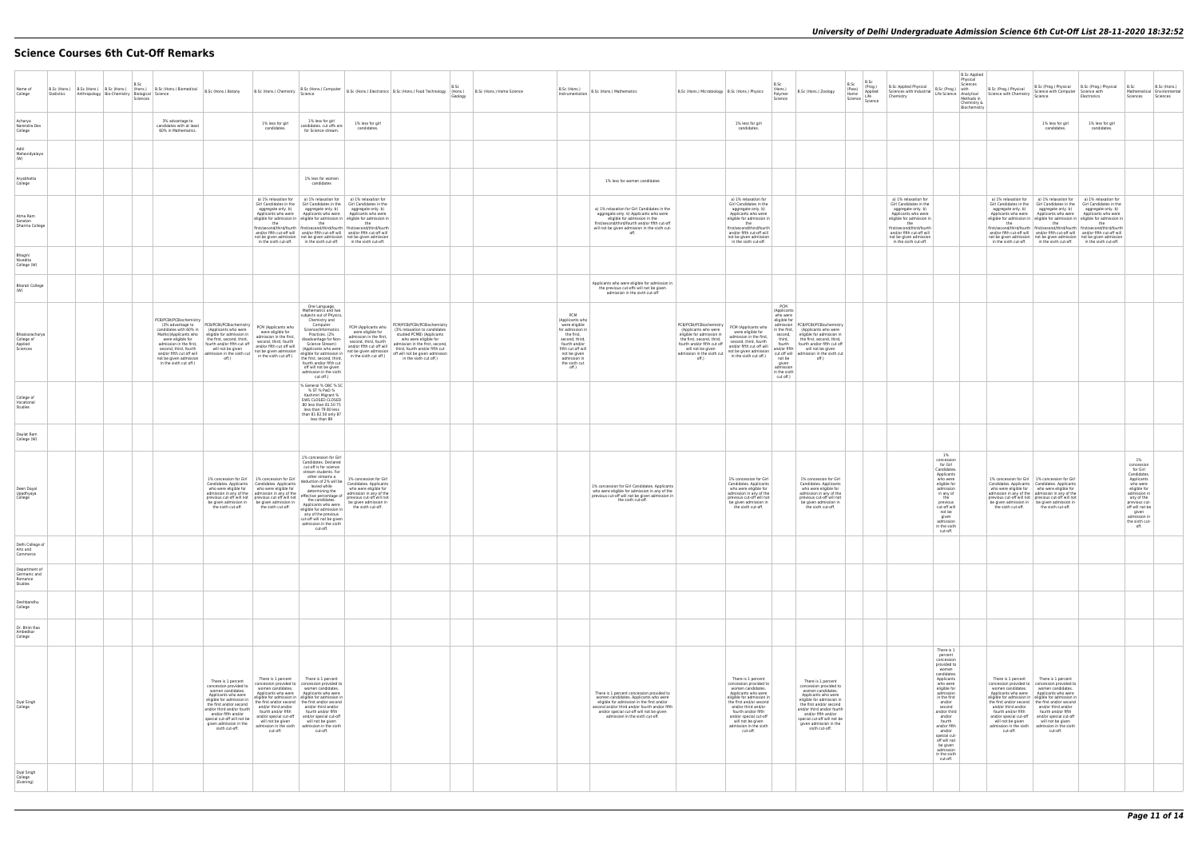# **Science Courses 6th Cut-Off Remarks**

| Name of<br>College<br>Statistics                    | Anthropology Bio-Chemistry Biological Science | B.Sc<br>Sciences | B.Sc (Hons.) B.Sc (Hons.) B.Sc (Hons.) B.Sc (Hons.) B.Sc (Hons.) Biomedical B.Sc (Hons.) Botany                                                                                                                                                                                                                                                                                                                             |                                                                                                                                                                                                                                                                                                                                                             | Science                                                                                                                                                                                                                                                                                                                                                                                                                                                                                                                                                                                                                                    |                                                                                                                                                                                                     | B.Sc<br>B.Sc (Hons.) Chemistry   B.Sc (Hons.) Computer   B.Sc (Hons.) Electronics   B.Sc (Hons.) Food Technology   $\frac{1}{2}$ (Hons.)<br>Geology                                                                                                 | B.Sc (Hons.) Home Science |                                                                                                                                                                                              | Instrumentation   B.Sc (Hons.) Mathematics                                                                                                                                                                                                                        | B.Sc (Hons.) Microbiology   B.Sc (Hons.) Physics                                                                                                                                                                                                                                                                                                                                       | B.Sc<br>(Hons.)<br>B.Sc (Hons.) Zoology<br>Polymer<br>Science                                                                                                                                                                                                                                                                                                                                             | B.Sc<br>B.Sc<br>(Prog.)<br><b>B.Sc Applied Physical</b><br>(Pass)<br>Home<br>Applied<br>Home<br>Science Life<br>Science<br>Chemistry                                                                                                         |                                                                                                                                                                                                                                                                                              | <b>B.Sc Applied</b><br>Physical<br>Sciences<br>B.Sc (Prog.) with<br>Sciences with Industrial B.Sc (Prog.) with B.Sc (Prog.) Physical<br>Chamistry Life Science Analytical Science with Chemistry<br>Methods in<br>Chemistry &<br>Biochemistry | Science with Computer Science with<br>Science                                                                                                                                                                                                                                                                                                                                                                                                                                               | B.Sc (Prog.) Physical B.Sc (Prog.) Physical B.Sc<br>Electronics                                                                                                                                                                                                                                                                                                                                                                 | Mathematical Environmental<br>Sciences Sciences                                                                                                                                                            | B.Sc (Hons.) |
|-----------------------------------------------------|-----------------------------------------------|------------------|-----------------------------------------------------------------------------------------------------------------------------------------------------------------------------------------------------------------------------------------------------------------------------------------------------------------------------------------------------------------------------------------------------------------------------|-------------------------------------------------------------------------------------------------------------------------------------------------------------------------------------------------------------------------------------------------------------------------------------------------------------------------------------------------------------|--------------------------------------------------------------------------------------------------------------------------------------------------------------------------------------------------------------------------------------------------------------------------------------------------------------------------------------------------------------------------------------------------------------------------------------------------------------------------------------------------------------------------------------------------------------------------------------------------------------------------------------------|-----------------------------------------------------------------------------------------------------------------------------------------------------------------------------------------------------|-----------------------------------------------------------------------------------------------------------------------------------------------------------------------------------------------------------------------------------------------------|---------------------------|----------------------------------------------------------------------------------------------------------------------------------------------------------------------------------------------|-------------------------------------------------------------------------------------------------------------------------------------------------------------------------------------------------------------------------------------------------------------------|----------------------------------------------------------------------------------------------------------------------------------------------------------------------------------------------------------------------------------------------------------------------------------------------------------------------------------------------------------------------------------------|-----------------------------------------------------------------------------------------------------------------------------------------------------------------------------------------------------------------------------------------------------------------------------------------------------------------------------------------------------------------------------------------------------------|----------------------------------------------------------------------------------------------------------------------------------------------------------------------------------------------------------------------------------------------|----------------------------------------------------------------------------------------------------------------------------------------------------------------------------------------------------------------------------------------------------------------------------------------------|-----------------------------------------------------------------------------------------------------------------------------------------------------------------------------------------------------------------------------------------------|---------------------------------------------------------------------------------------------------------------------------------------------------------------------------------------------------------------------------------------------------------------------------------------------------------------------------------------------------------------------------------------------------------------------------------------------------------------------------------------------|---------------------------------------------------------------------------------------------------------------------------------------------------------------------------------------------------------------------------------------------------------------------------------------------------------------------------------------------------------------------------------------------------------------------------------|------------------------------------------------------------------------------------------------------------------------------------------------------------------------------------------------------------|--------------|
| Acharya<br>Narendra Dev<br>College                  |                                               |                  | 3% advantage to<br>candidates with at least<br>60% in Mathematics.                                                                                                                                                                                                                                                                                                                                                          | 1% less for girl<br>candidates.                                                                                                                                                                                                                                                                                                                             | 1% less for girl<br>candidates. cut offs are<br>for Science stream.                                                                                                                                                                                                                                                                                                                                                                                                                                                                                                                                                                        | 1% less for girl<br>candidates.                                                                                                                                                                     |                                                                                                                                                                                                                                                     |                           |                                                                                                                                                                                              |                                                                                                                                                                                                                                                                   | 1% less for girl<br>candidates.                                                                                                                                                                                                                                                                                                                                                        |                                                                                                                                                                                                                                                                                                                                                                                                           |                                                                                                                                                                                                                                              |                                                                                                                                                                                                                                                                                              |                                                                                                                                                                                                                                               | 1% less for girl<br>candidates.                                                                                                                                                                                                                                                                                                                                                                                                                                                             | 1% less for girl<br>candidates.                                                                                                                                                                                                                                                                                                                                                                                                 |                                                                                                                                                                                                            |              |
| Aditi<br>Mahavidvalava<br>(W)                       |                                               |                  |                                                                                                                                                                                                                                                                                                                                                                                                                             |                                                                                                                                                                                                                                                                                                                                                             |                                                                                                                                                                                                                                                                                                                                                                                                                                                                                                                                                                                                                                            |                                                                                                                                                                                                     |                                                                                                                                                                                                                                                     |                           |                                                                                                                                                                                              |                                                                                                                                                                                                                                                                   |                                                                                                                                                                                                                                                                                                                                                                                        |                                                                                                                                                                                                                                                                                                                                                                                                           |                                                                                                                                                                                                                                              |                                                                                                                                                                                                                                                                                              |                                                                                                                                                                                                                                               |                                                                                                                                                                                                                                                                                                                                                                                                                                                                                             |                                                                                                                                                                                                                                                                                                                                                                                                                                 |                                                                                                                                                                                                            |              |
| Aryabhatta<br>College                               |                                               |                  |                                                                                                                                                                                                                                                                                                                                                                                                                             |                                                                                                                                                                                                                                                                                                                                                             | 1% less for women<br>candidates                                                                                                                                                                                                                                                                                                                                                                                                                                                                                                                                                                                                            |                                                                                                                                                                                                     |                                                                                                                                                                                                                                                     |                           |                                                                                                                                                                                              | 1% less for women candidates                                                                                                                                                                                                                                      |                                                                                                                                                                                                                                                                                                                                                                                        |                                                                                                                                                                                                                                                                                                                                                                                                           |                                                                                                                                                                                                                                              |                                                                                                                                                                                                                                                                                              |                                                                                                                                                                                                                                               |                                                                                                                                                                                                                                                                                                                                                                                                                                                                                             |                                                                                                                                                                                                                                                                                                                                                                                                                                 |                                                                                                                                                                                                            |              |
| Atma Ram<br>Sanatan<br>Dharma College               |                                               |                  |                                                                                                                                                                                                                                                                                                                                                                                                                             | Girl Candidates in the<br>the                                                                                                                                                                                                                                                                                                                               | a) 1% relaxation for   a) 1% relaxation for   a) 1% relaxation for<br>Girl Candidates in the<br>aggregate only. b) aggregate only. b) aggregate only. b)<br>Applicants who were   Applicants who were   Applicants who were<br>eligible for admission in eligible for admission in eligible for admission in<br>the<br>first/second/third/fourth first/second/third/fourth first/second/third/fourth<br>and/or fifth cut-off will   and/or fifth cut-off will   and/or fifth cut-off will<br>not be given admission   not be given admission   not be given admission<br>in the sixth cut-off. in the sixth cut-off. in the sixth cut-off. | Girl Candidates in the<br>the                                                                                                                                                                       |                                                                                                                                                                                                                                                     |                           |                                                                                                                                                                                              | a) 1% relaxation for Girl Candidates in the<br>aggregate only. b) Applicants who were<br>eligible for admission in the<br>first/second/third/fourth and/or fifth cut-off<br>will not be given admission in the sixth cut-<br>off.                                 | a) 1% relaxation for<br>Girl Candidates in the<br>aggregate only. b)<br>Applicants who were<br>eligible for admission in<br>the<br>first/second/third/fourth<br>and/or fifth cut-off will<br>not be given admission<br>in the sixth cut-off.                                                                                                                                           |                                                                                                                                                                                                                                                                                                                                                                                                           | a) 1% relaxation for<br>Girl Candidates in the<br>aggregate only. b)<br>Applicants who were<br>eligible for admission in<br>the<br>first/second/third/fourth<br>and/or fifth cut-off will<br>not be given admission<br>in the sixth cut-off. |                                                                                                                                                                                                                                                                                              | Girl Candidates in the<br>the                                                                                                                                                                                                                 | a) 1% relaxation for   a) 1% relaxation for   a) 1% relaxation for<br>Girl Candidates in the<br>aggregate only. b) aggregate only. b) aggregate only. b)<br>the<br>in the sixth cut-off.   in the sixth cut-off.   in the sixth cut-off.                                                                                                                                                                                                                                                    | Girl Candidates in the<br>Applicants who were   Applicants who were   Applicants who were<br>eligible for admission in eligible for admission in eligible for admission in<br>the<br>first/second/third/fourth first/second/third/fourth first/second/third/fourth<br>and/or fifth cut-off will and/or fifth cut-off will and/or fifth cut-off will<br>not be given admission   not be given admission   not be given admission |                                                                                                                                                                                                            |              |
| Bhagini<br>Nivedita<br>College (W)                  |                                               |                  |                                                                                                                                                                                                                                                                                                                                                                                                                             |                                                                                                                                                                                                                                                                                                                                                             |                                                                                                                                                                                                                                                                                                                                                                                                                                                                                                                                                                                                                                            |                                                                                                                                                                                                     |                                                                                                                                                                                                                                                     |                           |                                                                                                                                                                                              |                                                                                                                                                                                                                                                                   |                                                                                                                                                                                                                                                                                                                                                                                        |                                                                                                                                                                                                                                                                                                                                                                                                           |                                                                                                                                                                                                                                              |                                                                                                                                                                                                                                                                                              |                                                                                                                                                                                                                                               |                                                                                                                                                                                                                                                                                                                                                                                                                                                                                             |                                                                                                                                                                                                                                                                                                                                                                                                                                 |                                                                                                                                                                                                            |              |
| <b>Bharati College</b><br>(W)                       |                                               |                  |                                                                                                                                                                                                                                                                                                                                                                                                                             |                                                                                                                                                                                                                                                                                                                                                             |                                                                                                                                                                                                                                                                                                                                                                                                                                                                                                                                                                                                                                            |                                                                                                                                                                                                     |                                                                                                                                                                                                                                                     |                           |                                                                                                                                                                                              | Applicants who were eligible for admission in<br>the previous cut-offs will not be given<br>admission in the sixth cut-off                                                                                                                                        |                                                                                                                                                                                                                                                                                                                                                                                        |                                                                                                                                                                                                                                                                                                                                                                                                           |                                                                                                                                                                                                                                              |                                                                                                                                                                                                                                                                                              |                                                                                                                                                                                                                                               |                                                                                                                                                                                                                                                                                                                                                                                                                                                                                             |                                                                                                                                                                                                                                                                                                                                                                                                                                 |                                                                                                                                                                                                            |              |
| Bhaskaracharya<br>College of<br>Applied<br>Sciences |                                               |                  | PCB/PCBt/PCBiochemistry<br>(3% advantage to PCB/PCBt/PCBiochemistry<br>candidates with 60% in<br>(Applicants who were<br>Maths)(Applicants who eligible for admission in<br>were eligible for<br>the first, second, third,<br>admission in the first,   fourth and/or fifth cut off<br>second, third, fourth<br>will not be given<br>and/or fifth cut off will<br>not be given admission<br>off.)<br>in the sixth cut off.) | PCM (Applicants who<br>were eligible for<br>admission in the first,<br>second, third, fourth<br>and/or fifth cut off will                                                                                                                                                                                                                                   | One Language,<br>Mathematics and two<br>subjects out of Physics,<br>Chemistry and<br>Computer<br>Science/Informatics<br>Practices. (2%<br>disadvantage for Non-<br>Science Stream)<br>(Applicants who were<br>eligible for admission in<br>the first, second, third,<br>fourth and/or fifth cut<br>off will not be given<br>admission in the sixth<br>cut off.)                                                                                                                                                                                                                                                                            | PCM (Applicants who<br>were eligible for<br>admission in the first,<br>second, third, fourth<br>and/or fifth cut off will<br>not be given admission<br>in the sixth cut off.)                       | PCM/PCB/PCBt/PCBiochemistry<br>(3% relaxation to candidates<br>studied PCMB) (Applicants<br>who were eligible for<br>admission in the first, second,<br>third, fourth and/or fifth cut<br>off will not be given admission<br>in the sixth cut off.) |                           | PCM<br>(Applicants who<br>were eligible<br>for admission in<br>the first,<br>second, third.<br>fourth and/or<br>fifth cut off will<br>not be given<br>admission in<br>the sixth cut<br>off.) |                                                                                                                                                                                                                                                                   | PCB/PCBt/PCBiochemistry<br>PCM (Applicants who<br>(Applicants who were<br>were eligible for<br>eligible for admission in<br>admission in the first,<br>the first, second, third.<br>second, third, fourth<br>fourth and/or fifth cut off<br>and/or fifth cut off will<br>will not be given<br>will not be given<br>admission in the sixth cut<br>off ) in the sixth cut off.)<br>off.) | PCM<br>(Applicants<br>who were<br>eligible for<br>admission   PCB/PCBt/PCBiochemistry<br>in the first, (Applicants who were<br>second,<br>eligible for admission in<br>third,<br>fourth<br>the first, second, third,<br>fourth and/or fifth cut off<br>and/or fifth<br>will not be given<br>cut off will admission in the sixth cut<br>not be<br>off.)<br>given<br>admission<br>in the sixth<br>cut off.) |                                                                                                                                                                                                                                              |                                                                                                                                                                                                                                                                                              |                                                                                                                                                                                                                                               |                                                                                                                                                                                                                                                                                                                                                                                                                                                                                             |                                                                                                                                                                                                                                                                                                                                                                                                                                 |                                                                                                                                                                                                            |              |
| College of<br>Vocational<br>Studies                 |                                               |                  |                                                                                                                                                                                                                                                                                                                                                                                                                             |                                                                                                                                                                                                                                                                                                                                                             | % General % OBC % SC<br>% ST % PwD %<br>Kashmiri Migrant %<br>EWS CLOSED CLOSED<br>80 less than 81.50 75<br>less than 79 80 less<br>than 81 82.50 only 87<br>less than 89                                                                                                                                                                                                                                                                                                                                                                                                                                                                  |                                                                                                                                                                                                     |                                                                                                                                                                                                                                                     |                           |                                                                                                                                                                                              |                                                                                                                                                                                                                                                                   |                                                                                                                                                                                                                                                                                                                                                                                        |                                                                                                                                                                                                                                                                                                                                                                                                           |                                                                                                                                                                                                                                              |                                                                                                                                                                                                                                                                                              |                                                                                                                                                                                                                                               |                                                                                                                                                                                                                                                                                                                                                                                                                                                                                             |                                                                                                                                                                                                                                                                                                                                                                                                                                 |                                                                                                                                                                                                            |              |
| Daulat Ram<br>College (W)                           |                                               |                  |                                                                                                                                                                                                                                                                                                                                                                                                                             |                                                                                                                                                                                                                                                                                                                                                             |                                                                                                                                                                                                                                                                                                                                                                                                                                                                                                                                                                                                                                            |                                                                                                                                                                                                     |                                                                                                                                                                                                                                                     |                           |                                                                                                                                                                                              |                                                                                                                                                                                                                                                                   |                                                                                                                                                                                                                                                                                                                                                                                        |                                                                                                                                                                                                                                                                                                                                                                                                           |                                                                                                                                                                                                                                              |                                                                                                                                                                                                                                                                                              |                                                                                                                                                                                                                                               |                                                                                                                                                                                                                                                                                                                                                                                                                                                                                             |                                                                                                                                                                                                                                                                                                                                                                                                                                 |                                                                                                                                                                                                            |              |
| Deen Dayal<br>Upadhyaya<br>College                  |                                               |                  |                                                                                                                                                                                                                                                                                                                                                                                                                             | 1% concession for Girl   1% concession for Girl<br>Candidates. Applicants   Candidates. Applicants<br>who were eligible for who were eligible for<br>admission in any of the admission in any of the<br>previous cut-off will not previous cut-off will not<br>be given admission in   be given admission in<br>the sixth cut-off.<br>In the sixth cut-off. | 1% concession for Girl<br>Candidates. Declared<br>cut-off is for science<br>stream students. For<br>other streams a<br>deduction of 2% will be<br>levied while<br>determining the<br>effective percentage of<br>the candidates.<br>eligible for admission in<br>any of the previous<br>cut-off will not be given<br>admission in the sixth<br>cut-off.                                                                                                                                                                                                                                                                                     | 1% concession for Girl<br>Candidates. Applicants<br>who were eligible for<br>admission in any of the<br>previous cut-off will not<br>Applicants who were begiven admission in<br>the sixth cut-off. |                                                                                                                                                                                                                                                     |                           |                                                                                                                                                                                              | 1% concession for Girl Candidates. Applicants<br>who were eligible for admission in any of the<br>previous cut-off will not be given admission in<br>the sixth cut-off.                                                                                           | 1% concession for Girl<br>Candidates. Applicants<br>who were eligible for<br>admission in any of the<br>previous cut-off will not<br>be given admission in<br>the sixth cut-off.                                                                                                                                                                                                       | 1% concession for Girl<br>Candidates. Applicants<br>who were eligible for<br>admission in any of the<br>previous cut-off will not<br>be given admission in<br>the sixth cut-off.                                                                                                                                                                                                                          |                                                                                                                                                                                                                                              | 1%<br>concession<br>for Girl<br>Candidates.<br>Applicants<br>who were<br>eligible for<br>admission<br>in any of<br>the<br>previous<br>cut-off will<br>not be<br>giver<br>admission<br>in the sixth<br>cut-off.                                                                               | be given admission in   be given admission in                                                                                                                                                                                                 | 1% concession for Girl   1% concession for Girl<br>Candidates. Applicants Candidates. Applicants<br>who were eligible for who were eligible for<br>admission in any of the admission in any of the<br>previous cut-off will not previous cut-off will not<br>the sixth cut-off. the sixth cut-off.                                                                                                                                                                                          |                                                                                                                                                                                                                                                                                                                                                                                                                                 | 1%<br>concession<br>for Girl<br>Candidates.<br>Applicants<br>who were<br>eligible for<br>admission in<br>any of the<br>previous cut-<br>off will not be<br>given<br>admission in<br>the sixth cut-<br>off. |              |
| Delhi College of<br>Arts and<br>Commerce            |                                               |                  |                                                                                                                                                                                                                                                                                                                                                                                                                             |                                                                                                                                                                                                                                                                                                                                                             |                                                                                                                                                                                                                                                                                                                                                                                                                                                                                                                                                                                                                                            |                                                                                                                                                                                                     |                                                                                                                                                                                                                                                     |                           |                                                                                                                                                                                              |                                                                                                                                                                                                                                                                   |                                                                                                                                                                                                                                                                                                                                                                                        |                                                                                                                                                                                                                                                                                                                                                                                                           |                                                                                                                                                                                                                                              |                                                                                                                                                                                                                                                                                              |                                                                                                                                                                                                                                               |                                                                                                                                                                                                                                                                                                                                                                                                                                                                                             |                                                                                                                                                                                                                                                                                                                                                                                                                                 |                                                                                                                                                                                                            |              |
| Department of<br>Germanic and<br>Romance<br>Studies |                                               |                  |                                                                                                                                                                                                                                                                                                                                                                                                                             |                                                                                                                                                                                                                                                                                                                                                             |                                                                                                                                                                                                                                                                                                                                                                                                                                                                                                                                                                                                                                            |                                                                                                                                                                                                     |                                                                                                                                                                                                                                                     |                           |                                                                                                                                                                                              |                                                                                                                                                                                                                                                                   |                                                                                                                                                                                                                                                                                                                                                                                        |                                                                                                                                                                                                                                                                                                                                                                                                           |                                                                                                                                                                                                                                              |                                                                                                                                                                                                                                                                                              |                                                                                                                                                                                                                                               |                                                                                                                                                                                                                                                                                                                                                                                                                                                                                             |                                                                                                                                                                                                                                                                                                                                                                                                                                 |                                                                                                                                                                                                            |              |
| Deshbandhu<br>College                               |                                               |                  |                                                                                                                                                                                                                                                                                                                                                                                                                             |                                                                                                                                                                                                                                                                                                                                                             |                                                                                                                                                                                                                                                                                                                                                                                                                                                                                                                                                                                                                                            |                                                                                                                                                                                                     |                                                                                                                                                                                                                                                     |                           |                                                                                                                                                                                              |                                                                                                                                                                                                                                                                   |                                                                                                                                                                                                                                                                                                                                                                                        |                                                                                                                                                                                                                                                                                                                                                                                                           |                                                                                                                                                                                                                                              |                                                                                                                                                                                                                                                                                              |                                                                                                                                                                                                                                               |                                                                                                                                                                                                                                                                                                                                                                                                                                                                                             |                                                                                                                                                                                                                                                                                                                                                                                                                                 |                                                                                                                                                                                                            |              |
| Dr. Bhim Rao<br>Ambedkar<br>College                 |                                               |                  |                                                                                                                                                                                                                                                                                                                                                                                                                             |                                                                                                                                                                                                                                                                                                                                                             |                                                                                                                                                                                                                                                                                                                                                                                                                                                                                                                                                                                                                                            |                                                                                                                                                                                                     |                                                                                                                                                                                                                                                     |                           |                                                                                                                                                                                              |                                                                                                                                                                                                                                                                   |                                                                                                                                                                                                                                                                                                                                                                                        |                                                                                                                                                                                                                                                                                                                                                                                                           |                                                                                                                                                                                                                                              |                                                                                                                                                                                                                                                                                              |                                                                                                                                                                                                                                               |                                                                                                                                                                                                                                                                                                                                                                                                                                                                                             |                                                                                                                                                                                                                                                                                                                                                                                                                                 |                                                                                                                                                                                                            |              |
| Dyal Singh<br>College                               |                                               |                  | There is 1 percent<br>concession provided to<br>women candidates.<br>Applicants who were<br>eligible for admission in<br>the first and/or second<br>and/or third and/or fourth<br>and/or fifth and/or<br>given admission in the<br>sixth cut-off.                                                                                                                                                                           | There is 1 percent<br>Applicants who were<br>fourth and/or fifth<br>special cut-off will not be and/or special cut-off<br>cut-off.                                                                                                                                                                                                                          | There is 1 percent<br>concession provided to   concession provided to<br>women candidates. vomen candidates.<br>Applicants who were<br>eligible for admission in eligible for admission in<br>the first and/or second the first and/or second<br>and/or third and/or and/or third and/or<br>fourth and/or fifth<br>and/or special cut-off<br>will not be given<br>admission in the sixth admission in the sixth<br>cut-off.                                                                                                                                                                                                                |                                                                                                                                                                                                     |                                                                                                                                                                                                                                                     |                           |                                                                                                                                                                                              | There is 1 percent concession provided to<br>women candidates. Applicants who were<br>eligible for admission in the first and/or<br>second and/or third and/or fourth and/or fifth<br>and/or special cut-off will not be given<br>admission in the sixth cut-off. | There is 1 percent<br>concession provided to<br>women candidates.<br>Applicants who were<br>eligible for admission in<br>the first and/or second<br>and/or third and/or<br>fourth and/or fifth<br>and/or special cut-off<br>will not be given<br>admission in the sixth<br>cut-off.                                                                                                    | There is 1 percent<br>concession provided to<br>women candidates.<br>Applicants who were<br>eligible for admission in<br>the first and/or second<br>and/or third and/or fourth<br>and/or fifth and/or<br>special cut-off will not be<br>given admission in the<br>sixth cut-off.                                                                                                                          |                                                                                                                                                                                                                                              | There is 1<br>percent<br>concession<br>provided to<br>women<br>candidates.<br>Applicants<br>who were<br>eligible for<br>admission<br>in the first<br>and/or<br>second<br>and/or third<br>and/or<br>fourth<br>and/or fifth<br>and/or<br>special cut-<br>off will not<br>be given<br>admission | fourth and/or fifth<br>will not be given<br>cut-off.                                                                                                                                                                                          | There is 1 percent There is 1 percent<br>concession provided to   concession provided to<br>women candidates. vomen candidates.<br>Applicants who were Applicants who were<br>eligible for admission in eligible for admission in<br>the first and/or second   the first and/or second<br>and/or third and/or and/or third and/or<br>fourth and/or fifth<br>and/or special cut-off and/or special cut-off<br>will not be given<br>admission in the sixth admission in the sixth<br>cut-off. |                                                                                                                                                                                                                                                                                                                                                                                                                                 |                                                                                                                                                                                                            |              |
| Dyal Singh<br>College<br>(Evening)                  |                                               |                  |                                                                                                                                                                                                                                                                                                                                                                                                                             |                                                                                                                                                                                                                                                                                                                                                             |                                                                                                                                                                                                                                                                                                                                                                                                                                                                                                                                                                                                                                            |                                                                                                                                                                                                     |                                                                                                                                                                                                                                                     |                           |                                                                                                                                                                                              |                                                                                                                                                                                                                                                                   |                                                                                                                                                                                                                                                                                                                                                                                        |                                                                                                                                                                                                                                                                                                                                                                                                           |                                                                                                                                                                                                                                              | in the sixth<br>cut-off.                                                                                                                                                                                                                                                                     |                                                                                                                                                                                                                                               |                                                                                                                                                                                                                                                                                                                                                                                                                                                                                             |                                                                                                                                                                                                                                                                                                                                                                                                                                 |                                                                                                                                                                                                            |              |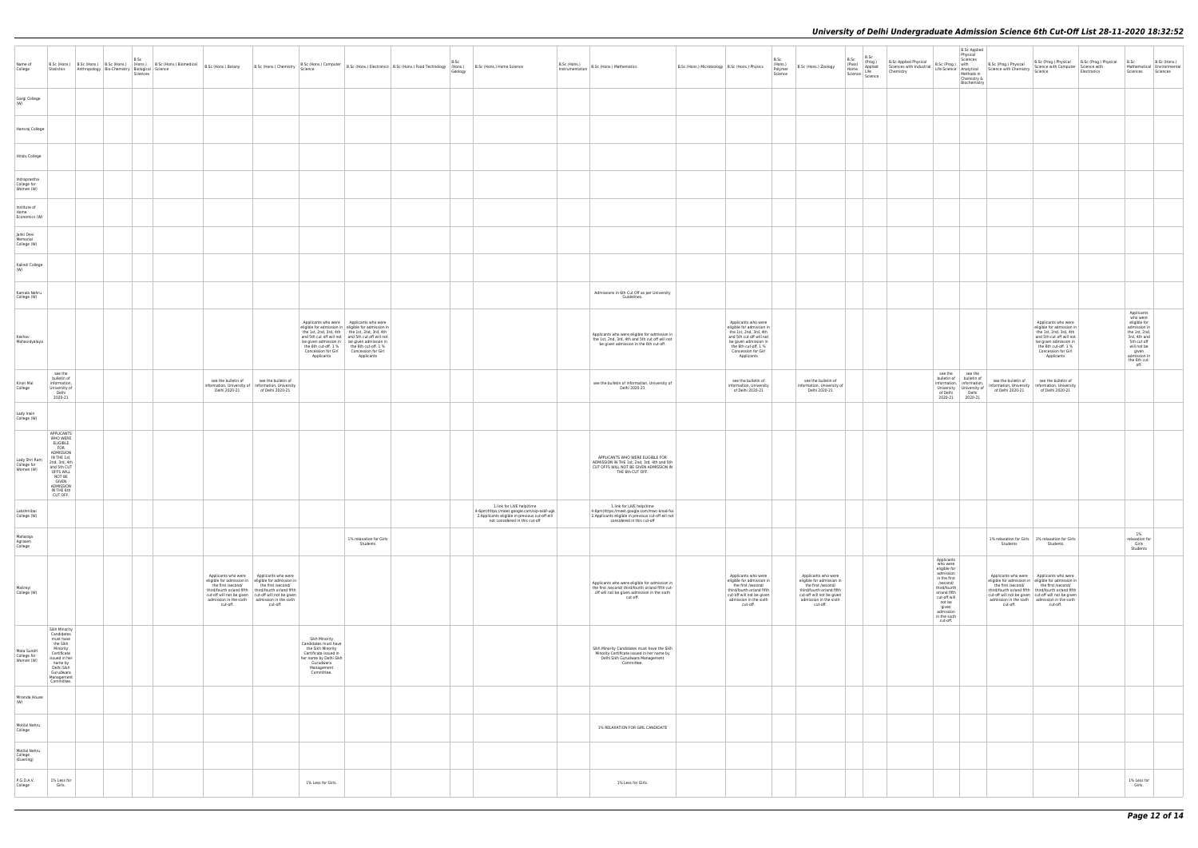|                                           |                                                                                                                                                                                                   |  | B.Sc<br>Sciences |                                                                                                                  |                                                                                                                                                                                                                                                                                                     |                                                                                                                                                        |                                                                                                                                                                                                                                                                       | Name of B.Sc (Hons.) B.Sc (Hons.) B.Sc (Hons.) B.Sc (Hons.) B.Sc (Hons.) B.Sc (Hons.) Biomedical B.Sc (Hons.) Bothers B.Sc (Hons.) Computer B.Sc (Hons.) Computer B.Sc (Hons.) Electronics B.Sc (Hons.) Food Technology Bio-Ch | B.Sc<br>Geology |                                                                                                                                                              | B.Sc (Hons.) | $\left  \begin{array}{c} \text{o.s.} \\ \text{Instrumentation} \end{array} \right $ B.Sc (Hons.) Mathematics                                                   | B.Sc (Hons.) Microbiology   B.Sc (Hons.) Physics                                                                                                                                             | B.Sc<br>(Hons.)<br>Polymer<br>Science | B.Sc (Hons.) Zoology                                                                                                                                                   | B.Sc | <b>B.Sc Applied</b><br>Physical<br>B.Sc (Prog.) Physical (Prog.) Physical B.Sc (Prog.) Physical B.Sc (Prog.) Physical B.Sc (Prog.) Physical B.Sc (Prog.) Physical B.Sc (Prog.) Physical B.Sc (Prog.) Physical B.Sc (Prog.) Physical B.Sc (Prog.) Physical B.Sc (P<br>Biochemistry |                                                                                                                                                                                                                                                                                                                                |                                                                                                                                                                        |  |
|-------------------------------------------|---------------------------------------------------------------------------------------------------------------------------------------------------------------------------------------------------|--|------------------|------------------------------------------------------------------------------------------------------------------|-----------------------------------------------------------------------------------------------------------------------------------------------------------------------------------------------------------------------------------------------------------------------------------------------------|--------------------------------------------------------------------------------------------------------------------------------------------------------|-----------------------------------------------------------------------------------------------------------------------------------------------------------------------------------------------------------------------------------------------------------------------|--------------------------------------------------------------------------------------------------------------------------------------------------------------------------------------------------------------------------------|-----------------|--------------------------------------------------------------------------------------------------------------------------------------------------------------|--------------|----------------------------------------------------------------------------------------------------------------------------------------------------------------|----------------------------------------------------------------------------------------------------------------------------------------------------------------------------------------------|---------------------------------------|------------------------------------------------------------------------------------------------------------------------------------------------------------------------|------|-----------------------------------------------------------------------------------------------------------------------------------------------------------------------------------------------------------------------------------------------------------------------------------|--------------------------------------------------------------------------------------------------------------------------------------------------------------------------------------------------------------------------------------------------------------------------------------------------------------------------------|------------------------------------------------------------------------------------------------------------------------------------------------------------------------|--|
| Gargi College<br>(W)                      |                                                                                                                                                                                                   |  |                  |                                                                                                                  |                                                                                                                                                                                                                                                                                                     |                                                                                                                                                        |                                                                                                                                                                                                                                                                       |                                                                                                                                                                                                                                |                 |                                                                                                                                                              |              |                                                                                                                                                                |                                                                                                                                                                                              |                                       |                                                                                                                                                                        |      |                                                                                                                                                                                                                                                                                   |                                                                                                                                                                                                                                                                                                                                |                                                                                                                                                                        |  |
| Hansraj College                           |                                                                                                                                                                                                   |  |                  |                                                                                                                  |                                                                                                                                                                                                                                                                                                     |                                                                                                                                                        |                                                                                                                                                                                                                                                                       |                                                                                                                                                                                                                                |                 |                                                                                                                                                              |              |                                                                                                                                                                |                                                                                                                                                                                              |                                       |                                                                                                                                                                        |      |                                                                                                                                                                                                                                                                                   |                                                                                                                                                                                                                                                                                                                                |                                                                                                                                                                        |  |
| Hindu College                             |                                                                                                                                                                                                   |  |                  |                                                                                                                  |                                                                                                                                                                                                                                                                                                     |                                                                                                                                                        |                                                                                                                                                                                                                                                                       |                                                                                                                                                                                                                                |                 |                                                                                                                                                              |              |                                                                                                                                                                |                                                                                                                                                                                              |                                       |                                                                                                                                                                        |      |                                                                                                                                                                                                                                                                                   |                                                                                                                                                                                                                                                                                                                                |                                                                                                                                                                        |  |
| Indraprastha<br>College for<br>Women (W)  |                                                                                                                                                                                                   |  |                  |                                                                                                                  |                                                                                                                                                                                                                                                                                                     |                                                                                                                                                        |                                                                                                                                                                                                                                                                       |                                                                                                                                                                                                                                |                 |                                                                                                                                                              |              |                                                                                                                                                                |                                                                                                                                                                                              |                                       |                                                                                                                                                                        |      |                                                                                                                                                                                                                                                                                   |                                                                                                                                                                                                                                                                                                                                |                                                                                                                                                                        |  |
| Institute of<br>Home<br>Economics (W)     |                                                                                                                                                                                                   |  |                  |                                                                                                                  |                                                                                                                                                                                                                                                                                                     |                                                                                                                                                        |                                                                                                                                                                                                                                                                       |                                                                                                                                                                                                                                |                 |                                                                                                                                                              |              |                                                                                                                                                                |                                                                                                                                                                                              |                                       |                                                                                                                                                                        |      |                                                                                                                                                                                                                                                                                   |                                                                                                                                                                                                                                                                                                                                |                                                                                                                                                                        |  |
| Janki Devi<br>Memorial<br>College (W)     |                                                                                                                                                                                                   |  |                  |                                                                                                                  |                                                                                                                                                                                                                                                                                                     |                                                                                                                                                        |                                                                                                                                                                                                                                                                       |                                                                                                                                                                                                                                |                 |                                                                                                                                                              |              |                                                                                                                                                                |                                                                                                                                                                                              |                                       |                                                                                                                                                                        |      |                                                                                                                                                                                                                                                                                   |                                                                                                                                                                                                                                                                                                                                |                                                                                                                                                                        |  |
| Kalindi College<br>(W)                    |                                                                                                                                                                                                   |  |                  |                                                                                                                  |                                                                                                                                                                                                                                                                                                     |                                                                                                                                                        |                                                                                                                                                                                                                                                                       |                                                                                                                                                                                                                                |                 |                                                                                                                                                              |              |                                                                                                                                                                |                                                                                                                                                                                              |                                       |                                                                                                                                                                        |      |                                                                                                                                                                                                                                                                                   |                                                                                                                                                                                                                                                                                                                                |                                                                                                                                                                        |  |
| Kamala Nehru<br>College (W)               |                                                                                                                                                                                                   |  |                  |                                                                                                                  |                                                                                                                                                                                                                                                                                                     |                                                                                                                                                        |                                                                                                                                                                                                                                                                       |                                                                                                                                                                                                                                |                 |                                                                                                                                                              |              | Admissions in 6th Cut Off as per University<br>Guidelines.                                                                                                     |                                                                                                                                                                                              |                                       |                                                                                                                                                                        |      |                                                                                                                                                                                                                                                                                   |                                                                                                                                                                                                                                                                                                                                |                                                                                                                                                                        |  |
| Keshav<br>Mahavidyalaya                   |                                                                                                                                                                                                   |  |                  |                                                                                                                  |                                                                                                                                                                                                                                                                                                     | be given admission in   be given admission in<br>Concession for Girl Concession for Girl<br>Applicants                                                 | Applicants who were   Applicants who were<br>eligible for admission in eligible for admission in<br>the 1st, 2nd, 3rd, 4th   the 1st, 2nd, 3rd, 4th<br>and 5th cut off will not   and 5th cut off will not<br>the 6th cut-off. 1 % the 6th cut-off. 1 %<br>Applicants |                                                                                                                                                                                                                                |                 |                                                                                                                                                              |              | Applicants who were eligible for admission in<br>the 1st, 2nd, 3rd, 4th and 5th cut off will not<br>be given admission in the 6th cut-off.                     | Applicants who were<br>eligible for admission in<br>the 1st, 2nd, 3rd, 4th<br>and 5th cut off will not<br>be given admission in<br>the 6th cut-off. 1 %<br>Concession for Girl<br>Applicants |                                       |                                                                                                                                                                        |      |                                                                                                                                                                                                                                                                                   | Applicants who were<br>eligible for admission in<br>the 1st, 2nd, 3rd, 4th<br>and 5th cut off will not<br>be given admission in<br>the 6th cut-off. 1 %<br>Concession for Girl<br>Applicants                                                                                                                                   | Applicants<br>who were<br>eligible for<br>admission in<br>the 1st, 2nd,<br>3rd, 4th and<br>5th cut off<br>will not be<br>given<br>admission in<br>the 6th cut-<br>off. |  |
| Kirori Mal<br>College                     | see the<br>bulletin of<br>information,<br>University of<br>Delhi<br>2020-21                                                                                                                       |  |                  | see the bulletin of see the bulletin of<br>information, University of   information, University<br>Delhi 2020-21 | of Delhi 2020-21                                                                                                                                                                                                                                                                                    |                                                                                                                                                        |                                                                                                                                                                                                                                                                       |                                                                                                                                                                                                                                |                 |                                                                                                                                                              |              | see the bulletin of information, University of<br>Delhi 2020-21                                                                                                | see the bulletin of<br>information, University<br>of Delhi 2020-21                                                                                                                           |                                       | see the bulletin of<br>information, University of<br>Delhi 2020-21                                                                                                     |      | see the see the<br>bulletin of bulletin of<br>information, information,<br>University University of<br>of Delhi<br>Delhi<br>2020-21 2020-21                                                                                                                                       | see the bulletin of see the bulletin of<br>information, University   information, University<br>of Delhi 2020-21<br>of Delhi 2020-21                                                                                                                                                                                           |                                                                                                                                                                        |  |
| Lady Irwin<br>College (W)                 |                                                                                                                                                                                                   |  |                  |                                                                                                                  |                                                                                                                                                                                                                                                                                                     |                                                                                                                                                        |                                                                                                                                                                                                                                                                       |                                                                                                                                                                                                                                |                 |                                                                                                                                                              |              |                                                                                                                                                                |                                                                                                                                                                                              |                                       |                                                                                                                                                                        |      |                                                                                                                                                                                                                                                                                   |                                                                                                                                                                                                                                                                                                                                |                                                                                                                                                                        |  |
| Lady Shri Ram<br>College for<br>Women (W) | APPLICANTS<br>WHO WERE<br><b>ELIGIBLE</b><br><b>FOR</b><br>ADMISSION<br>IN THE 1st,<br>2nd, 3rd, 4th<br>and 5th CUT<br>OFFS WILL<br>NOT BE<br><b>GIVEN</b><br>ADMISSION<br>IN THE 6th<br>CUT OFF. |  |                  |                                                                                                                  |                                                                                                                                                                                                                                                                                                     |                                                                                                                                                        |                                                                                                                                                                                                                                                                       |                                                                                                                                                                                                                                |                 |                                                                                                                                                              |              | APPLICANTS WHO WERE ELIGIBLE FOR<br>ADMISSION IN THE 1st, 2nd, 3rd, 4th and 5th<br>CUT OFFS WILL NOT BE GIVEN ADMISSION IN<br>THE 6th CUT OFF.                 |                                                                                                                                                                                              |                                       |                                                                                                                                                                        |      |                                                                                                                                                                                                                                                                                   |                                                                                                                                                                                                                                                                                                                                |                                                                                                                                                                        |  |
| Lakshmibai<br>College (W)                 |                                                                                                                                                                                                   |  |                  |                                                                                                                  |                                                                                                                                                                                                                                                                                                     |                                                                                                                                                        |                                                                                                                                                                                                                                                                       |                                                                                                                                                                                                                                |                 | 1.link for LIVE help(time<br>4-6pm)https://meet.google.com/oip-osbf-ugk<br>2. Applicants eligible in previous cut-off eill<br>not considered in this cut-off |              | 1.link for LIVE help(time<br>4-6pm)https://meet.google.com/mwc-knod-fsx<br>2.Applicants eligible in previous cut-off eill not<br>considered in this cut-off    |                                                                                                                                                                                              |                                       |                                                                                                                                                                        |      |                                                                                                                                                                                                                                                                                   |                                                                                                                                                                                                                                                                                                                                |                                                                                                                                                                        |  |
| Maharaja<br>Agrasen<br>College            |                                                                                                                                                                                                   |  |                  |                                                                                                                  |                                                                                                                                                                                                                                                                                                     |                                                                                                                                                        | 1% relaxation for Girls<br>Students                                                                                                                                                                                                                                   |                                                                                                                                                                                                                                |                 |                                                                                                                                                              |              |                                                                                                                                                                |                                                                                                                                                                                              |                                       |                                                                                                                                                                        |      |                                                                                                                                                                                                                                                                                   | 1% relaxation for Girls   1% relaxation for Girls<br>Students<br>Students                                                                                                                                                                                                                                                      | 1%<br>relaxation for<br>Girls<br>Students                                                                                                                              |  |
| Maitreyi<br>College (W)                   |                                                                                                                                                                                                   |  |                  | the first /second/<br>cut-off.                                                                                   | Applicants who were Applicants who were<br>eligible for admission in eligible for admission in<br>the first /second/<br>third/fourth or/and fifth   third/fourth or/and fifth<br>cut-off will not be given   cut-off will not be given<br>admission in the sixth admission in the sixth<br>cut-off. |                                                                                                                                                        |                                                                                                                                                                                                                                                                       |                                                                                                                                                                                                                                |                 |                                                                                                                                                              |              | Applicants who were eligible for admission in<br>the first /second/ third/fourth or/and fifth cut-<br>off will not be given admission in the sixth<br>cut-off. | Applicants who were<br>eligible for admission in<br>the first /second/<br>third/fourth or/and fifth<br>cut-off will not be given<br>admission in the sixth<br>cut-off.                       |                                       | Applicants who were<br>eligible for admission in<br>the first /second/<br>third/fourth or/and fifth<br>cut-off will not be given<br>admission in the sixth<br>cut-off. |      | Applicants<br>who were<br>eligible for<br>admission<br>in the first<br>/second/<br>third/fourth<br>or/and fifth<br>cut-off will<br>not be<br>given<br>admission<br>in the sixth<br>cut-off.                                                                                       | Applicants who were Applicants who were<br>eligible for admission in eligible for admission in<br>the first /second/ the first /second/<br>third/fourth or/and fifth third/fourth or/and fifth<br>cut-off will not be given cut-off will not be given<br>admission in the sixth admission in the sixth<br>cut-off.<br>cut-off. |                                                                                                                                                                        |  |
| Mata Sundri<br>College for<br>Women (W)   | Sikh Minority<br>Candidates<br>must have<br>the Sikh<br>Minority<br>Certificate<br>issued in her<br>name by<br>Delhi Sikh<br>Gurudwara<br>Management<br>Committee.                                |  |                  |                                                                                                                  |                                                                                                                                                                                                                                                                                                     | Sikh Minority<br>Candidates must have<br>the Sikh Minority<br>Certificate issued in<br>her name by Delhi Sikh<br>Gurudwara<br>Management<br>Committee. |                                                                                                                                                                                                                                                                       |                                                                                                                                                                                                                                |                 |                                                                                                                                                              |              | Sikh Minority Candidates must have the Sikh<br>Minority Certificate issued in her name by<br>Delhi Sikh Gurudwara Management<br>Committee.                     |                                                                                                                                                                                              |                                       |                                                                                                                                                                        |      |                                                                                                                                                                                                                                                                                   |                                                                                                                                                                                                                                                                                                                                |                                                                                                                                                                        |  |
| Miranda House<br>(W)                      |                                                                                                                                                                                                   |  |                  |                                                                                                                  |                                                                                                                                                                                                                                                                                                     |                                                                                                                                                        |                                                                                                                                                                                                                                                                       |                                                                                                                                                                                                                                |                 |                                                                                                                                                              |              |                                                                                                                                                                |                                                                                                                                                                                              |                                       |                                                                                                                                                                        |      |                                                                                                                                                                                                                                                                                   |                                                                                                                                                                                                                                                                                                                                |                                                                                                                                                                        |  |
| Motilal Nehru<br>College                  |                                                                                                                                                                                                   |  |                  |                                                                                                                  |                                                                                                                                                                                                                                                                                                     |                                                                                                                                                        |                                                                                                                                                                                                                                                                       |                                                                                                                                                                                                                                |                 |                                                                                                                                                              |              | 1% RELAXATION FOR GIRL CANDIDATE                                                                                                                               |                                                                                                                                                                                              |                                       |                                                                                                                                                                        |      |                                                                                                                                                                                                                                                                                   |                                                                                                                                                                                                                                                                                                                                |                                                                                                                                                                        |  |
| Motilal Nehru<br>College<br>(Evening)     |                                                                                                                                                                                                   |  |                  |                                                                                                                  |                                                                                                                                                                                                                                                                                                     |                                                                                                                                                        |                                                                                                                                                                                                                                                                       |                                                                                                                                                                                                                                |                 |                                                                                                                                                              |              |                                                                                                                                                                |                                                                                                                                                                                              |                                       |                                                                                                                                                                        |      |                                                                                                                                                                                                                                                                                   |                                                                                                                                                                                                                                                                                                                                |                                                                                                                                                                        |  |
| P.G.D.A.V.<br>College                     | 1% Less for<br>Girls.                                                                                                                                                                             |  |                  |                                                                                                                  |                                                                                                                                                                                                                                                                                                     | 1% Less for Girls.                                                                                                                                     |                                                                                                                                                                                                                                                                       |                                                                                                                                                                                                                                |                 |                                                                                                                                                              |              | 1% Less for Girls.                                                                                                                                             |                                                                                                                                                                                              |                                       |                                                                                                                                                                        |      |                                                                                                                                                                                                                                                                                   |                                                                                                                                                                                                                                                                                                                                | 1% Less for<br>Girls.                                                                                                                                                  |  |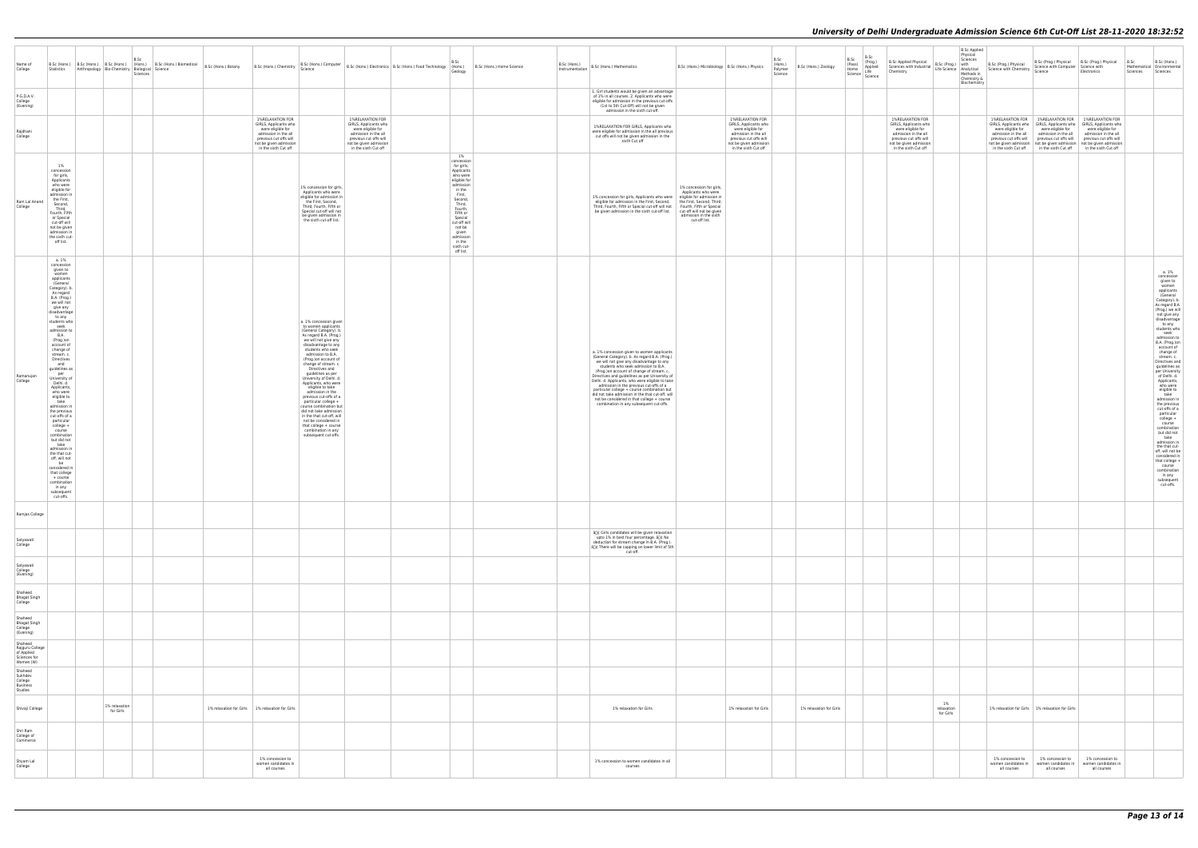| Name of<br>College                                                    | Statistics Anthropology Bio-Chemistry Biological Science                                                                                                                                                                                                                                                                                                                                                                                                                                                                                                                                                                                                                                             |                            | B.Sc<br>B.Sc (Hons.) B.Sc (Hons.) B.Sc (Hons.) (Hons.) B.Sc (Hons.) Biomedical<br>Sciences | B.Sc (Hons.) Botany | B.Sc (Hons.) Chemistry                                                                                                                                             | B.Sc (Hons.) Computer<br>Science                                                                                                                                                                                                                                                                                                                                                                                                                                                                                                                                                                               |                                                                                                                                                                    | B.Sc (Hons.) Electronics B.Sc (Hons.) Food Technology (Hons.) | B.Sc<br>Geology                                                                                                                                                                                                                                       | B.Sc (Hons.) Home Science | $\Big \!\!\Big $ D.J. (MONS.)<br>Instrumentation   B.Sc (Hons.) Mathematics                                                                                                                                                                                                                                                                                                                                                                                                                                                                                             | B.Sc (Hons.) Microbiology   B.Sc (Hons.) Physics                                                                                                                                                              |                                                                                                                                                                    | B.Sc<br>(Hons.)<br>Polymer<br>Science | B.Sc<br>(Pass)<br>B.Sc (Hons.) Zoology<br>Home | B.Sc<br>(Prog.)<br>Applied<br>Science Life<br>Science Science | B.Sc Applied Physical $\begin{vmatrix} B.C. (Prog.) \end{vmatrix}$ with $\begin{vmatrix} 1 & 1 & 0 \\ 0 & 0 & 0 \\ 0 & 0 & 1 \end{vmatrix}$ and $\begin{vmatrix} 1 & 0 & 0 \\ 0 & 0 & 0 \\ 0 & 0 & 1 \end{vmatrix}$ Science with Chemistry Science with Science with Chemistry Science with Chemistry Scie |                               | <b>B.Sc Applied</b><br>Physical<br>Chemistry &<br>Biochemistry |                                                                     | B.Sc (Prog.) Physical B.Sc (Prog.) Physical B.Sc<br>Science with Computer Science with                                                                                                                                                                                                            | Electronics                                                                                                      | Mathematical Environmental<br>Sciences   Sciences | B.Sc (Hons.)                                                                                                                                                                                                                                                                                                                                                                                                                                                                                                                                                                                                                                                                  |
|-----------------------------------------------------------------------|------------------------------------------------------------------------------------------------------------------------------------------------------------------------------------------------------------------------------------------------------------------------------------------------------------------------------------------------------------------------------------------------------------------------------------------------------------------------------------------------------------------------------------------------------------------------------------------------------------------------------------------------------------------------------------------------------|----------------------------|--------------------------------------------------------------------------------------------|---------------------|--------------------------------------------------------------------------------------------------------------------------------------------------------------------|----------------------------------------------------------------------------------------------------------------------------------------------------------------------------------------------------------------------------------------------------------------------------------------------------------------------------------------------------------------------------------------------------------------------------------------------------------------------------------------------------------------------------------------------------------------------------------------------------------------|--------------------------------------------------------------------------------------------------------------------------------------------------------------------|---------------------------------------------------------------|-------------------------------------------------------------------------------------------------------------------------------------------------------------------------------------------------------------------------------------------------------|---------------------------|-------------------------------------------------------------------------------------------------------------------------------------------------------------------------------------------------------------------------------------------------------------------------------------------------------------------------------------------------------------------------------------------------------------------------------------------------------------------------------------------------------------------------------------------------------------------------|---------------------------------------------------------------------------------------------------------------------------------------------------------------------------------------------------------------|--------------------------------------------------------------------------------------------------------------------------------------------------------------------|---------------------------------------|------------------------------------------------|---------------------------------------------------------------|------------------------------------------------------------------------------------------------------------------------------------------------------------------------------------------------------------------------------------------------------------------------------------------------------------|-------------------------------|----------------------------------------------------------------|---------------------------------------------------------------------|---------------------------------------------------------------------------------------------------------------------------------------------------------------------------------------------------------------------------------------------------------------------------------------------------|------------------------------------------------------------------------------------------------------------------|---------------------------------------------------|-------------------------------------------------------------------------------------------------------------------------------------------------------------------------------------------------------------------------------------------------------------------------------------------------------------------------------------------------------------------------------------------------------------------------------------------------------------------------------------------------------------------------------------------------------------------------------------------------------------------------------------------------------------------------------|
| P.G.D.A.V.<br>College<br>(Evening)                                    |                                                                                                                                                                                                                                                                                                                                                                                                                                                                                                                                                                                                                                                                                                      |                            |                                                                                            |                     |                                                                                                                                                                    |                                                                                                                                                                                                                                                                                                                                                                                                                                                                                                                                                                                                                |                                                                                                                                                                    |                                                               |                                                                                                                                                                                                                                                       |                           | 1. Girl students would be given an advantage<br>of 1% in all courses. 2. Applicants who were<br>eligible for admission in the previous cut-offs<br>(1st to 5th Cut-Off) will not be given<br>admission in the sixth cut-off.                                                                                                                                                                                                                                                                                                                                            |                                                                                                                                                                                                               |                                                                                                                                                                    |                                       |                                                |                                                               |                                                                                                                                                                                                                                                                                                            |                               |                                                                |                                                                     |                                                                                                                                                                                                                                                                                                   |                                                                                                                  |                                                   |                                                                                                                                                                                                                                                                                                                                                                                                                                                                                                                                                                                                                                                                               |
| Rajdhani<br>College                                                   |                                                                                                                                                                                                                                                                                                                                                                                                                                                                                                                                                                                                                                                                                                      |                            |                                                                                            |                     | 1%RELAXATION FOR<br>GIRLS, Applicants who<br>were eligible for<br>admission in the all<br>previous cut offs will<br>not be given admission<br>in the sixth Cut off |                                                                                                                                                                                                                                                                                                                                                                                                                                                                                                                                                                                                                | 1%RELAXATION FOR<br>GIRLS, Applicants who<br>were eligible for<br>admission in the all<br>previous cut offs will<br>not be given admission<br>in the sixth Cut off |                                                               |                                                                                                                                                                                                                                                       |                           | 1%RELAXATION FOR GIRLS, Applicants who<br>were eligible for admission in the all previous<br>cut offs will not be given admission in the<br>sixth Cut off                                                                                                                                                                                                                                                                                                                                                                                                               |                                                                                                                                                                                                               | 1%RELAXATION FOR<br>GIRLS, Applicants who<br>were eligible for<br>admission in the all<br>previous cut offs will<br>not be given admission<br>in the sixth Cut off |                                       |                                                |                                                               | 1%RELAXATION FOR<br>GIRLS, Applicants who<br>were eligible for<br>admission in the all<br>previous cut offs will<br>not be given admission<br>in the sixth Cut off                                                                                                                                         |                               |                                                                | were eligible for<br>admission in the all<br>previous cut offs will | 1%RELAXATION FOR 1%RELAXATION FOR<br>GIRLS, Applicants who GIRLS, Applicants who<br>were eligible for<br>admission in the all<br>previous cut offs will<br>not be given admission not be given admission not be given admission<br>in the sixth Cut off in the sixth Cut off in the sixth Cut off | 1%RELAXATION FOR<br>GIRLS, Applicants who<br>were eligible for<br>admission in the all<br>previous cut offs will |                                                   |                                                                                                                                                                                                                                                                                                                                                                                                                                                                                                                                                                                                                                                                               |
| Ram Lal Anand<br>College                                              | 1%<br>concession<br>for girls,<br>Applicants<br>who were<br>eligible for<br>admission in<br>the First,<br>Second,<br>Third,<br>Fourth, Fifth<br>or Special<br>cut-off will<br>not be given<br>admission in<br>the sixth cut-<br>off list.                                                                                                                                                                                                                                                                                                                                                                                                                                                            |                            |                                                                                            |                     |                                                                                                                                                                    | 1% concession for girls,<br>Applicants who were<br>eligible for admission in<br>the First, Second,<br>Third, Fourth, Fifth or<br>Special cut-off will not<br>be given admission in<br>the sixth cut-off list.                                                                                                                                                                                                                                                                                                                                                                                                  |                                                                                                                                                                    |                                                               | 1%<br>concession<br>for girls,<br>Applicants<br>who were<br>eligible for<br>admission<br>in the<br>First,<br>Second,<br>Third,<br>Fourth,<br>Fifth or<br>Special<br>cut-off will<br>not be<br>given<br>admission<br>in the<br>sixth cut-<br>off list. |                           | 1% concession for girls, Applicants who were<br>eligible for admission in the First, Second,<br>Third, Fourth, Fifth or Special cut-off will not<br>be given admission in the sixth cut-off list.                                                                                                                                                                                                                                                                                                                                                                       | 1% concession for girls,<br>Applicants who were<br>eligible for admission in<br>the First, Second, Third,<br>Fourth, Fifth or Special<br>cut-off will not be given<br>admission in the sixth<br>cut-off list. |                                                                                                                                                                    |                                       |                                                |                                                               |                                                                                                                                                                                                                                                                                                            |                               |                                                                |                                                                     |                                                                                                                                                                                                                                                                                                   |                                                                                                                  |                                                   |                                                                                                                                                                                                                                                                                                                                                                                                                                                                                                                                                                                                                                                                               |
| Ramanujan<br>College                                                  | a. 1%<br>concession<br>given to<br>women<br>applicants<br>(General<br>Category). b.<br>As regard<br>B.A. (Prog.)<br>we will not<br>give any<br>disadvantage<br>to any<br>students who<br>seek<br>admission to<br><b>B.A.</b><br>(Prog.)on<br>account of<br>change of<br>stream. c.<br>Directives<br>and<br>quidelines as<br>per<br>University of<br>Delhi. d.<br>Applicants,<br>who were<br>eligible to<br>take<br>admission in<br>the previous<br>cut-offs of a<br>particular<br>college +<br>course<br>combination<br>but did not<br>take<br>admission in<br>the that cut-<br>off, will not<br>be<br>considered in<br>that college<br>+ course<br>combination<br>in any<br>subsequent<br>cut-offs. |                            |                                                                                            |                     |                                                                                                                                                                    | a. 1% concession given<br>to women applicants<br>(General Category). b.<br>As regard B.A. (Prog.)<br>we will not give any<br>disadvantage to any<br>students who seek<br>admission to B.A.<br>(Prog.)on account of<br>change of stream. c.<br>Directives and<br>guidelines as per<br>University of Delhi. d.<br>Applicants, who were<br>eligible to take<br>admission in the<br>previous cut-offs of a<br>particular college +<br>course combination but<br>did not take admission<br>in the that cut-off, will<br>not be considered in<br>that college + course<br>combination in any<br>subsequent cut-offs. |                                                                                                                                                                    |                                                               |                                                                                                                                                                                                                                                       |                           | a. 1% concession given to women applicants<br>(General Category). b. As regard B.A. (Prog.)<br>we will not give any disadvantage to any<br>students who seek admission to B.A.<br>(Prog.)on account of change of stream. c.<br>Directives and guidelines as per University of<br>Delhi. d. Applicants, who were eligible to take<br>admission in the previous cut-offs of a<br>particular college + course combination but<br>did not take admission in the that cut-off, will<br>not be considered in that college + course<br>combination in any subsequent cut-offs. |                                                                                                                                                                                                               |                                                                                                                                                                    |                                       |                                                |                                                               |                                                                                                                                                                                                                                                                                                            |                               |                                                                |                                                                     |                                                                                                                                                                                                                                                                                                   |                                                                                                                  |                                                   | a. 1%<br>concession<br>given to<br>women<br>applicants<br>(General<br>Category). b.<br>As regard B.A.<br>(Prog.) we will<br>not give any<br>disadvantage<br>to any<br>students who<br>seek<br>admission to<br>B.A. (Prog.)on<br>account of<br>change of<br>stream, c<br>Directives and<br>guidelines as<br>per University<br>of Delhi. d.<br>Applicants,<br>who were<br>eligible to<br>take<br>admission in<br>the previous<br>cut-offs of a<br>particular<br>college +<br>course<br>combination<br>but did not<br>take<br>admission in<br>the that cut-<br>off, will not be<br>considered in<br>that college +<br>course<br>combination<br>in any<br>subsequent<br>cut-offs. |
| Ramjas College                                                        |                                                                                                                                                                                                                                                                                                                                                                                                                                                                                                                                                                                                                                                                                                      |                            |                                                                                            |                     |                                                                                                                                                                    |                                                                                                                                                                                                                                                                                                                                                                                                                                                                                                                                                                                                                |                                                                                                                                                                    |                                                               |                                                                                                                                                                                                                                                       |                           | â[]¢ Girls candidates will be given relaxation                                                                                                                                                                                                                                                                                                                                                                                                                                                                                                                          |                                                                                                                                                                                                               |                                                                                                                                                                    |                                       |                                                |                                                               |                                                                                                                                                                                                                                                                                                            |                               |                                                                |                                                                     |                                                                                                                                                                                                                                                                                                   |                                                                                                                  |                                                   |                                                                                                                                                                                                                                                                                                                                                                                                                                                                                                                                                                                                                                                                               |
| Satyawati<br>College                                                  |                                                                                                                                                                                                                                                                                                                                                                                                                                                                                                                                                                                                                                                                                                      |                            |                                                                                            |                     |                                                                                                                                                                    |                                                                                                                                                                                                                                                                                                                                                                                                                                                                                                                                                                                                                |                                                                                                                                                                    |                                                               |                                                                                                                                                                                                                                                       |                           | upto 1% in best four percentage. â[]¢ No<br>deduction for stream change in B.A. (Prog.).<br>a∏¢ There will be capping on lower limit of 5th<br>cut-off.                                                                                                                                                                                                                                                                                                                                                                                                                 |                                                                                                                                                                                                               |                                                                                                                                                                    |                                       |                                                |                                                               |                                                                                                                                                                                                                                                                                                            |                               |                                                                |                                                                     |                                                                                                                                                                                                                                                                                                   |                                                                                                                  |                                                   |                                                                                                                                                                                                                                                                                                                                                                                                                                                                                                                                                                                                                                                                               |
| Satyawati<br>College<br>(Evening)                                     |                                                                                                                                                                                                                                                                                                                                                                                                                                                                                                                                                                                                                                                                                                      |                            |                                                                                            |                     |                                                                                                                                                                    |                                                                                                                                                                                                                                                                                                                                                                                                                                                                                                                                                                                                                |                                                                                                                                                                    |                                                               |                                                                                                                                                                                                                                                       |                           |                                                                                                                                                                                                                                                                                                                                                                                                                                                                                                                                                                         |                                                                                                                                                                                                               |                                                                                                                                                                    |                                       |                                                |                                                               |                                                                                                                                                                                                                                                                                                            |                               |                                                                |                                                                     |                                                                                                                                                                                                                                                                                                   |                                                                                                                  |                                                   |                                                                                                                                                                                                                                                                                                                                                                                                                                                                                                                                                                                                                                                                               |
| Shaheed<br><b>Bhagat Singh</b><br>College                             |                                                                                                                                                                                                                                                                                                                                                                                                                                                                                                                                                                                                                                                                                                      |                            |                                                                                            |                     |                                                                                                                                                                    |                                                                                                                                                                                                                                                                                                                                                                                                                                                                                                                                                                                                                |                                                                                                                                                                    |                                                               |                                                                                                                                                                                                                                                       |                           |                                                                                                                                                                                                                                                                                                                                                                                                                                                                                                                                                                         |                                                                                                                                                                                                               |                                                                                                                                                                    |                                       |                                                |                                                               |                                                                                                                                                                                                                                                                                                            |                               |                                                                |                                                                     |                                                                                                                                                                                                                                                                                                   |                                                                                                                  |                                                   |                                                                                                                                                                                                                                                                                                                                                                                                                                                                                                                                                                                                                                                                               |
| Shaheed<br><b>Bhagat Singh</b><br>College<br>(Evening)                |                                                                                                                                                                                                                                                                                                                                                                                                                                                                                                                                                                                                                                                                                                      |                            |                                                                                            |                     |                                                                                                                                                                    |                                                                                                                                                                                                                                                                                                                                                                                                                                                                                                                                                                                                                |                                                                                                                                                                    |                                                               |                                                                                                                                                                                                                                                       |                           |                                                                                                                                                                                                                                                                                                                                                                                                                                                                                                                                                                         |                                                                                                                                                                                                               |                                                                                                                                                                    |                                       |                                                |                                                               |                                                                                                                                                                                                                                                                                                            |                               |                                                                |                                                                     |                                                                                                                                                                                                                                                                                                   |                                                                                                                  |                                                   |                                                                                                                                                                                                                                                                                                                                                                                                                                                                                                                                                                                                                                                                               |
| Shaheed<br>Rajguru College<br>of Applied<br>Sciences for<br>Women (W) |                                                                                                                                                                                                                                                                                                                                                                                                                                                                                                                                                                                                                                                                                                      |                            |                                                                                            |                     |                                                                                                                                                                    |                                                                                                                                                                                                                                                                                                                                                                                                                                                                                                                                                                                                                |                                                                                                                                                                    |                                                               |                                                                                                                                                                                                                                                       |                           |                                                                                                                                                                                                                                                                                                                                                                                                                                                                                                                                                                         |                                                                                                                                                                                                               |                                                                                                                                                                    |                                       |                                                |                                                               |                                                                                                                                                                                                                                                                                                            |                               |                                                                |                                                                     |                                                                                                                                                                                                                                                                                                   |                                                                                                                  |                                                   |                                                                                                                                                                                                                                                                                                                                                                                                                                                                                                                                                                                                                                                                               |
| Shaheed<br>Sukhdev<br>College<br><b>Business</b><br>Studies           |                                                                                                                                                                                                                                                                                                                                                                                                                                                                                                                                                                                                                                                                                                      |                            |                                                                                            |                     |                                                                                                                                                                    |                                                                                                                                                                                                                                                                                                                                                                                                                                                                                                                                                                                                                |                                                                                                                                                                    |                                                               |                                                                                                                                                                                                                                                       |                           |                                                                                                                                                                                                                                                                                                                                                                                                                                                                                                                                                                         |                                                                                                                                                                                                               |                                                                                                                                                                    |                                       |                                                |                                                               |                                                                                                                                                                                                                                                                                                            |                               |                                                                |                                                                     |                                                                                                                                                                                                                                                                                                   |                                                                                                                  |                                                   |                                                                                                                                                                                                                                                                                                                                                                                                                                                                                                                                                                                                                                                                               |
| Shivaji College                                                       |                                                                                                                                                                                                                                                                                                                                                                                                                                                                                                                                                                                                                                                                                                      | 1% relaxation<br>for Girls |                                                                                            |                     | 1% relaxation for Girls   1% relaxation for Girls                                                                                                                  |                                                                                                                                                                                                                                                                                                                                                                                                                                                                                                                                                                                                                |                                                                                                                                                                    |                                                               |                                                                                                                                                                                                                                                       |                           | 1% relaxation for Girls                                                                                                                                                                                                                                                                                                                                                                                                                                                                                                                                                 |                                                                                                                                                                                                               | 1% relaxation for Girls                                                                                                                                            |                                       | 1% relaxation for Girls                        |                                                               |                                                                                                                                                                                                                                                                                                            | 1%<br>relaxation<br>for Girls |                                                                |                                                                     | 1% relaxation for Girls 1% relaxation for Girls                                                                                                                                                                                                                                                   |                                                                                                                  |                                                   |                                                                                                                                                                                                                                                                                                                                                                                                                                                                                                                                                                                                                                                                               |
| Shri Ram<br>College of<br>Commerce                                    |                                                                                                                                                                                                                                                                                                                                                                                                                                                                                                                                                                                                                                                                                                      |                            |                                                                                            |                     |                                                                                                                                                                    |                                                                                                                                                                                                                                                                                                                                                                                                                                                                                                                                                                                                                |                                                                                                                                                                    |                                                               |                                                                                                                                                                                                                                                       |                           |                                                                                                                                                                                                                                                                                                                                                                                                                                                                                                                                                                         |                                                                                                                                                                                                               |                                                                                                                                                                    |                                       |                                                |                                                               |                                                                                                                                                                                                                                                                                                            |                               |                                                                |                                                                     |                                                                                                                                                                                                                                                                                                   |                                                                                                                  |                                                   |                                                                                                                                                                                                                                                                                                                                                                                                                                                                                                                                                                                                                                                                               |
| Shyam Lal<br>College                                                  |                                                                                                                                                                                                                                                                                                                                                                                                                                                                                                                                                                                                                                                                                                      |                            |                                                                                            |                     | 1% concession to<br>women candidates in<br>all courses                                                                                                             |                                                                                                                                                                                                                                                                                                                                                                                                                                                                                                                                                                                                                |                                                                                                                                                                    |                                                               |                                                                                                                                                                                                                                                       |                           | 1% concession to women candidates in all<br>courses                                                                                                                                                                                                                                                                                                                                                                                                                                                                                                                     |                                                                                                                                                                                                               |                                                                                                                                                                    |                                       |                                                |                                                               |                                                                                                                                                                                                                                                                                                            |                               |                                                                | 1% concession to<br>women candidates in<br>all courses              | 1% concession to<br>women candidates in<br>all courses                                                                                                                                                                                                                                            | 1% concession to<br>women candidates in<br>all courses                                                           |                                                   |                                                                                                                                                                                                                                                                                                                                                                                                                                                                                                                                                                                                                                                                               |